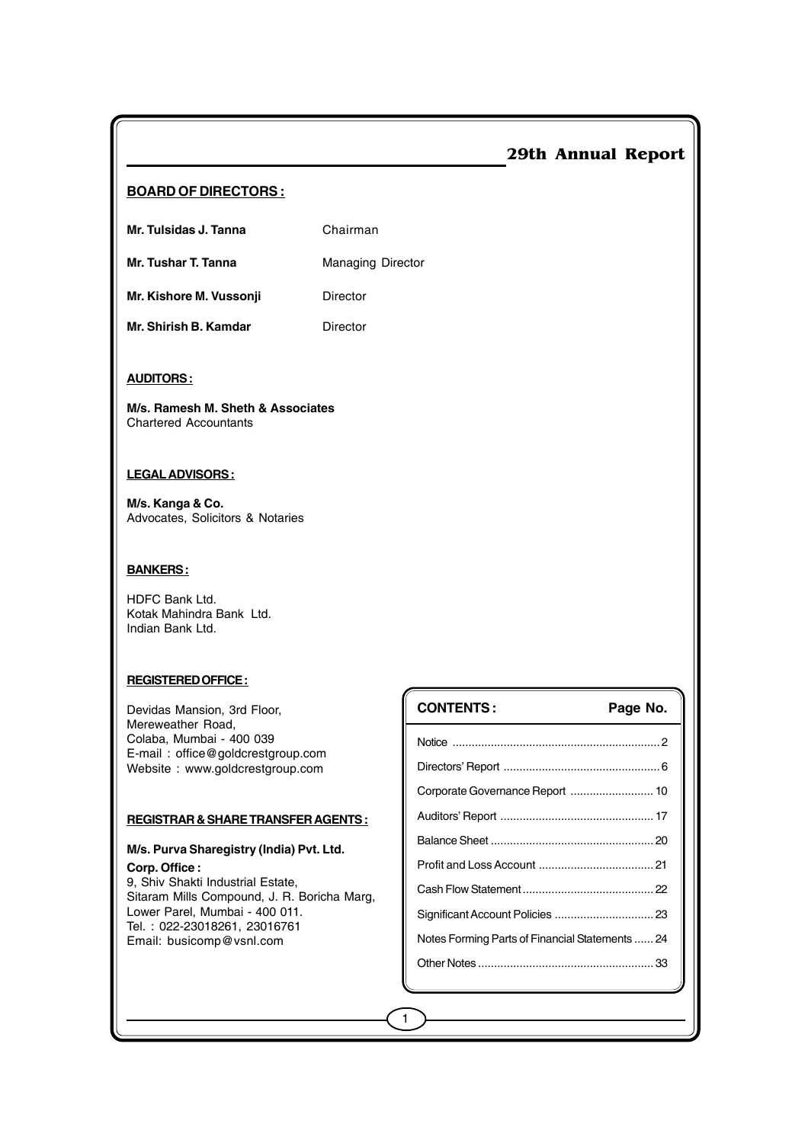#### **BOARD OF DIRECTORS :**

**Mr. Tulsidas J. Tanna** Chairman

**Mr. Tushar T. Tanna** Managing Director

**Mr. Kishore M. Vussonji Director** 

**Mr. Shirish B. Kamdar** Director

#### **AUDITORS :**

**M/s. Ramesh M. Sheth & Associates** Chartered Accountants

#### **LEGAL ADVISORS :**

**M/s. Kanga & Co.** Advocates, Solicitors & Notaries

#### **BANKERS :**

HDFC Bank Ltd. Kotak Mahindra Bank Ltd. Indian Bank Ltd.

#### **REGISTERED OFFICE :**

Devidas Mansion, 3rd Floor, Mereweather Road, Colaba, Mumbai - 400 039 E-mail : office@goldcrestgroup.com Website : www.goldcrestgroup.com

#### **REGISTRAR & SHARE TRANSFER AGENTS :**

#### **M/s. Purva Sharegistry (India) Pvt. Ltd. Corp. Office :**

9, Shiv Shakti Industrial Estate, Sitaram Mills Compound, J. R. Boricha Marg, Lower Parel, Mumbai - 400 011. Tel. : 022-23018261, 23016761 Email: busicomp@vsnl.com

| <b>CONTENTS:</b>                                | Page No. |
|-------------------------------------------------|----------|
|                                                 |          |
|                                                 |          |
|                                                 |          |
|                                                 |          |
|                                                 |          |
|                                                 |          |
|                                                 |          |
|                                                 |          |
| Notes Forming Parts of Financial Statements  24 |          |
|                                                 |          |
|                                                 |          |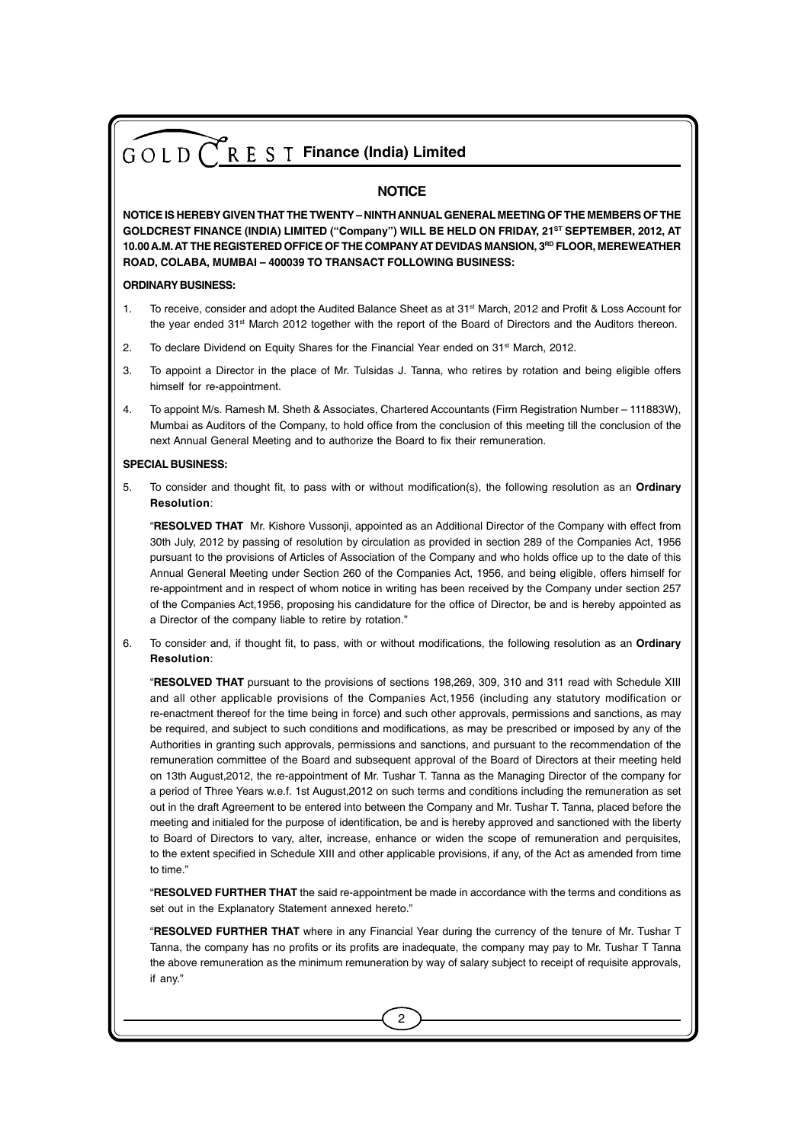#### **NOTICE**

**NOTICE IS HEREBY GIVEN THAT THE TWENTY – NINTH ANNUAL GENERAL MEETING OF THE MEMBERS OF THE GOLDCREST FINANCE (INDIA) LIMITED ("Company") WILL BE HELD ON FRIDAY, 21ST SEPTEMBER, 2012, AT 10.00 A.M. AT THE REGISTERED OFFICE OF THE COMPANY AT DEVIDAS MANSION, 3RD FLOOR, MEREWEATHER ROAD, COLABA, MUMBAI – 400039 TO TRANSACT FOLLOWING BUSINESS:**

#### **ORDINARY BUSINESS:**

- 1. To receive, consider and adopt the Audited Balance Sheet as at 31<sup>st</sup> March, 2012 and Profit & Loss Account for the year ended 31st March 2012 together with the report of the Board of Directors and the Auditors thereon.
- 2. To declare Dividend on Equity Shares for the Financial Year ended on  $31<sup>st</sup>$  March, 2012.
- 3. To appoint a Director in the place of Mr. Tulsidas J. Tanna, who retires by rotation and being eligible offers himself for re-appointment.
- 4. To appoint M/s. Ramesh M. Sheth & Associates, Chartered Accountants (Firm Registration Number 111883W), Mumbai as Auditors of the Company, to hold office from the conclusion of this meeting till the conclusion of the next Annual General Meeting and to authorize the Board to fix their remuneration.

#### **SPECIAL BUSINESS:**

5. To consider and thought fit, to pass with or without modification(s), the following resolution as an **Ordinary Resolution**:

"**RESOLVED THAT** Mr. Kishore Vussonji, appointed as an Additional Director of the Company with effect from 30th July, 2012 by passing of resolution by circulation as provided in section 289 of the Companies Act, 1956 pursuant to the provisions of Articles of Association of the Company and who holds office up to the date of this Annual General Meeting under Section 260 of the Companies Act, 1956, and being eligible, offers himself for re-appointment and in respect of whom notice in writing has been received by the Company under section 257 of the Companies Act,1956, proposing his candidature for the office of Director, be and is hereby appointed as a Director of the company liable to retire by rotation."

6. To consider and, if thought fit, to pass, with or without modifications, the following resolution as an **Ordinary Resolution**:

"**RESOLVED THAT** pursuant to the provisions of sections 198,269, 309, 310 and 311 read with Schedule XIII and all other applicable provisions of the Companies Act,1956 (including any statutory modification or re-enactment thereof for the time being in force) and such other approvals, permissions and sanctions, as may be required, and subject to such conditions and modifications, as may be prescribed or imposed by any of the Authorities in granting such approvals, permissions and sanctions, and pursuant to the recommendation of the remuneration committee of the Board and subsequent approval of the Board of Directors at their meeting held on 13th August,2012, the re-appointment of Mr. Tushar T. Tanna as the Managing Director of the company for a period of Three Years w.e.f. 1st August,2012 on such terms and conditions including the remuneration as set out in the draft Agreement to be entered into between the Company and Mr. Tushar T. Tanna, placed before the meeting and initialed for the purpose of identification, be and is hereby approved and sanctioned with the liberty to Board of Directors to vary, alter, increase, enhance or widen the scope of remuneration and perquisites, to the extent specified in Schedule XIII and other applicable provisions, if any, of the Act as amended from time to time."

"**RESOLVED FURTHER THAT** the said re-appointment be made in accordance with the terms and conditions as set out in the Explanatory Statement annexed hereto."

"**RESOLVED FURTHER THAT** where in any Financial Year during the currency of the tenure of Mr. Tushar T Tanna, the company has no profits or its profits are inadequate, the company may pay to Mr. Tushar T Tanna the above remuneration as the minimum remuneration by way of salary subject to receipt of requisite approvals, if any."

 $\mathfrak{p}$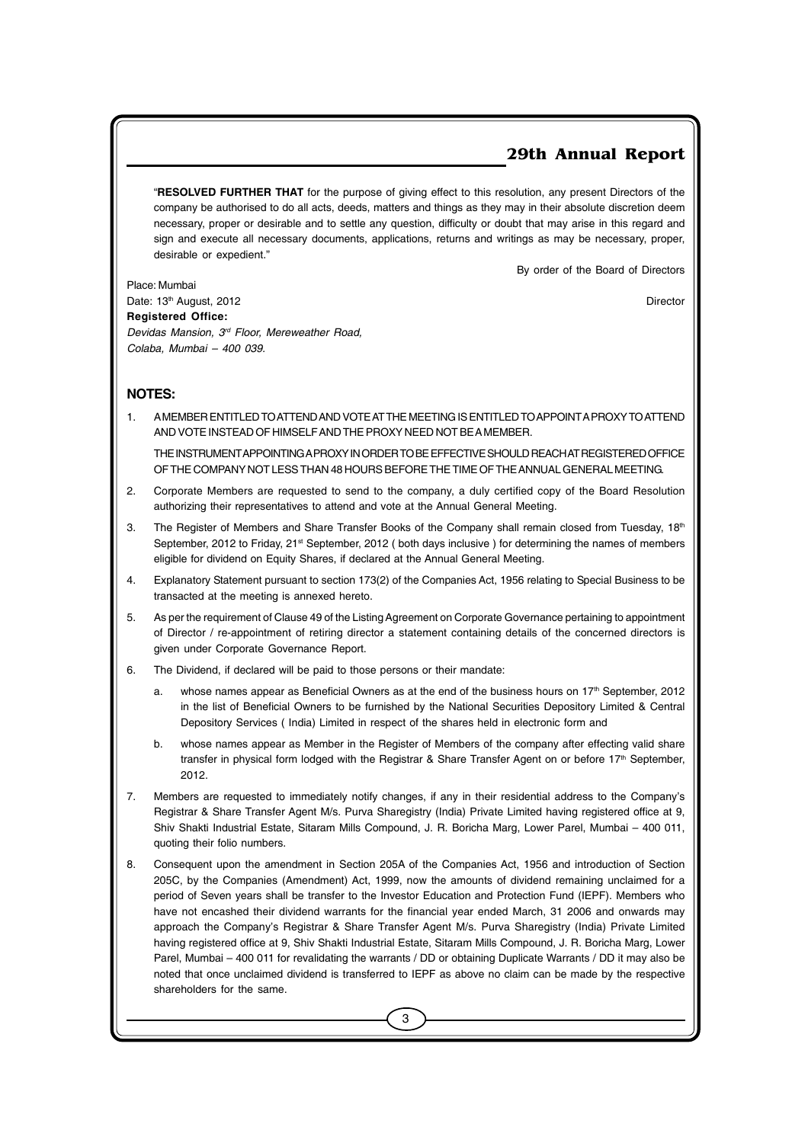"**RESOLVED FURTHER THAT** for the purpose of giving effect to this resolution, any present Directors of the company be authorised to do all acts, deeds, matters and things as they may in their absolute discretion deem necessary, proper or desirable and to settle any question, difficulty or doubt that may arise in this regard and sign and execute all necessary documents, applications, returns and writings as may be necessary, proper, desirable or expedient."

By order of the Board of Directors

Place: Mumbai Date: 13<sup>th</sup> August, 2012 **Director** Director **Registered Office:** *Devidas Mansion, 3rd Floor, Mereweather Road, Colaba, Mumbai – 400 039.*

### **NOTES:**

1. A MEMBER ENTITLED TO ATTEND AND VOTE AT THE MEETING IS ENTITLED TO APPOINT A PROXY TO ATTEND AND VOTE INSTEAD OF HIMSELF AND THE PROXY NEED NOT BE A MEMBER.

THE INSTRUMENT APPOINTING A PROXY IN ORDER TO BE EFFECTIVE SHOULD REACH AT REGISTERED OFFICE OF THE COMPANY NOT LESS THAN 48 HOURS BEFORE THE TIME OF THE ANNUAL GENERAL MEETING.

- 2. Corporate Members are requested to send to the company, a duly certified copy of the Board Resolution authorizing their representatives to attend and vote at the Annual General Meeting.
- 3. The Register of Members and Share Transfer Books of the Company shall remain closed from Tuesday, 18<sup>th</sup> September, 2012 to Friday, 21<sup>st</sup> September, 2012 (both days inclusive) for determining the names of members eligible for dividend on Equity Shares, if declared at the Annual General Meeting.
- 4. Explanatory Statement pursuant to section 173(2) of the Companies Act, 1956 relating to Special Business to be transacted at the meeting is annexed hereto.
- 5. As per the requirement of Clause 49 of the Listing Agreement on Corporate Governance pertaining to appointment of Director / re-appointment of retiring director a statement containing details of the concerned directors is given under Corporate Governance Report.
- 6. The Dividend, if declared will be paid to those persons or their mandate:
	- a. whose names appear as Beneficial Owners as at the end of the business hours on 17th September, 2012 in the list of Beneficial Owners to be furnished by the National Securities Depository Limited & Central Depository Services ( India) Limited in respect of the shares held in electronic form and
	- b. whose names appear as Member in the Register of Members of the company after effecting valid share transfer in physical form lodged with the Registrar & Share Transfer Agent on or before 17<sup>th</sup> September, 2012.
- 7. Members are requested to immediately notify changes, if any in their residential address to the Company's Registrar & Share Transfer Agent M/s. Purva Sharegistry (India) Private Limited having registered office at 9, Shiv Shakti Industrial Estate, Sitaram Mills Compound, J. R. Boricha Marg, Lower Parel, Mumbai – 400 011, quoting their folio numbers.
- 8. Consequent upon the amendment in Section 205A of the Companies Act, 1956 and introduction of Section 205C, by the Companies (Amendment) Act, 1999, now the amounts of dividend remaining unclaimed for a period of Seven years shall be transfer to the Investor Education and Protection Fund (IEPF). Members who have not encashed their dividend warrants for the financial year ended March, 31 2006 and onwards may approach the Company's Registrar & Share Transfer Agent M/s. Purva Sharegistry (India) Private Limited having registered office at 9, Shiv Shakti Industrial Estate, Sitaram Mills Compound, J. R. Boricha Marg, Lower Parel, Mumbai – 400 011 for revalidating the warrants / DD or obtaining Duplicate Warrants / DD it may also be noted that once unclaimed dividend is transferred to IEPF as above no claim can be made by the respective shareholders for the same.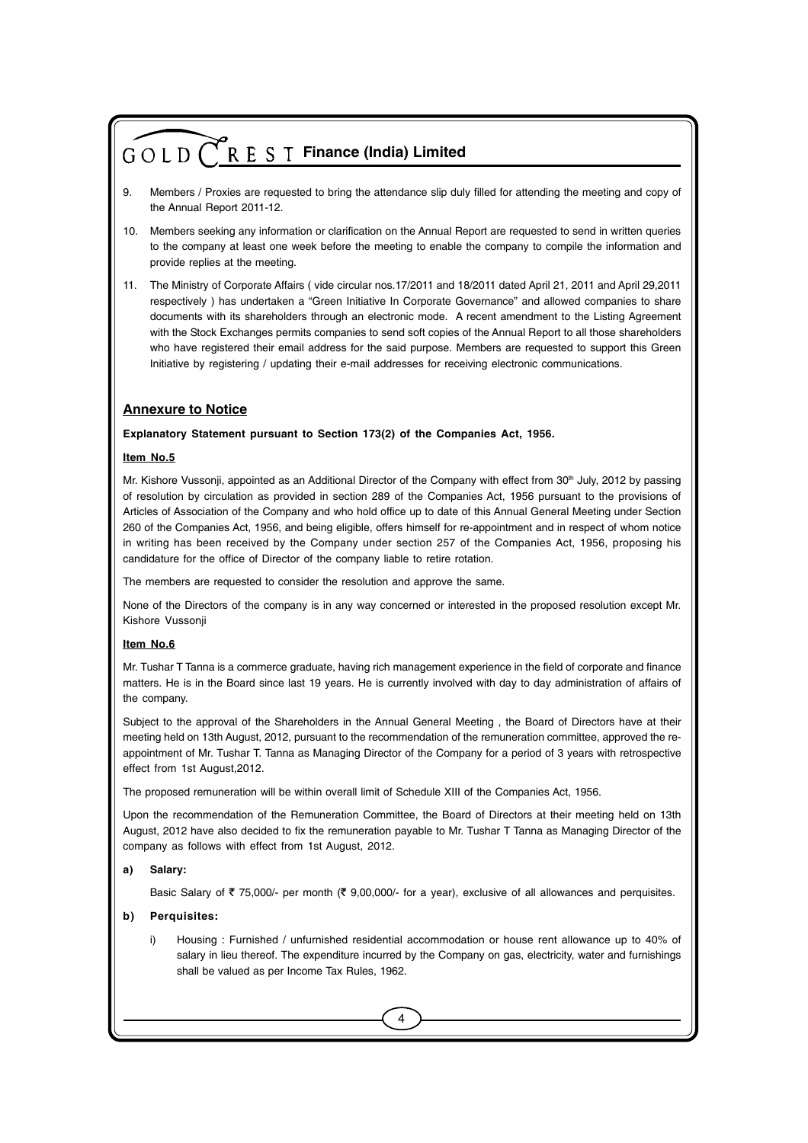- 9. Members / Proxies are requested to bring the attendance slip duly filled for attending the meeting and copy of the Annual Report 2011-12.
- 10. Members seeking any information or clarification on the Annual Report are requested to send in written queries to the company at least one week before the meeting to enable the company to compile the information and provide replies at the meeting.
- 11. The Ministry of Corporate Affairs ( vide circular nos.17/2011 and 18/2011 dated April 21, 2011 and April 29,2011 respectively ) has undertaken a "Green Initiative In Corporate Governance" and allowed companies to share documents with its shareholders through an electronic mode. A recent amendment to the Listing Agreement with the Stock Exchanges permits companies to send soft copies of the Annual Report to all those shareholders who have registered their email address for the said purpose. Members are requested to support this Green Initiative by registering / updating their e-mail addresses for receiving electronic communications.

#### **Annexure to Notice**

#### **Explanatory Statement pursuant to Section 173(2) of the Companies Act, 1956.**

#### **Item No.5**

Mr. Kishore Vussonji, appointed as an Additional Director of the Company with effect from 30<sup>th</sup> July, 2012 by passing of resolution by circulation as provided in section 289 of the Companies Act, 1956 pursuant to the provisions of Articles of Association of the Company and who hold office up to date of this Annual General Meeting under Section 260 of the Companies Act, 1956, and being eligible, offers himself for re-appointment and in respect of whom notice in writing has been received by the Company under section 257 of the Companies Act, 1956, proposing his candidature for the office of Director of the company liable to retire rotation.

The members are requested to consider the resolution and approve the same.

None of the Directors of the company is in any way concerned or interested in the proposed resolution except Mr. Kishore Vussonji

#### **Item No.6**

Mr. Tushar T Tanna is a commerce graduate, having rich management experience in the field of corporate and finance matters. He is in the Board since last 19 years. He is currently involved with day to day administration of affairs of the company.

Subject to the approval of the Shareholders in the Annual General Meeting , the Board of Directors have at their meeting held on 13th August, 2012, pursuant to the recommendation of the remuneration committee, approved the reappointment of Mr. Tushar T. Tanna as Managing Director of the Company for a period of 3 years with retrospective effect from 1st August,2012.

The proposed remuneration will be within overall limit of Schedule XIII of the Companies Act, 1956.

Upon the recommendation of the Remuneration Committee, the Board of Directors at their meeting held on 13th August, 2012 have also decided to fix the remuneration payable to Mr. Tushar T Tanna as Managing Director of the company as follows with effect from 1st August, 2012.

#### **a) Salary:**

Basic Salary of  $\bar{\tau}$  75,000/- per month ( $\bar{\tau}$  9,00,000/- for a year), exclusive of all allowances and perquisites.

#### **b) Perquisites:**

i) Housing : Furnished / unfurnished residential accommodation or house rent allowance up to 40% of salary in lieu thereof. The expenditure incurred by the Company on gas, electricity, water and furnishings shall be valued as per Income Tax Rules, 1962.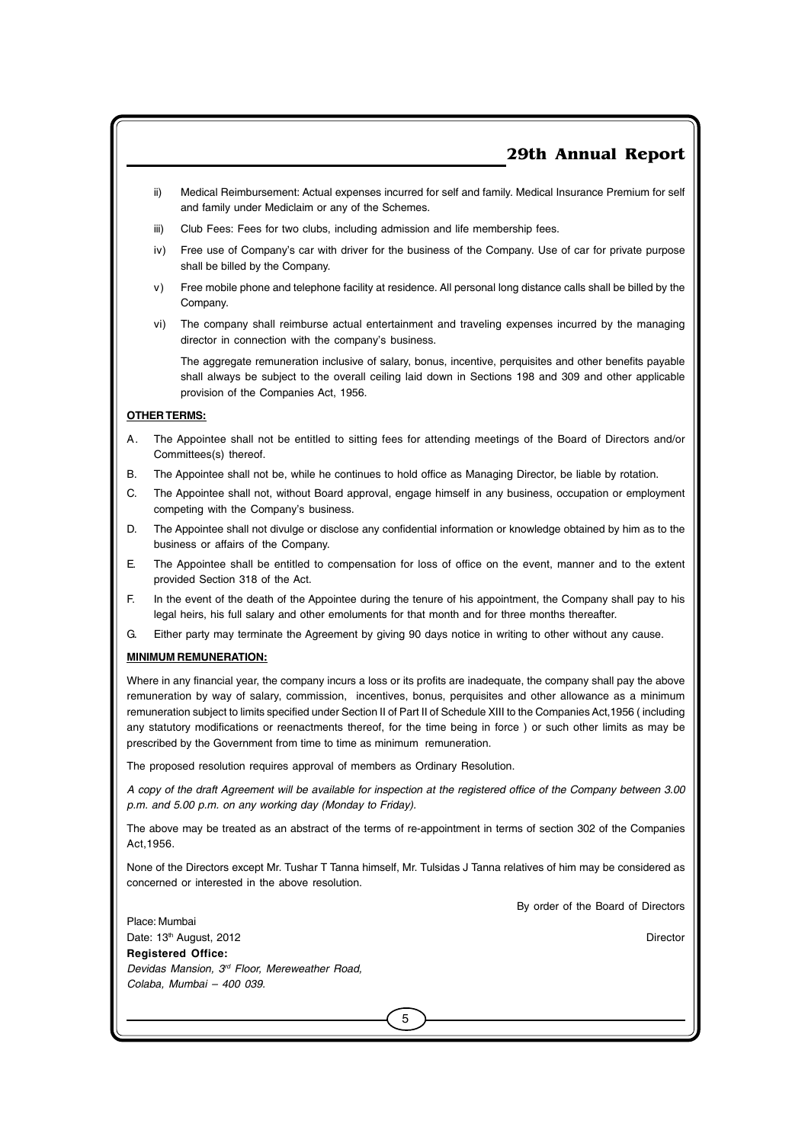- ii) Medical Reimbursement: Actual expenses incurred for self and family. Medical Insurance Premium for self and family under Mediclaim or any of the Schemes.
- iii) Club Fees: Fees for two clubs, including admission and life membership fees.
- iv) Free use of Company's car with driver for the business of the Company. Use of car for private purpose shall be billed by the Company.
- v) Free mobile phone and telephone facility at residence. All personal long distance calls shall be billed by the Company.
- vi) The company shall reimburse actual entertainment and traveling expenses incurred by the managing director in connection with the company's business.

The aggregate remuneration inclusive of salary, bonus, incentive, perquisites and other benefits payable shall always be subject to the overall ceiling laid down in Sections 198 and 309 and other applicable provision of the Companies Act, 1956.

#### **OTHER TERMS:**

- A. The Appointee shall not be entitled to sitting fees for attending meetings of the Board of Directors and/or Committees(s) thereof.
- B. The Appointee shall not be, while he continues to hold office as Managing Director, be liable by rotation.
- C. The Appointee shall not, without Board approval, engage himself in any business, occupation or employment competing with the Company's business.
- D. The Appointee shall not divulge or disclose any confidential information or knowledge obtained by him as to the business or affairs of the Company.
- E. The Appointee shall be entitled to compensation for loss of office on the event, manner and to the extent provided Section 318 of the Act.
- F. In the event of the death of the Appointee during the tenure of his appointment, the Company shall pay to his legal heirs, his full salary and other emoluments for that month and for three months thereafter.
- G. Either party may terminate the Agreement by giving 90 days notice in writing to other without any cause.

#### **MINIMUM REMUNERATION:**

Where in any financial year, the company incurs a loss or its profits are inadequate, the company shall pay the above remuneration by way of salary, commission, incentives, bonus, perquisites and other allowance as a minimum remuneration subject to limits specified under Section II of Part II of Schedule XIII to the Companies Act,1956 ( including any statutory modifications or reenactments thereof, for the time being in force ) or such other limits as may be prescribed by the Government from time to time as minimum remuneration.

The proposed resolution requires approval of members as Ordinary Resolution.

*A copy of the draft Agreement will be available for inspection at the registered office of the Company between 3.00 p.m. and 5.00 p.m. on any working day (Monday to Friday).*

The above may be treated as an abstract of the terms of re-appointment in terms of section 302 of the Companies Act,1956.

None of the Directors except Mr. Tushar T Tanna himself, Mr. Tulsidas J Tanna relatives of him may be considered as concerned or interested in the above resolution.

5

By order of the Board of Directors

Place: Mumbai Date: 13<sup>th</sup> August, 2012 **Director** Director **Registered Office:** *Devidas Mansion, 3rd Floor, Mereweather Road, Colaba, Mumbai – 400 039.*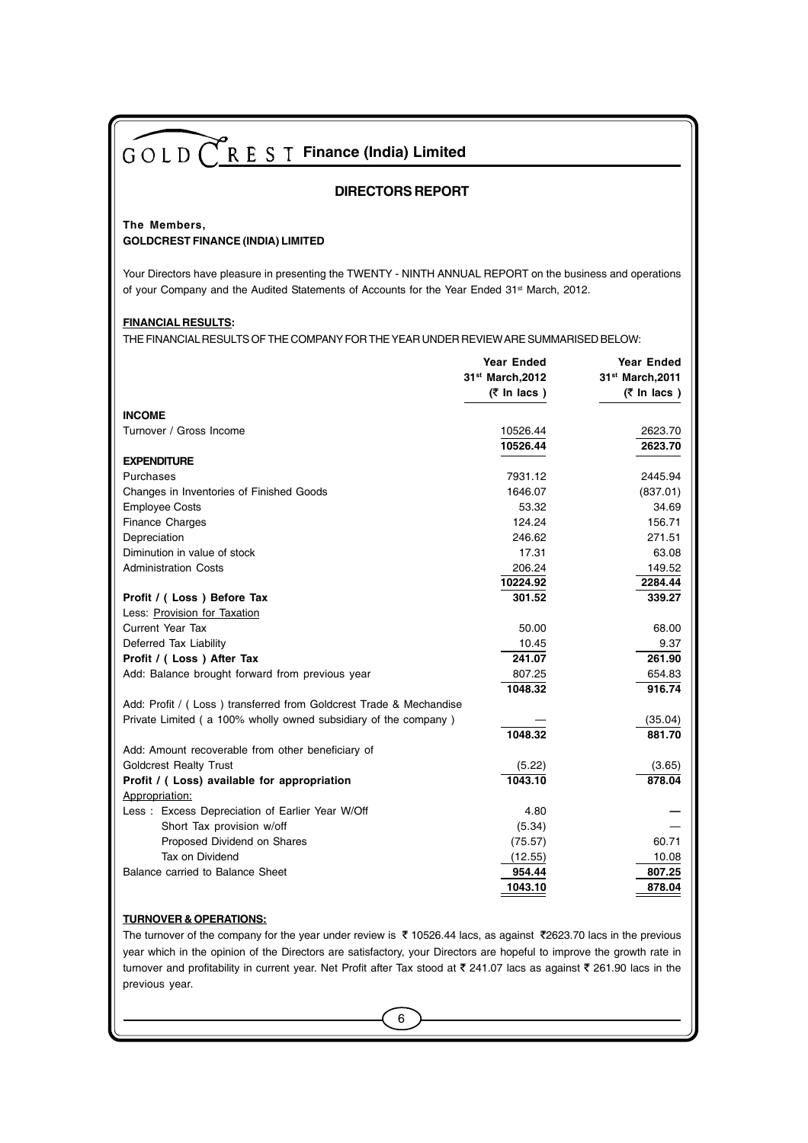#### **DIRECTORS REPORT**

#### **The Members, GOLDCREST FINANCE (INDIA) LIMITED**

Your Directors have pleasure in presenting the TWENTY - NINTH ANNUAL REPORT on the business and operations of your Company and the Audited Statements of Accounts for the Year Ended 31<sup>st</sup> March, 2012.

#### **FINANCIAL RESULTS:**

THE FINANCIAL RESULTS OF THE COMPANY FOR THE YEAR UNDER REVIEW ARE SUMMARISED BELOW:

|                                                                    | <b>Year Ended</b>             | <b>Year Ended</b>             |
|--------------------------------------------------------------------|-------------------------------|-------------------------------|
|                                                                    | 31st March, 2012              | 31st March, 2011              |
|                                                                    | $(7 \text{ ln} \text{ lacs})$ | $(7 \text{ ln} \text{ lacs})$ |
| <b>INCOME</b>                                                      |                               |                               |
| Turnover / Gross Income                                            | 10526.44                      | 2623.70                       |
|                                                                    | 10526.44                      | 2623.70                       |
| <b>EXPENDITURE</b>                                                 |                               |                               |
| Purchases                                                          | 7931.12                       | 2445.94                       |
| Changes in Inventories of Finished Goods                           | 1646.07                       | (837.01)                      |
| <b>Employee Costs</b>                                              | 53.32                         | 34.69                         |
| <b>Finance Charges</b>                                             | 124.24                        | 156.71                        |
| Depreciation                                                       | 246.62                        | 271.51                        |
| Diminution in value of stock                                       | 17.31                         | 63.08                         |
| <b>Administration Costs</b>                                        | 206.24                        | 149.52                        |
|                                                                    | 10224.92                      | 2284.44                       |
| Profit / (Loss) Before Tax                                         | 301.52                        | 339.27                        |
| Less: Provision for Taxation                                       |                               |                               |
| <b>Current Year Tax</b>                                            | 50.00                         | 68.00                         |
| Deferred Tax Liability                                             | 10.45                         | 9.37                          |
| Profit / (Loss) After Tax                                          | 241.07                        | 261.90                        |
| Add: Balance brought forward from previous year                    | 807.25                        | 654.83                        |
|                                                                    | 1048.32                       | 916.74                        |
| Add: Profit / (Loss) transferred from Goldcrest Trade & Mechandise |                               |                               |
| Private Limited (a 100% wholly owned subsidiary of the company)    |                               | (35.04)                       |
|                                                                    | 1048.32                       | 881.70                        |
| Add: Amount recoverable from other beneficiary of                  |                               |                               |
| <b>Goldcrest Realty Trust</b>                                      | (5.22)                        | (3.65)                        |
| Profit / (Loss) available for appropriation                        | 1043.10                       | 878.04                        |
| Appropriation:                                                     |                               |                               |
| Less: Excess Depreciation of Earlier Year W/Off                    | 4.80                          |                               |
| Short Tax provision w/off                                          | (5.34)                        |                               |
| Proposed Dividend on Shares                                        | (75.57)                       | 60.71                         |
| Tax on Dividend                                                    | (12.55)                       | 10.08                         |
| Balance carried to Balance Sheet                                   | 954.44                        | 807.25                        |
|                                                                    | 1043.10                       | 878.04                        |
|                                                                    |                               |                               |

#### **TURNOVER & OPERATIONS:**

The turnover of the company for the year under review is  $\bar{\tau}$  10526.44 lacs, as against  $\bar{\tau}$ 2623.70 lacs in the previous year which in the opinion of the Directors are satisfactory, your Directors are hopeful to improve the growth rate in turnover and profitability in current year. Net Profit after Tax stood at  $\bar{\tau}$  241.07 lacs as against  $\bar{\tau}$  261.90 lacs in the previous year.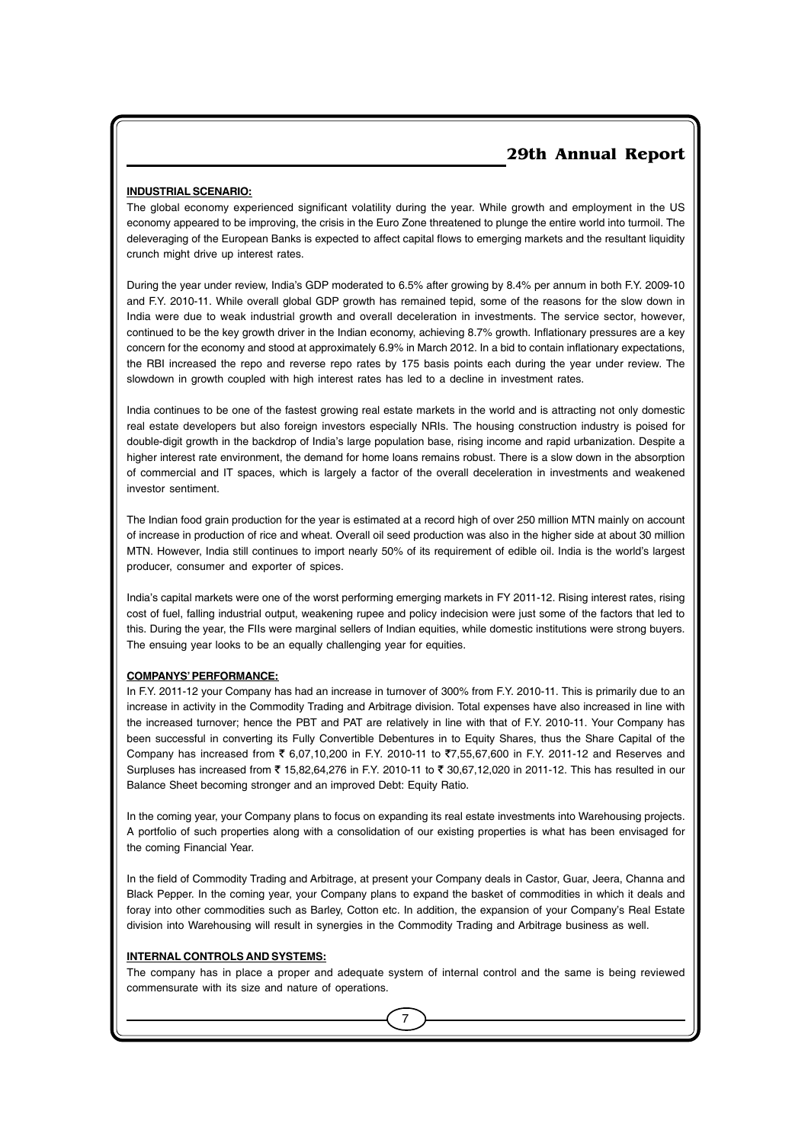#### **INDUSTRIAL SCENARIO:**

The global economy experienced significant volatility during the year. While growth and employment in the US economy appeared to be improving, the crisis in the Euro Zone threatened to plunge the entire world into turmoil. The deleveraging of the European Banks is expected to affect capital flows to emerging markets and the resultant liquidity crunch might drive up interest rates.

During the year under review, India's GDP moderated to 6.5% after growing by 8.4% per annum in both F.Y. 2009-10 and F.Y. 2010-11. While overall global GDP growth has remained tepid, some of the reasons for the slow down in India were due to weak industrial growth and overall deceleration in investments. The service sector, however, continued to be the key growth driver in the Indian economy, achieving 8.7% growth. Inflationary pressures are a key concern for the economy and stood at approximately 6.9% in March 2012. In a bid to contain inflationary expectations, the RBI increased the repo and reverse repo rates by 175 basis points each during the year under review. The slowdown in growth coupled with high interest rates has led to a decline in investment rates.

India continues to be one of the fastest growing real estate markets in the world and is attracting not only domestic real estate developers but also foreign investors especially NRIs. The housing construction industry is poised for double-digit growth in the backdrop of India's large population base, rising income and rapid urbanization. Despite a higher interest rate environment, the demand for home loans remains robust. There is a slow down in the absorption of commercial and IT spaces, which is largely a factor of the overall deceleration in investments and weakened investor sentiment.

The Indian food grain production for the year is estimated at a record high of over 250 million MTN mainly on account of increase in production of rice and wheat. Overall oil seed production was also in the higher side at about 30 million MTN. However, India still continues to import nearly 50% of its requirement of edible oil. India is the world's largest producer, consumer and exporter of spices.

India's capital markets were one of the worst performing emerging markets in FY 2011-12. Rising interest rates, rising cost of fuel, falling industrial output, weakening rupee and policy indecision were just some of the factors that led to this. During the year, the FIIs were marginal sellers of Indian equities, while domestic institutions were strong buyers. The ensuing year looks to be an equally challenging year for equities.

#### **COMPANYS' PERFORMANCE:**

In F.Y. 2011-12 your Company has had an increase in turnover of 300% from F.Y. 2010-11. This is primarily due to an increase in activity in the Commodity Trading and Arbitrage division. Total expenses have also increased in line with the increased turnover; hence the PBT and PAT are relatively in line with that of F.Y. 2010-11. Your Company has been successful in converting its Fully Convertible Debentures in to Equity Shares, thus the Share Capital of the Company has increased from  $\bar{\xi}$  6,07,10,200 in F.Y. 2010-11 to  $\bar{\xi}$ 7,55,67,600 in F.Y. 2011-12 and Reserves and Surpluses has increased from ₹ 15,82,64,276 in F.Y. 2010-11 to ₹ 30,67,12,020 in 2011-12. This has resulted in our Balance Sheet becoming stronger and an improved Debt: Equity Ratio.

In the coming year, your Company plans to focus on expanding its real estate investments into Warehousing projects. A portfolio of such properties along with a consolidation of our existing properties is what has been envisaged for the coming Financial Year.

In the field of Commodity Trading and Arbitrage, at present your Company deals in Castor, Guar, Jeera, Channa and Black Pepper. In the coming year, your Company plans to expand the basket of commodities in which it deals and foray into other commodities such as Barley, Cotton etc. In addition, the expansion of your Company's Real Estate division into Warehousing will result in synergies in the Commodity Trading and Arbitrage business as well.

#### **INTERNAL CONTROLS AND SYSTEMS:**

The company has in place a proper and adequate system of internal control and the same is being reviewed commensurate with its size and nature of operations.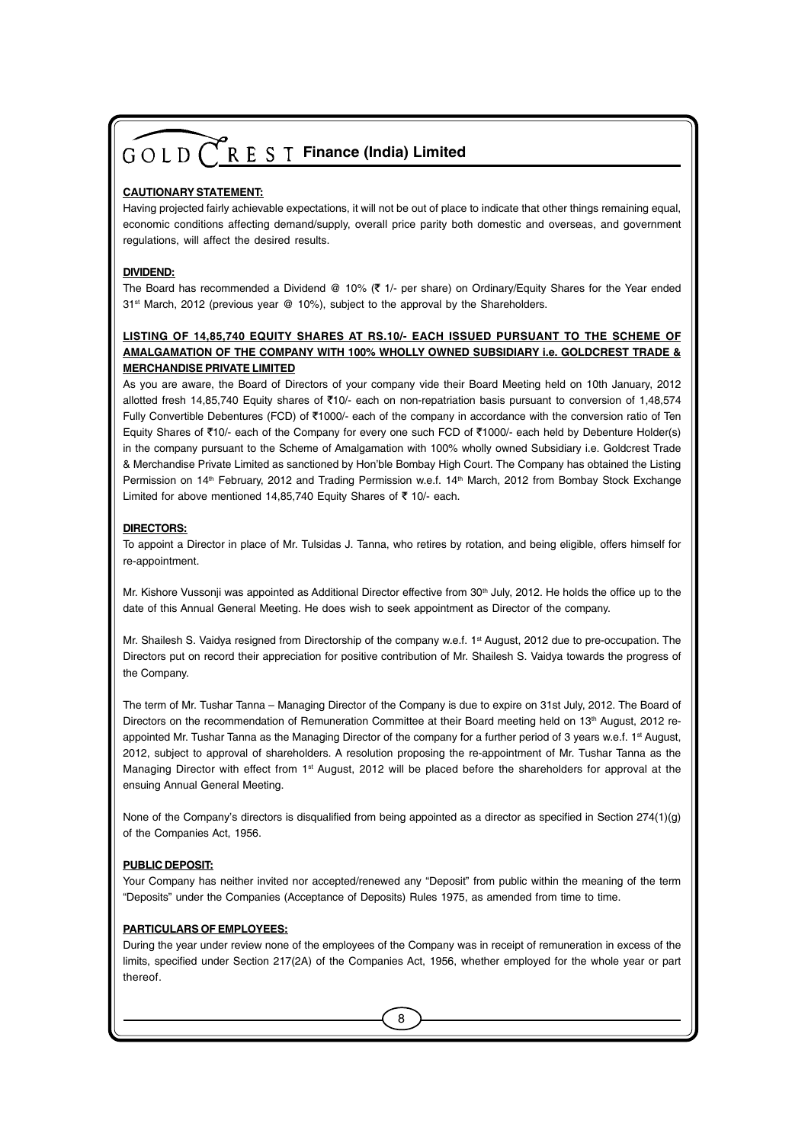#### **CAUTIONARY STATEMENT:**

Having projected fairly achievable expectations, it will not be out of place to indicate that other things remaining equal, economic conditions affecting demand/supply, overall price parity both domestic and overseas, and government regulations, will affect the desired results.

#### **DIVIDEND:**

The Board has recommended a Dividend @ 10% ( $\bar{\tau}$  1/- per share) on Ordinary/Equity Shares for the Year ended 31<sup>st</sup> March, 2012 (previous year @ 10%), subject to the approval by the Shareholders.

#### **LISTING OF 14,85,740 EQUITY SHARES AT RS.10/- EACH ISSUED PURSUANT TO THE SCHEME OF AMALGAMATION OF THE COMPANY WITH 100% WHOLLY OWNED SUBSIDIARY i.e. GOLDCREST TRADE & MERCHANDISE PRIVATE LIMITED**

As you are aware, the Board of Directors of your company vide their Board Meeting held on 10th January, 2012 allotted fresh 14,85,740 Equity shares of  $\overline{510}$  each on non-repatriation basis pursuant to conversion of 1,48,574 Fully Convertible Debentures (FCD) of ₹1000/- each of the company in accordance with the conversion ratio of Ten Equity Shares of `10/- each of the Company for every one such FCD of `1000/- each held by Debenture Holder(s) in the company pursuant to the Scheme of Amalgamation with 100% wholly owned Subsidiary i.e. Goldcrest Trade & Merchandise Private Limited as sanctioned by Hon'ble Bombay High Court. The Company has obtained the Listing Permission on 14<sup>th</sup> February, 2012 and Trading Permission w.e.f. 14<sup>th</sup> March, 2012 from Bombay Stock Exchange Limited for above mentioned 14,85,740 Equity Shares of  $\bar{\tau}$  10/- each.

#### **DIRECTORS:**

To appoint a Director in place of Mr. Tulsidas J. Tanna, who retires by rotation, and being eligible, offers himself for re-appointment.

Mr. Kishore Vussonji was appointed as Additional Director effective from 30<sup>th</sup> July, 2012. He holds the office up to the date of this Annual General Meeting. He does wish to seek appointment as Director of the company.

Mr. Shailesh S. Vaidya resigned from Directorship of the company w.e.f. 1<sup>st</sup> August, 2012 due to pre-occupation. The Directors put on record their appreciation for positive contribution of Mr. Shailesh S. Vaidya towards the progress of the Company.

The term of Mr. Tushar Tanna – Managing Director of the Company is due to expire on 31st July, 2012. The Board of Directors on the recommendation of Remuneration Committee at their Board meeting held on 13<sup>th</sup> August, 2012 reappointed Mr. Tushar Tanna as the Managing Director of the company for a further period of 3 years w.e.f. 1<sup>st</sup> August, 2012, subject to approval of shareholders. A resolution proposing the re-appointment of Mr. Tushar Tanna as the Managing Director with effect from 1<sup>st</sup> August, 2012 will be placed before the shareholders for approval at the ensuing Annual General Meeting.

None of the Company's directors is disqualified from being appointed as a director as specified in Section 274(1)(g) of the Companies Act, 1956.

#### **PUBLIC DEPOSIT:**

Your Company has neither invited nor accepted/renewed any "Deposit" from public within the meaning of the term "Deposits" under the Companies (Acceptance of Deposits) Rules 1975, as amended from time to time.

#### **PARTICULARS OF EMPLOYEES:**

During the year under review none of the employees of the Company was in receipt of remuneration in excess of the limits, specified under Section 217(2A) of the Companies Act, 1956, whether employed for the whole year or part thereof.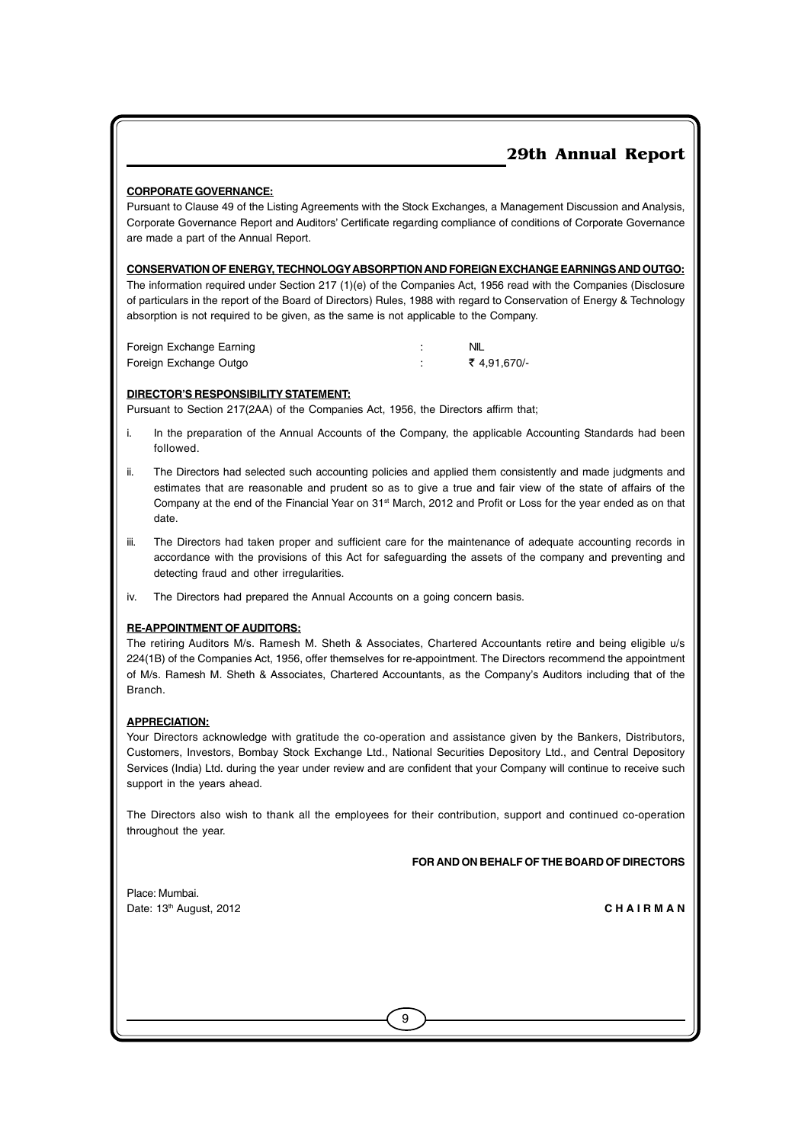#### **CORPORATE GOVERNANCE:**

Pursuant to Clause 49 of the Listing Agreements with the Stock Exchanges, a Management Discussion and Analysis, Corporate Governance Report and Auditors' Certificate regarding compliance of conditions of Corporate Governance are made a part of the Annual Report.

#### **CONSERVATION OF ENERGY, TECHNOLOGYABSORPTION AND FOREIGN EXCHANGE EARNINGS AND OUTGO:**

The information required under Section 217 (1)(e) of the Companies Act, 1956 read with the Companies (Disclosure of particulars in the report of the Board of Directors) Rules, 1988 with regard to Conservation of Energy & Technology absorption is not required to be given, as the same is not applicable to the Company.

| Foreign Exchange Earning | NIL        |
|--------------------------|------------|
| Foreign Exchange Outgo   | ₹4,91,670/ |

#### **DIRECTOR'S RESPONSIBILITY STATEMENT:**

Pursuant to Section 217(2AA) of the Companies Act, 1956, the Directors affirm that;

- i. In the preparation of the Annual Accounts of the Company, the applicable Accounting Standards had been followed.
- The Directors had selected such accounting policies and applied them consistently and made judgments and estimates that are reasonable and prudent so as to give a true and fair view of the state of affairs of the Company at the end of the Financial Year on 31st March, 2012 and Profit or Loss for the year ended as on that date.
- iii. The Directors had taken proper and sufficient care for the maintenance of adequate accounting records in accordance with the provisions of this Act for safeguarding the assets of the company and preventing and detecting fraud and other irregularities.
- iv. The Directors had prepared the Annual Accounts on a going concern basis.

#### **RE-APPOINTMENT OF AUDITORS:**

The retiring Auditors M/s. Ramesh M. Sheth & Associates, Chartered Accountants retire and being eligible u/s 224(1B) of the Companies Act, 1956, offer themselves for re-appointment. The Directors recommend the appointment of M/s. Ramesh M. Sheth & Associates, Chartered Accountants, as the Company's Auditors including that of the Branch.

#### **APPRECIATION:**

Your Directors acknowledge with gratitude the co-operation and assistance given by the Bankers, Distributors, Customers, Investors, Bombay Stock Exchange Ltd., National Securities Depository Ltd., and Central Depository Services (India) Ltd. during the year under review and are confident that your Company will continue to receive such support in the years ahead.

The Directors also wish to thank all the employees for their contribution, support and continued co-operation throughout the year.

9

#### **FOR AND ON BEHALF OF THE BOARD OF DIRECTORS**

Place: Mumbai. Date: 13th August, 2012 **C H A I R M A N**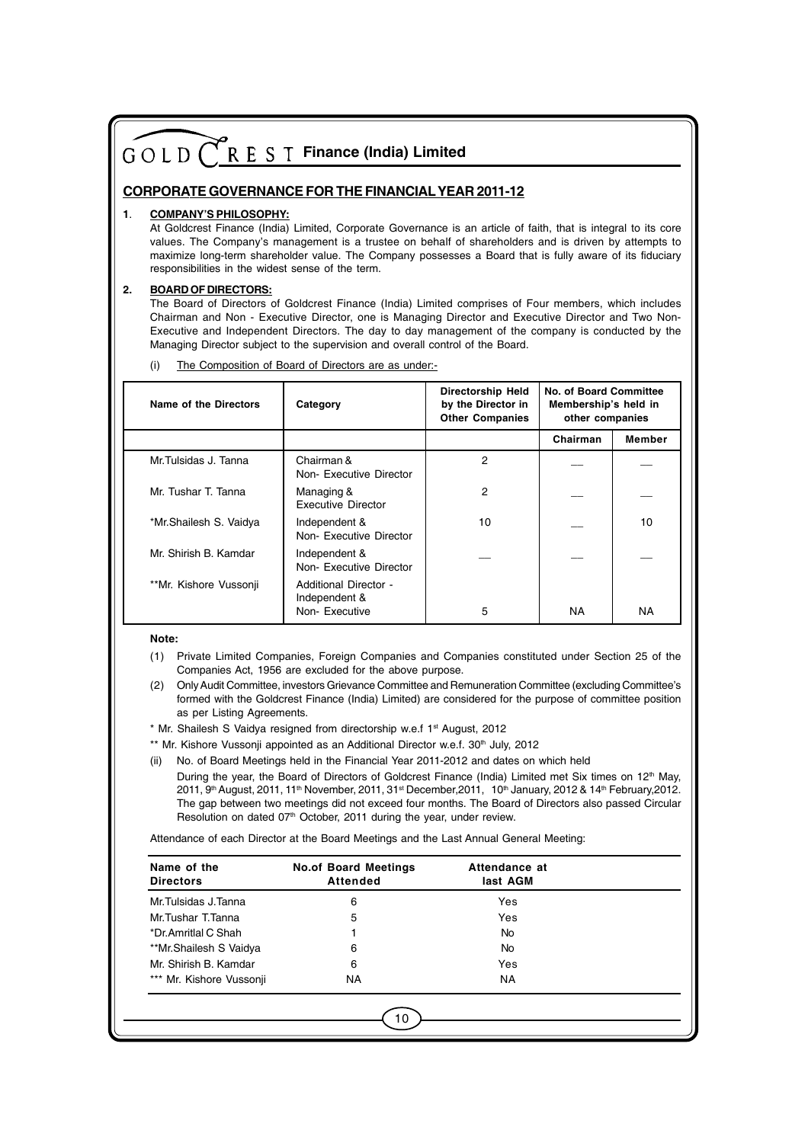#### **CORPORATE GOVERNANCE FOR THE FINANCIALYEAR 2011-12**

#### **1**. **COMPANY'S PHILOSOPHY:**

At Goldcrest Finance (India) Limited, Corporate Governance is an article of faith, that is integral to its core values. The Company's management is a trustee on behalf of shareholders and is driven by attempts to maximize long-term shareholder value. The Company possesses a Board that is fully aware of its fiduciary responsibilities in the widest sense of the term.

#### **2. BOARD OF DIRECTORS:**

The Board of Directors of Goldcrest Finance (India) Limited comprises of Four members, which includes Chairman and Non - Executive Director, one is Managing Director and Executive Director and Two Non-Executive and Independent Directors. The day to day management of the company is conducted by the Managing Director subject to the supervision and overall control of the Board.

(i) The Composition of Board of Directors are as under:-

| Name of the Directors  | Category                                                | <b>Directorship Held</b><br>by the Director in<br><b>Other Companies</b> | <b>No. of Board Committee</b><br>Membership's held in<br>other companies |           |
|------------------------|---------------------------------------------------------|--------------------------------------------------------------------------|--------------------------------------------------------------------------|-----------|
|                        |                                                         |                                                                          | Chairman                                                                 | Member    |
| Mr. Tulsidas J. Tanna  | Chairman &<br>Non-Executive Director                    | 2                                                                        |                                                                          |           |
| Mr. Tushar T. Tanna    | Managing &<br>Executive Director                        | 2                                                                        |                                                                          |           |
| *Mr.Shailesh S. Vaidya | Independent &<br>Non-Executive Director                 | 10                                                                       |                                                                          | 10        |
| Mr. Shirish B. Kamdar  | Independent &<br>Non-Executive Director                 |                                                                          |                                                                          |           |
| **Mr. Kishore Vussonji | Additional Director -<br>Independent &<br>Non-Executive | 5                                                                        | ΝA                                                                       | <b>NA</b> |

**Note:**

- (1) Private Limited Companies, Foreign Companies and Companies constituted under Section 25 of the Companies Act, 1956 are excluded for the above purpose.
- (2) Only Audit Committee, investors Grievance Committee and Remuneration Committee (excluding Committee's formed with the Goldcrest Finance (India) Limited) are considered for the purpose of committee position as per Listing Agreements.
- \* Mr. Shailesh S Vaidya resigned from directorship w.e.f 1st August, 2012

\*\* Mr. Kishore Vussonji appointed as an Additional Director w.e.f. 30<sup>th</sup> July, 2012

(ii) No. of Board Meetings held in the Financial Year 2011-2012 and dates on which held

During the year, the Board of Directors of Goldcrest Finance (India) Limited met Six times on 12<sup>th</sup> May, 2011, 9<sup>th</sup> August, 2011, 11<sup>th</sup> November, 2011, 31<sup>st</sup> December, 2011, 10<sup>th</sup> January, 2012 & 14<sup>th</sup> February, 2012. The gap between two meetings did not exceed four months. The Board of Directors also passed Circular Resolution on dated 07<sup>th</sup> October, 2011 during the year, under review.

Attendance of each Director at the Board Meetings and the Last Annual General Meeting:

| Name of the<br><b>Directors</b> | <b>No.of Board Meetings</b><br>Attended | Attendance at<br>last AGM |  |
|---------------------------------|-----------------------------------------|---------------------------|--|
| Mr.Tulsidas J.Tanna             | 6                                       | Yes                       |  |
| Mr.Tushar T.Tanna               | 5                                       | Yes                       |  |
| *Dr.Amritlal C Shah             |                                         | <b>No</b>                 |  |
| **Mr.Shailesh S Vaidya          | 6                                       | No.                       |  |
| Mr. Shirish B. Kamdar           | 6                                       | Yes                       |  |
| *** Mr. Kishore Vussonji        | <b>NA</b>                               | NA.                       |  |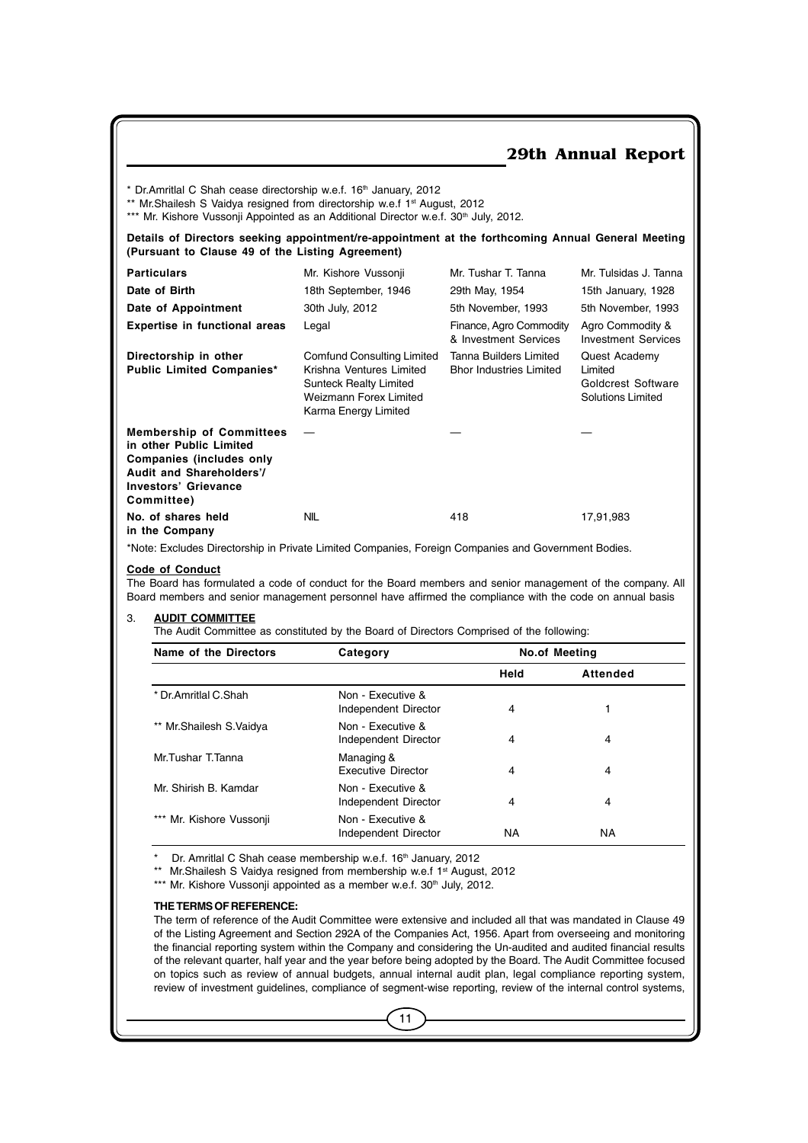$*$  Dr.Amritlal C Shah cease directorship w.e.f. 16<sup>th</sup> January, 2012

\*\* Mr.Shailesh S Vaidya resigned from directorship w.e.f 1st August, 2012

\*\*\* Mr. Kishore Vussonji Appointed as an Additional Director w.e.f. 30<sup>th</sup> July, 2012.

**Details of Directors seeking appointment/re-appointment at the forthcoming Annual General Meeting (Pursuant to Clause 49 of the Listing Agreement)**

| <b>Particulars</b>                                                                                                                                       | Mr. Kishore Vussonji                                                                                                                      | Mr. Tushar T. Tanna                                      | Mr. Tulsidas J. Tanna                                               |
|----------------------------------------------------------------------------------------------------------------------------------------------------------|-------------------------------------------------------------------------------------------------------------------------------------------|----------------------------------------------------------|---------------------------------------------------------------------|
| Date of Birth                                                                                                                                            | 18th September, 1946                                                                                                                      | 29th May, 1954                                           | 15th January, 1928                                                  |
| Date of Appointment                                                                                                                                      | 30th July, 2012                                                                                                                           | 5th November, 1993                                       | 5th November, 1993                                                  |
| <b>Expertise in functional areas</b>                                                                                                                     | Legal                                                                                                                                     | Finance, Agro Commodity<br>& Investment Services         | Agro Commodity &<br><b>Investment Services</b>                      |
| Directorship in other<br><b>Public Limited Companies*</b>                                                                                                | Comfund Consulting Limited<br>Krishna Ventures Limited<br><b>Sunteck Realty Limited</b><br>Weizmann Forex Limited<br>Karma Energy Limited | Tanna Builders Limited<br><b>Bhor Industries Limited</b> | Quest Academy<br>Limited<br>Goldcrest Software<br>Solutions Limited |
| <b>Membership of Committees</b><br>in other Public Limited<br>Companies (includes only<br>Audit and Shareholders'/<br>Investors' Grievance<br>Committee) |                                                                                                                                           |                                                          |                                                                     |
| No. of shares held<br>in the Company                                                                                                                     | NIL                                                                                                                                       | 418                                                      | 17,91,983                                                           |

\*Note: Excludes Directorship in Private Limited Companies, Foreign Companies and Government Bodies.

#### **Code of Conduct**

The Board has formulated a code of conduct for the Board members and senior management of the company. All Board members and senior management personnel have affirmed the compliance with the code on annual basis

#### 3. **AUDIT COMMITTEE**

The Audit Committee as constituted by the Board of Directors Comprised of the following:

| Name of the Directors   | Category                                  | <b>No.of Meeting</b> |          |
|-------------------------|-------------------------------------------|----------------------|----------|
|                         |                                           | Held                 | Attended |
| * Dr. Amritlal C. Shah  | Non - Executive &<br>Independent Director | 4                    |          |
| ** Mr.Shailesh S.Vaidya | Non - Executive &<br>Independent Director | 4                    | 4        |
| Mr.Tushar T.Tanna       | Managing &<br><b>Executive Director</b>   | 4                    | 4        |
| Mr. Shirish B. Kamdar   | Non - Executive &<br>Independent Director | 4                    | 4        |
| Mr. Kishore Vussonji    | Non - Executive &<br>Independent Director | NA                   | ΝA       |

Dr. Amritlal C Shah cease membership w.e.f. 16<sup>th</sup> January, 2012

\*\* Mr.Shailesh S Vaidya resigned from membership w.e.f 1<sup>st</sup> August, 2012

\*\*\* Mr. Kishore Vussonji appointed as a member w.e.f. 30<sup>th</sup> July, 2012.

#### **THE TERMS OF REFERENCE:**

The term of reference of the Audit Committee were extensive and included all that was mandated in Clause 49 of the Listing Agreement and Section 292A of the Companies Act, 1956. Apart from overseeing and monitoring the financial reporting system within the Company and considering the Un-audited and audited financial results of the relevant quarter, half year and the year before being adopted by the Board. The Audit Committee focused on topics such as review of annual budgets, annual internal audit plan, legal compliance reporting system, review of investment guidelines, compliance of segment-wise reporting, review of the internal control systems,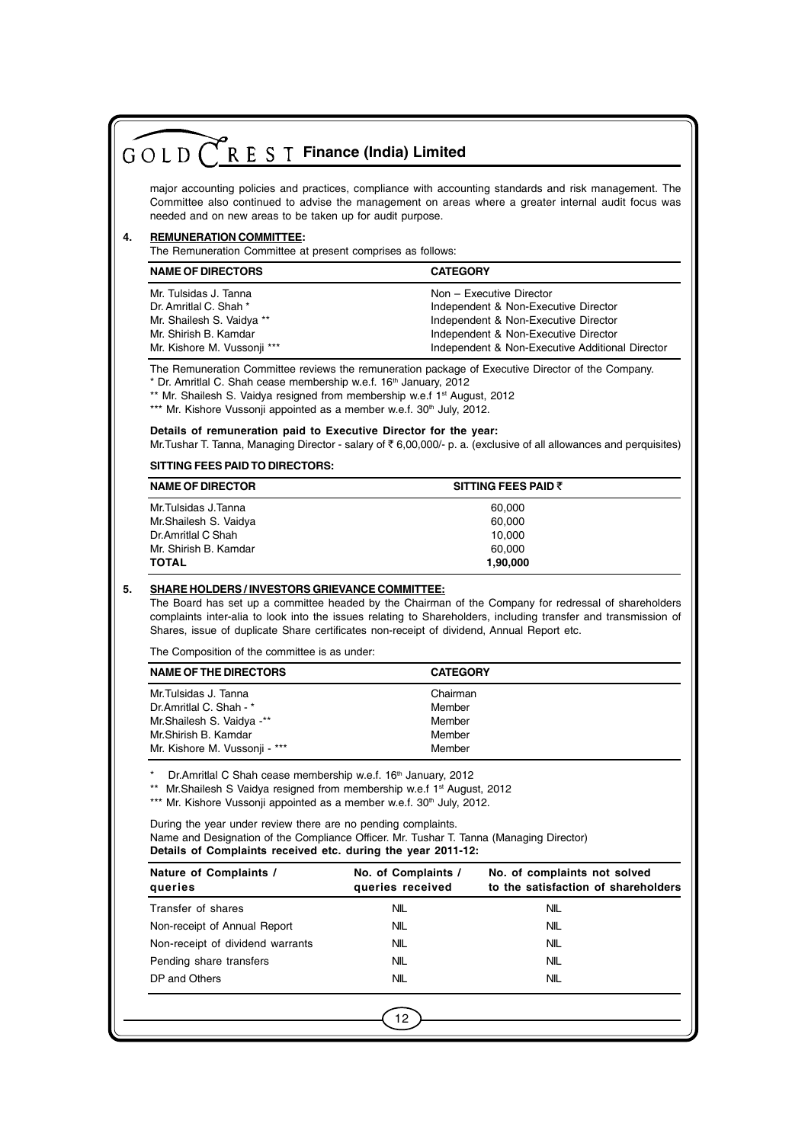|    | $G \circ L D$ $\bigcap R E S T$ Finance (India) Limited                                                                                                                                                                                                                                                                                               |                                         |                                                                                                                                                                                                                        |  |  |  |
|----|-------------------------------------------------------------------------------------------------------------------------------------------------------------------------------------------------------------------------------------------------------------------------------------------------------------------------------------------------------|-----------------------------------------|------------------------------------------------------------------------------------------------------------------------------------------------------------------------------------------------------------------------|--|--|--|
|    |                                                                                                                                                                                                                                                                                                                                                       |                                         |                                                                                                                                                                                                                        |  |  |  |
|    | major accounting policies and practices, compliance with accounting standards and risk management. The<br>Committee also continued to advise the management on areas where a greater internal audit focus was<br>needed and on new areas to be taken up for audit purpose.                                                                            |                                         |                                                                                                                                                                                                                        |  |  |  |
| 4. | <b>REMUNERATION COMMITTEE:</b><br>The Remuneration Committee at present comprises as follows:                                                                                                                                                                                                                                                         |                                         |                                                                                                                                                                                                                        |  |  |  |
|    | <b>NAME OF DIRECTORS</b>                                                                                                                                                                                                                                                                                                                              | <b>CATEGORY</b>                         |                                                                                                                                                                                                                        |  |  |  |
|    | Mr. Tulsidas J. Tanna<br>Dr. Amritlal C. Shah *<br>Mr. Shailesh S. Vaidya **<br>Mr. Shirish B. Kamdar<br>Mr. Kishore M. Vussonji ***                                                                                                                                                                                                                  |                                         | Non - Executive Director<br>Independent & Non-Executive Director<br>Independent & Non-Executive Director<br>Independent & Non-Executive Director<br>Independent & Non-Executive Additional Director                    |  |  |  |
|    | The Remuneration Committee reviews the remuneration package of Executive Director of the Company.<br>* Dr. Amritlal C. Shah cease membership w.e.f. 16 <sup>th</sup> January, 2012<br>** Mr. Shailesh S. Vaidya resigned from membership w.e.f 1 <sup>st</sup> August, 2012<br>*** Mr. Kishore Vussonji appointed as a member w.e.f. 30th July, 2012. |                                         |                                                                                                                                                                                                                        |  |  |  |
|    | Details of remuneration paid to Executive Director for the year:                                                                                                                                                                                                                                                                                      |                                         | Mr. Tushar T. Tanna, Managing Director - salary of ₹6,00,000/- p. a. (exclusive of all allowances and perquisites)                                                                                                     |  |  |  |
|    | SITTING FEES PAID TO DIRECTORS:                                                                                                                                                                                                                                                                                                                       |                                         |                                                                                                                                                                                                                        |  |  |  |
|    | <b>NAME OF DIRECTOR</b>                                                                                                                                                                                                                                                                                                                               |                                         | <b>SITTING FEES PAID ₹</b>                                                                                                                                                                                             |  |  |  |
|    | Mr.Tulsidas J.Tanna<br>60,000                                                                                                                                                                                                                                                                                                                         |                                         |                                                                                                                                                                                                                        |  |  |  |
|    | Mr.Shailesh S. Vaidya<br>Dr.Amritlal C Shah                                                                                                                                                                                                                                                                                                           |                                         | 60,000<br>10,000                                                                                                                                                                                                       |  |  |  |
|    | Mr. Shirish B. Kamdar                                                                                                                                                                                                                                                                                                                                 |                                         | 60,000                                                                                                                                                                                                                 |  |  |  |
|    | <b>TOTAL</b>                                                                                                                                                                                                                                                                                                                                          |                                         | 1,90,000                                                                                                                                                                                                               |  |  |  |
| 5. | <b>SHARE HOLDERS / INVESTORS GRIEVANCE COMMITTEE:</b><br>Shares, issue of duplicate Share certificates non-receipt of dividend, Annual Report etc.<br>The Composition of the committee is as under:                                                                                                                                                   |                                         | The Board has set up a committee headed by the Chairman of the Company for redressal of shareholders<br>complaints inter-alia to look into the issues relating to Shareholders, including transfer and transmission of |  |  |  |
|    | <b>NAME OF THE DIRECTORS</b>                                                                                                                                                                                                                                                                                                                          | <b>CATEGORY</b>                         |                                                                                                                                                                                                                        |  |  |  |
|    | Mr.Tulsidas J. Tanna                                                                                                                                                                                                                                                                                                                                  | Chairman                                |                                                                                                                                                                                                                        |  |  |  |
|    | Dr.Amritlal C. Shah - *<br>Mr.Shailesh S. Vaidya **                                                                                                                                                                                                                                                                                                   | Member<br>Member                        |                                                                                                                                                                                                                        |  |  |  |
|    | Mr.Shirish B. Kamdar                                                                                                                                                                                                                                                                                                                                  | Member                                  |                                                                                                                                                                                                                        |  |  |  |
|    | Mr. Kishore M. Vussonji - ***                                                                                                                                                                                                                                                                                                                         | Member                                  |                                                                                                                                                                                                                        |  |  |  |
|    | Dr.Amritlal C Shah cease membership w.e.f. 16th January, 2012<br>Mr. Shailesh S Vaidya resigned from membership w.e.f 1 <sup>st</sup> August, 2012<br>$***$<br>*** Mr. Kishore Vussonji appointed as a member w.e.f. 30 <sup>th</sup> July, 2012.                                                                                                     |                                         |                                                                                                                                                                                                                        |  |  |  |
|    | During the year under review there are no pending complaints.<br>Name and Designation of the Compliance Officer. Mr. Tushar T. Tanna (Managing Director)<br>Details of Complaints received etc. during the year 2011-12:                                                                                                                              |                                         |                                                                                                                                                                                                                        |  |  |  |
|    |                                                                                                                                                                                                                                                                                                                                                       |                                         |                                                                                                                                                                                                                        |  |  |  |
|    | Nature of Complaints /<br>queries                                                                                                                                                                                                                                                                                                                     | No. of Complaints /<br>queries received | No. of complaints not solved<br>to the satisfaction of shareholders                                                                                                                                                    |  |  |  |
|    | Transfer of shares                                                                                                                                                                                                                                                                                                                                    | NIL                                     | <b>NIL</b>                                                                                                                                                                                                             |  |  |  |
|    | Non-receipt of Annual Report                                                                                                                                                                                                                                                                                                                          | NIL.                                    | <b>NIL</b>                                                                                                                                                                                                             |  |  |  |
|    | Non-receipt of dividend warrants                                                                                                                                                                                                                                                                                                                      | NIL                                     | <b>NIL</b>                                                                                                                                                                                                             |  |  |  |
|    | Pending share transfers                                                                                                                                                                                                                                                                                                                               | NIL.                                    | <b>NIL</b>                                                                                                                                                                                                             |  |  |  |
|    | DP and Others                                                                                                                                                                                                                                                                                                                                         | NIL                                     | <b>NIL</b>                                                                                                                                                                                                             |  |  |  |
|    |                                                                                                                                                                                                                                                                                                                                                       |                                         |                                                                                                                                                                                                                        |  |  |  |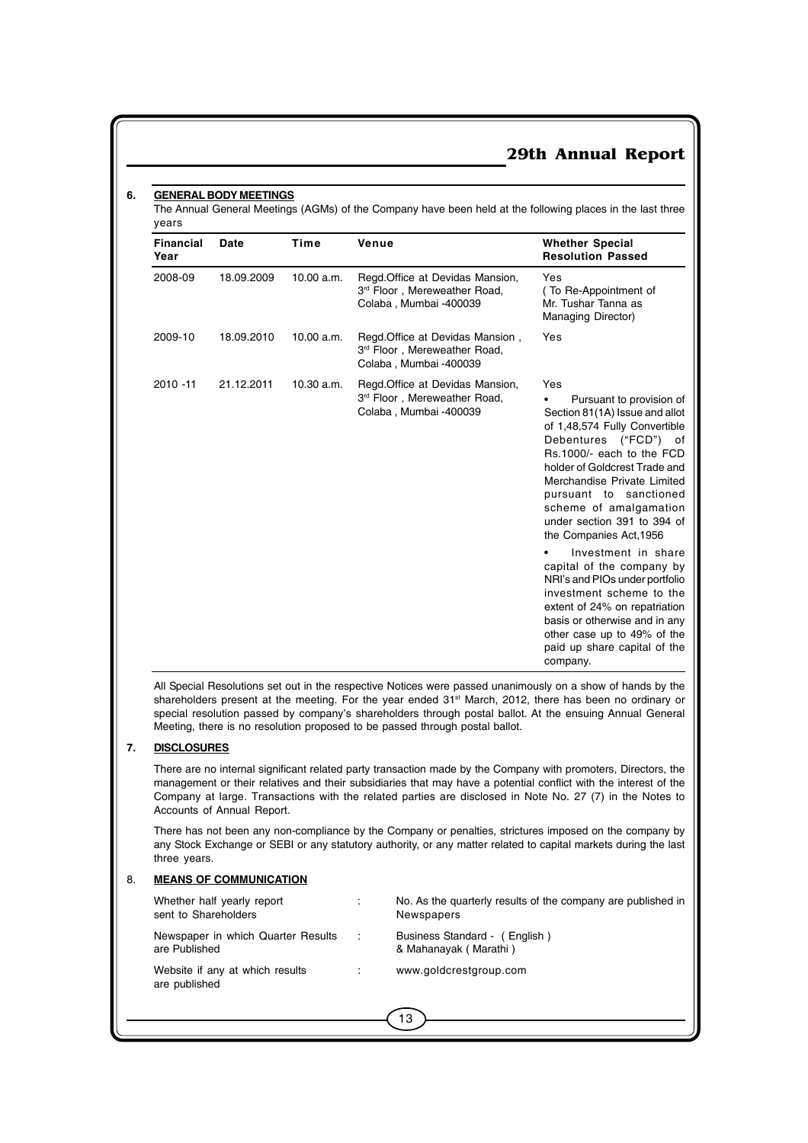#### **6. GENERAL BODY MEETINGS**

The Annual General Meetings (AGMs) of the Company have been held at the following places in the last three years

| <b>Financial</b><br>Year | Date       | Time       | Venue                                                                                      | <b>Whether Special</b><br><b>Resolution Passed</b>                                                                                                                                                                                                                                                                                          |
|--------------------------|------------|------------|--------------------------------------------------------------------------------------------|---------------------------------------------------------------------------------------------------------------------------------------------------------------------------------------------------------------------------------------------------------------------------------------------------------------------------------------------|
| 2008-09                  | 18.09.2009 | 10.00 a.m. | Regd.Office at Devidas Mansion,<br>3rd Floor, Mereweather Road,<br>Colaba, Mumbai -400039  | Yes<br>(To Re-Appointment of<br>Mr. Tushar Tanna as<br>Managing Director)                                                                                                                                                                                                                                                                   |
| 2009-10                  | 18.09.2010 | 10.00 a.m. | Regd. Office at Devidas Mansion,<br>3rd Floor, Mereweather Road,<br>Colaba, Mumbai -400039 | Yes                                                                                                                                                                                                                                                                                                                                         |
| $2010 - 11$              | 21.12.2011 | 10.30 a.m. | Regd. Office at Devidas Mansion,<br>3rd Floor, Mereweather Road,<br>Colaba, Mumbai -400039 | Yes<br>Pursuant to provision of<br>٠<br>Section 81(1A) Issue and allot<br>of 1,48,574 Fully Convertible<br>Debentures ("FCD") of<br>Rs.1000/- each to the FCD<br>holder of Goldcrest Trade and<br>Merchandise Private Limited<br>pursuant to sanctioned<br>scheme of amalgamation<br>under section 391 to 394 of<br>the Companies Act, 1956 |
|                          |            |            |                                                                                            | Investment in share<br>capital of the company by<br>NRI's and PIOs under portfolio<br>investment scheme to the<br>extent of 24% on repatriation<br>basis or otherwise and in any<br>other case up to 49% of the<br>paid up share capital of the<br>company.                                                                                 |

All Special Resolutions set out in the respective Notices were passed unanimously on a show of hands by the shareholders present at the meeting. For the year ended 31st March, 2012, there has been no ordinary or special resolution passed by company's shareholders through postal ballot. At the ensuing Annual General Meeting, there is no resolution proposed to be passed through postal ballot.

#### **7. DISCLOSURES**

There are no internal significant related party transaction made by the Company with promoters, Directors, the management or their relatives and their subsidiaries that may have a potential conflict with the interest of the Company at large. Transactions with the related parties are disclosed in Note No. 27 (7) in the Notes to Accounts of Annual Report.

There has not been any non-compliance by the Company or penalties, strictures imposed on the company by any Stock Exchange or SEBI or any statutory authority, or any matter related to capital markets during the last three years.

#### 8. **MEANS OF COMMUNICATION**

| Whether half yearly report<br>sent to Shareholders  | ÷    | No. As the quarterly results of the company are published in<br>Newspapers |
|-----------------------------------------------------|------|----------------------------------------------------------------------------|
| Newspaper in which Quarter Results<br>are Published | - 11 | Business Standard (English)<br>& Mahanayak (Marathi)                       |
| Website if any at which results<br>are published    |      | www.goldcrestgroup.com                                                     |
|                                                     |      | 13                                                                         |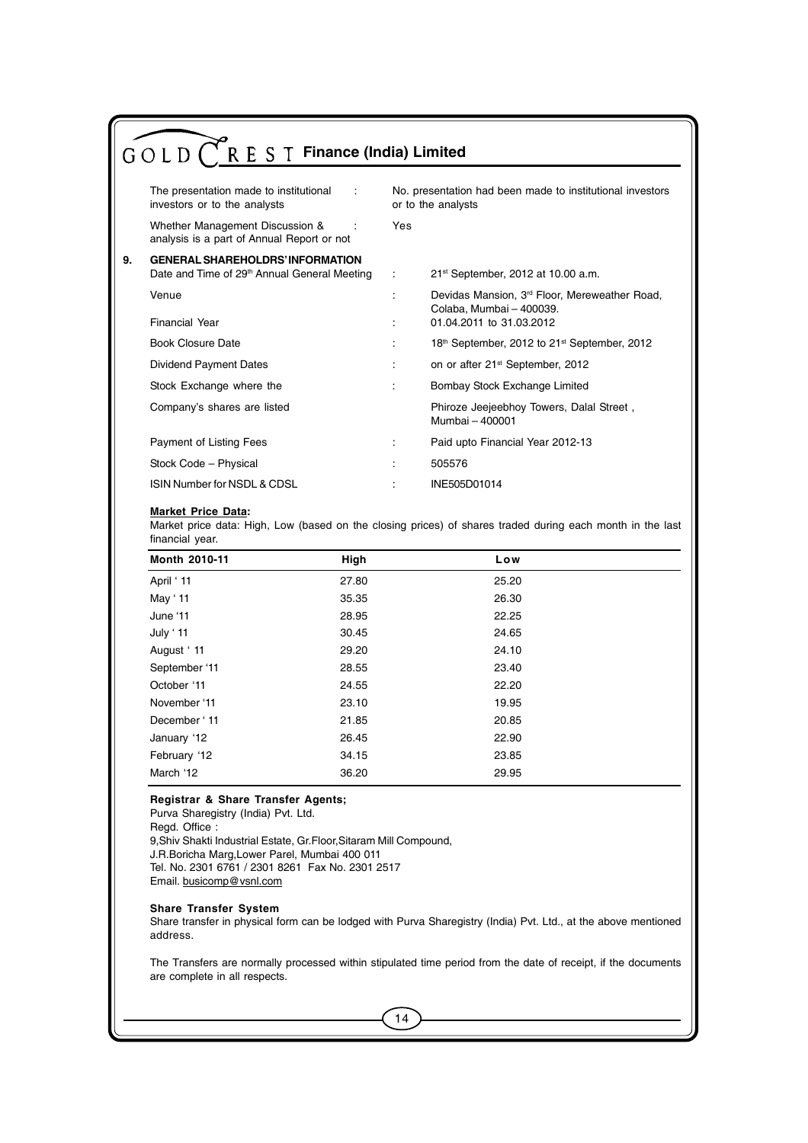|    | $\bigwedge^{\bullet}$ R E S T Finance (India) Limited<br>GOLD(                                                                                                              |     |                                                                                       |  |  |
|----|-----------------------------------------------------------------------------------------------------------------------------------------------------------------------------|-----|---------------------------------------------------------------------------------------|--|--|
|    | The presentation made to institutional<br>No. presentation had been made to institutional investors<br>$\mathbb{R}^n$<br>or to the analysts<br>investors or to the analysts |     |                                                                                       |  |  |
|    | Whether Management Discussion &<br>analysis is a part of Annual Report or not                                                                                               | Yes |                                                                                       |  |  |
| 9. | <b>GENERAL SHAREHOLDRS' INFORMATION</b><br>Date and Time of 29 <sup>th</sup> Annual General Meeting                                                                         |     | 21st September, 2012 at 10.00 a.m.                                                    |  |  |
|    | Venue                                                                                                                                                                       |     | Devidas Mansion, 3 <sup>rd</sup> Floor, Mereweather Road,<br>Colaba, Mumbai - 400039. |  |  |
|    | <b>Financial Year</b>                                                                                                                                                       |     | 01.04.2011 to 31.03.2012                                                              |  |  |
|    | <b>Book Closure Date</b>                                                                                                                                                    |     | 18th September, 2012 to 21 <sup>st</sup> September, 2012                              |  |  |
|    | <b>Dividend Payment Dates</b>                                                                                                                                               | ÷   | on or after 21 <sup>st</sup> September, 2012                                          |  |  |
|    | Stock Exchange where the                                                                                                                                                    |     | Bombay Stock Exchange Limited                                                         |  |  |
|    | Company's shares are listed                                                                                                                                                 |     | Phiroze Jeejeebhoy Towers, Dalal Street,<br>Mumbai - 400001                           |  |  |
|    | Payment of Listing Fees                                                                                                                                                     | ÷   | Paid upto Financial Year 2012-13                                                      |  |  |
|    | Stock Code - Physical                                                                                                                                                       |     | 505576                                                                                |  |  |
|    | ISIN Number for NSDL & CDSL                                                                                                                                                 |     | INE505D01014                                                                          |  |  |

#### **Market Price Data:**

Market price data: High, Low (based on the closing prices) of shares traded during each month in the last financial year.

| Month 2010-11 | High  | Low   |  |
|---------------|-------|-------|--|
| April ' 11    | 27.80 | 25.20 |  |
| May '11       | 35.35 | 26.30 |  |
| June '11      | 28.95 | 22.25 |  |
| July ' 11     | 30.45 | 24.65 |  |
| August '11    | 29.20 | 24.10 |  |
| September '11 | 28.55 | 23.40 |  |
| October '11   | 24.55 | 22.20 |  |
| November '11  | 23.10 | 19.95 |  |
| December '11  | 21.85 | 20.85 |  |
| January '12   | 26.45 | 22.90 |  |
| February '12  | 34.15 | 23.85 |  |
| March '12     | 36.20 | 29.95 |  |

#### **Registrar & Share Transfer Agents;**

Purva Sharegistry (India) Pvt. Ltd. Regd. Office: 9,Shiv Shakti Industrial Estate, Gr.Floor,Sitaram Mill Compound, J.R.Boricha Marg,Lower Parel, Mumbai 400 011 Tel. No. 2301 6761 / 2301 8261 Fax No. 2301 2517 Email. busicomp@vsnl.com

#### **Share Transfer System**

Share transfer in physical form can be lodged with Purva Sharegistry (India) Pvt. Ltd., at the above mentioned address.

The Transfers are normally processed within stipulated time period from the date of receipt, if the documents are complete in all respects.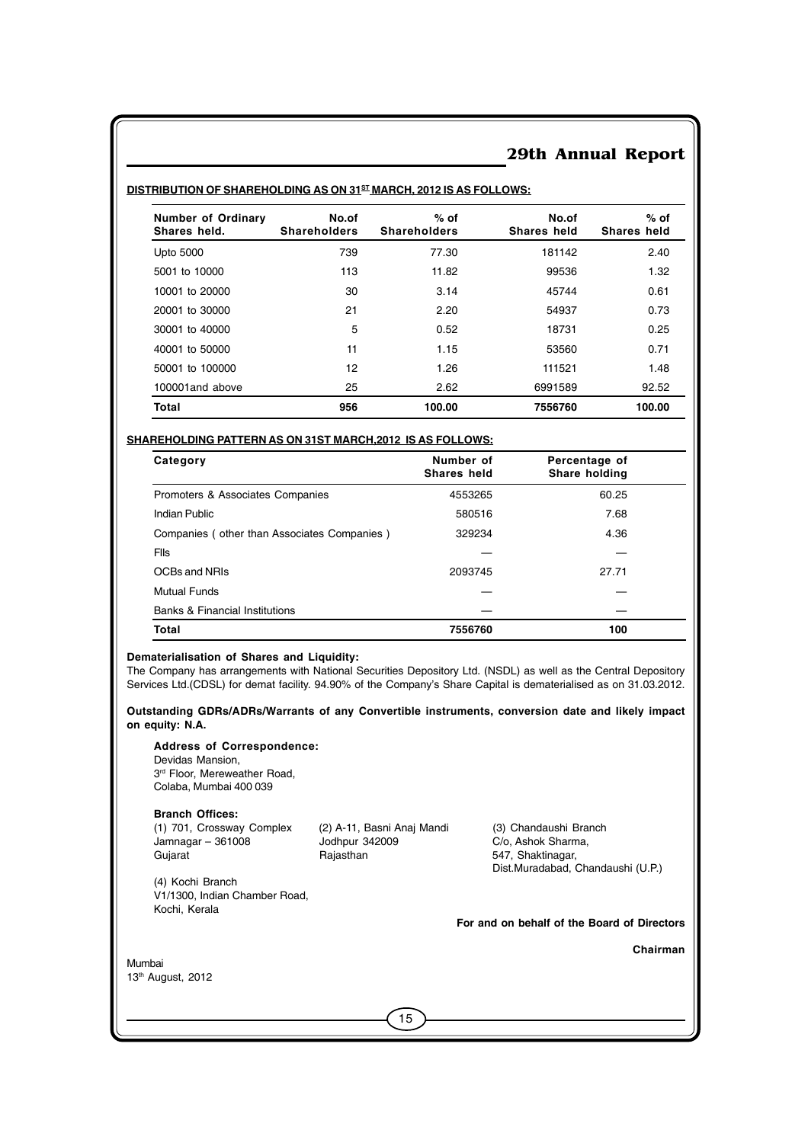| Number of Ordinary<br>Shares held. | No.of<br><b>Shareholders</b> | $%$ of<br><b>Shareholders</b> | No.of<br>Shares held | $%$ of<br><b>Shares held</b> |
|------------------------------------|------------------------------|-------------------------------|----------------------|------------------------------|
| <b>Upto 5000</b>                   | 739                          | 77.30                         | 181142               | 2.40                         |
| 5001 to 10000                      | 113                          | 11.82                         | 99536                | 1.32                         |
| 10001 to 20000                     | 30                           | 3.14                          | 45744                | 0.61                         |
| 20001 to 30000                     | 21                           | 2.20                          | 54937                | 0.73                         |
| 30001 to 40000                     | 5                            | 0.52                          | 18731                | 0.25                         |
| 40001 to 50000                     | 11                           | 1.15                          | 53560                | 0.71                         |
| 50001 to 100000                    | 12                           | 1.26                          | 111521               | 1.48                         |
| 100001 and above                   | 25                           | 2.62                          | 6991589              | 92.52                        |
| <b>Total</b>                       | 956                          | 100.00                        | 7556760              | 100.00                       |

#### **DISTRIBUTION OF SHAREHOLDING AS ON 31ST MARCH, 2012 IS AS FOLLOWS:**

#### **SHAREHOLDING PATTERN AS ON 31ST MARCH,2012 IS AS FOLLOWS:**

| Category                                    | Number of<br>Shares held | Percentage of<br>Share holding |  |
|---------------------------------------------|--------------------------|--------------------------------|--|
| Promoters & Associates Companies            | 4553265                  | 60.25                          |  |
| Indian Public                               | 580516                   | 7.68                           |  |
| Companies (other than Associates Companies) | 329234                   | 4.36                           |  |
| <b>Flis</b>                                 |                          |                                |  |
| OCBs and NRIs                               | 2093745                  | 27.71                          |  |
| <b>Mutual Funds</b>                         |                          |                                |  |
| <b>Banks &amp; Financial Institutions</b>   |                          |                                |  |
| Total                                       | 7556760                  | 100                            |  |

#### **Dematerialisation of Shares and Liquidity:**

The Company has arrangements with National Securities Depository Ltd. (NSDL) as well as the Central Depository Services Ltd.(CDSL) for demat facility. 94.90% of the Company's Share Capital is dematerialised as on 31.03.2012.

**Outstanding GDRs/ADRs/Warrants of any Convertible instruments, conversion date and likely impact on equity: N.A.**

**Address of Correspondence:** Devidas Mansion, 3<sup>rd</sup> Floor, Mereweather Road, Colaba, Mumbai 400 039

**Branch Offices:**<br>(1) 701, Crossway Complex Jamnagar – 361008 Jodhpur 34<br>Gujarat **Galax** Rajasthan Gujarat **Gujarat** Rajasthan **Rajasthan** 547, Shaktinagar,

(2) A-11, Basni Anaj Mandi (3) Chandaushi Branch<br>Jodhpur 342009 (2/0, Ashok Sharma,

Dist.Muradabad, Chandaushi (U.P.)

(4) Kochi Branch V1/1300, Indian Chamber Road, Kochi, Kerala

 **For and on behalf of the Board of Directors**

 **Chairman**

Mumbai 13th August, 2012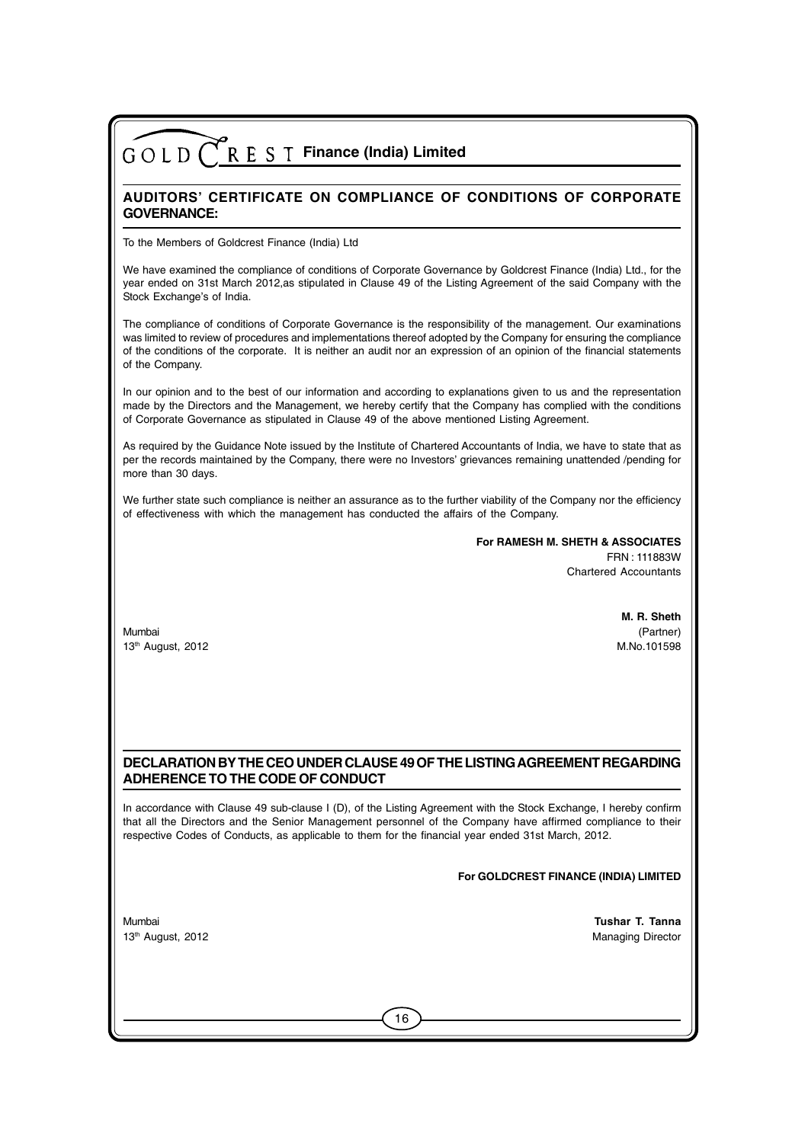### **AUDITORS' CERTIFICATE ON COMPLIANCE OF CONDITIONS OF CORPORATE GOVERNANCE:**

To the Members of Goldcrest Finance (India) Ltd

We have examined the compliance of conditions of Corporate Governance by Goldcrest Finance (India) Ltd., for the year ended on 31st March 2012,as stipulated in Clause 49 of the Listing Agreement of the said Company with the Stock Exchange's of India.

The compliance of conditions of Corporate Governance is the responsibility of the management. Our examinations was limited to review of procedures and implementations thereof adopted by the Company for ensuring the compliance of the conditions of the corporate. It is neither an audit nor an expression of an opinion of the financial statements of the Company.

In our opinion and to the best of our information and according to explanations given to us and the representation made by the Directors and the Management, we hereby certify that the Company has complied with the conditions of Corporate Governance as stipulated in Clause 49 of the above mentioned Listing Agreement.

As required by the Guidance Note issued by the Institute of Chartered Accountants of India, we have to state that as per the records maintained by the Company, there were no Investors' grievances remaining unattended /pending for more than 30 days.

We further state such compliance is neither an assurance as to the further viability of the Company nor the efficiency of effectiveness with which the management has conducted the affairs of the Company.

> **For RAMESH M. SHETH & ASSOCIATES** FRN : 111883W Chartered Accountants

Mumbai (Partner) 13th August, 2012 M.No.101598

 **M. R. Sheth**

#### **DECLARATION BY THE CEO UNDER CLAUSE 49 OF THE LISTING AGREEMENT REGARDING ADHERENCE TO THE CODE OF CONDUCT**

In accordance with Clause 49 sub-clause I (D), of the Listing Agreement with the Stock Exchange, I hereby confirm that all the Directors and the Senior Management personnel of the Company have affirmed compliance to their respective Codes of Conducts, as applicable to them for the financial year ended 31st March, 2012.

16

#### **For GOLDCREST FINANCE (INDIA) LIMITED**

Mumbai **Tushar T. Tanna** 13th August, 2012 **Managing Director** Control of the Managing Director Control of the Managing Director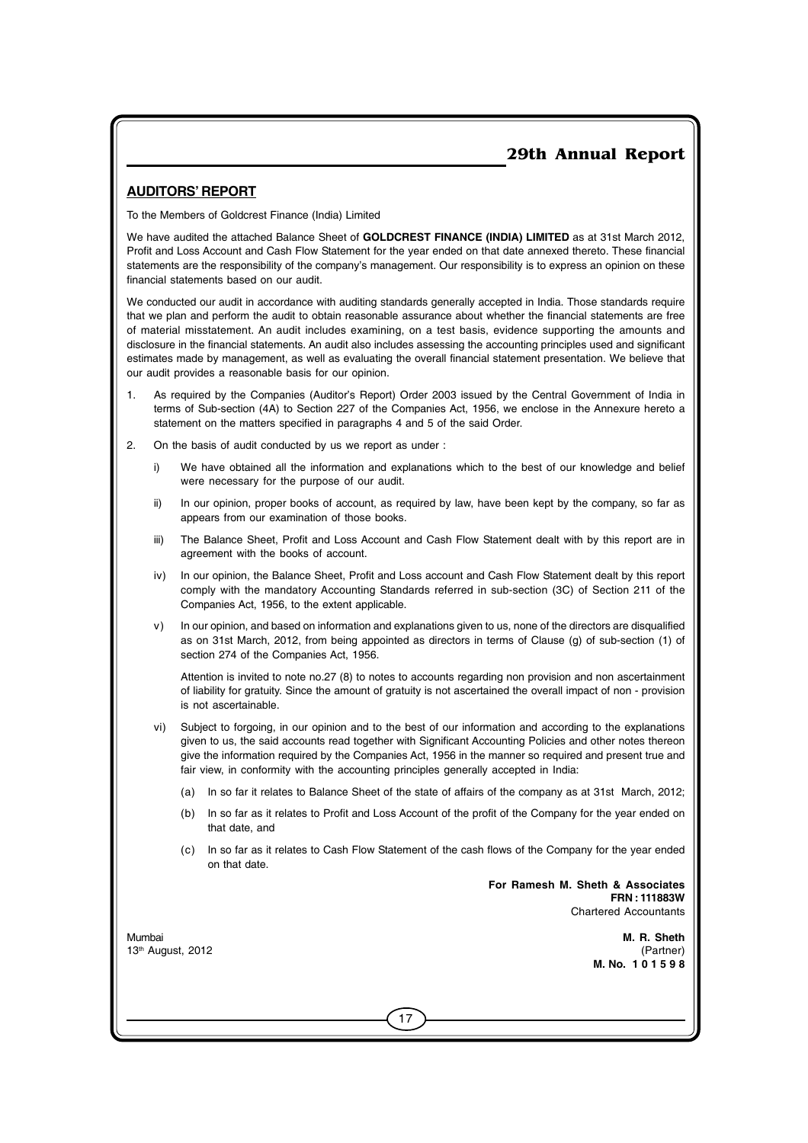### **AUDITORS' REPORT**

To the Members of Goldcrest Finance (India) Limited

We have audited the attached Balance Sheet of **GOLDCREST FINANCE (INDIA) LIMITED** as at 31st March 2012, Profit and Loss Account and Cash Flow Statement for the year ended on that date annexed thereto. These financial statements are the responsibility of the company's management. Our responsibility is to express an opinion on these financial statements based on our audit.

We conducted our audit in accordance with auditing standards generally accepted in India. Those standards require that we plan and perform the audit to obtain reasonable assurance about whether the financial statements are free of material misstatement. An audit includes examining, on a test basis, evidence supporting the amounts and disclosure in the financial statements. An audit also includes assessing the accounting principles used and significant estimates made by management, as well as evaluating the overall financial statement presentation. We believe that our audit provides a reasonable basis for our opinion.

- As required by the Companies (Auditor's Report) Order 2003 issued by the Central Government of India in terms of Sub-section (4A) to Section 227 of the Companies Act, 1956, we enclose in the Annexure hereto a statement on the matters specified in paragraphs 4 and 5 of the said Order.
- 2. On the basis of audit conducted by us we report as under :
	- i) We have obtained all the information and explanations which to the best of our knowledge and belief were necessary for the purpose of our audit.
	- ii) In our opinion, proper books of account, as required by law, have been kept by the company, so far as appears from our examination of those books.
	- iii) The Balance Sheet, Profit and Loss Account and Cash Flow Statement dealt with by this report are in agreement with the books of account.
	- iv) In our opinion, the Balance Sheet, Profit and Loss account and Cash Flow Statement dealt by this report comply with the mandatory Accounting Standards referred in sub-section (3C) of Section 211 of the Companies Act, 1956, to the extent applicable.
	- v) In our opinion, and based on information and explanations given to us, none of the directors are disqualified as on 31st March, 2012, from being appointed as directors in terms of Clause (g) of sub-section (1) of section 274 of the Companies Act, 1956.

Attention is invited to note no.27 (8) to notes to accounts regarding non provision and non ascertainment of liability for gratuity. Since the amount of gratuity is not ascertained the overall impact of non - provision is not ascertainable.

- vi) Subject to forgoing, in our opinion and to the best of our information and according to the explanations given to us, the said accounts read together with Significant Accounting Policies and other notes thereon give the information required by the Companies Act, 1956 in the manner so required and present true and fair view, in conformity with the accounting principles generally accepted in India:
	- (a) In so far it relates to Balance Sheet of the state of affairs of the company as at 31st March, 2012;
	- (b) In so far as it relates to Profit and Loss Account of the profit of the Company for the year ended on that date, and
	- (c) In so far as it relates to Cash Flow Statement of the cash flows of the Company for the year ended on that date.

17

**For Ramesh M. Sheth & Associates FRN : 111883W** Chartered Accountants

Mumbai **M. R. Sheth** 13th August, 2012 (Partner) **M. No. 1 0 1 5 9 8**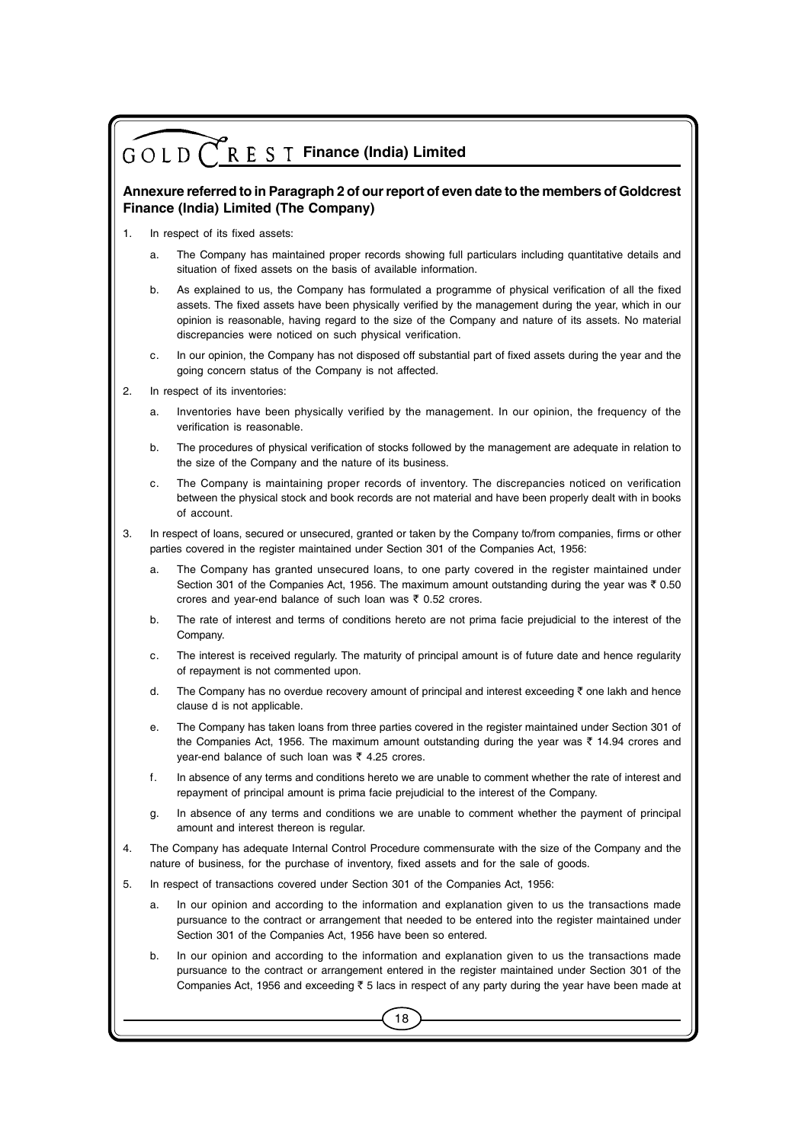#### **Annexure referred to in Paragraph 2 of our report of even date to the members of Goldcrest Finance (India) Limited (The Company)**

- 1. In respect of its fixed assets:
	- a. The Company has maintained proper records showing full particulars including quantitative details and situation of fixed assets on the basis of available information.
	- b. As explained to us, the Company has formulated a programme of physical verification of all the fixed assets. The fixed assets have been physically verified by the management during the year, which in our opinion is reasonable, having regard to the size of the Company and nature of its assets. No material discrepancies were noticed on such physical verification.
	- c. In our opinion, the Company has not disposed off substantial part of fixed assets during the year and the going concern status of the Company is not affected.
- 2. In respect of its inventories:
	- a. Inventories have been physically verified by the management. In our opinion, the frequency of the verification is reasonable.
	- b. The procedures of physical verification of stocks followed by the management are adequate in relation to the size of the Company and the nature of its business.
	- c. The Company is maintaining proper records of inventory. The discrepancies noticed on verification between the physical stock and book records are not material and have been properly dealt with in books of account.
- 3. In respect of loans, secured or unsecured, granted or taken by the Company to/from companies, firms or other parties covered in the register maintained under Section 301 of the Companies Act, 1956:
	- a. The Company has granted unsecured loans, to one party covered in the register maintained under Section 301 of the Companies Act, 1956. The maximum amount outstanding during the year was  $\bar{\tau}$  0.50 crores and year-end balance of such loan was  $\bar{z}$  0.52 crores.
	- b. The rate of interest and terms of conditions hereto are not prima facie prejudicial to the interest of the Company.
	- c. The interest is received regularly. The maturity of principal amount is of future date and hence regularity of repayment is not commented upon.
	- d. The Company has no overdue recovery amount of principal and interest exceeding  $\bar{\tau}$  one lakh and hence clause d is not applicable.
	- e. The Company has taken loans from three parties covered in the register maintained under Section 301 of the Companies Act, 1956. The maximum amount outstanding during the year was  $\bar{\tau}$  14.94 crores and vear-end balance of such loan was  $\bar{\tau}$  4.25 crores.
	- f. In absence of any terms and conditions hereto we are unable to comment whether the rate of interest and repayment of principal amount is prima facie prejudicial to the interest of the Company.
	- g. In absence of any terms and conditions we are unable to comment whether the payment of principal amount and interest thereon is regular
- 4. The Company has adequate Internal Control Procedure commensurate with the size of the Company and the nature of business, for the purchase of inventory, fixed assets and for the sale of goods.
- 5. In respect of transactions covered under Section 301 of the Companies Act, 1956:
	- a. In our opinion and according to the information and explanation given to us the transactions made pursuance to the contract or arrangement that needed to be entered into the register maintained under Section 301 of the Companies Act, 1956 have been so entered.
	- b. In our opinion and according to the information and explanation given to us the transactions made pursuance to the contract or arrangement entered in the register maintained under Section 301 of the Companies Act, 1956 and exceeding  $\bar{\tau}$  5 lacs in respect of any party during the year have been made at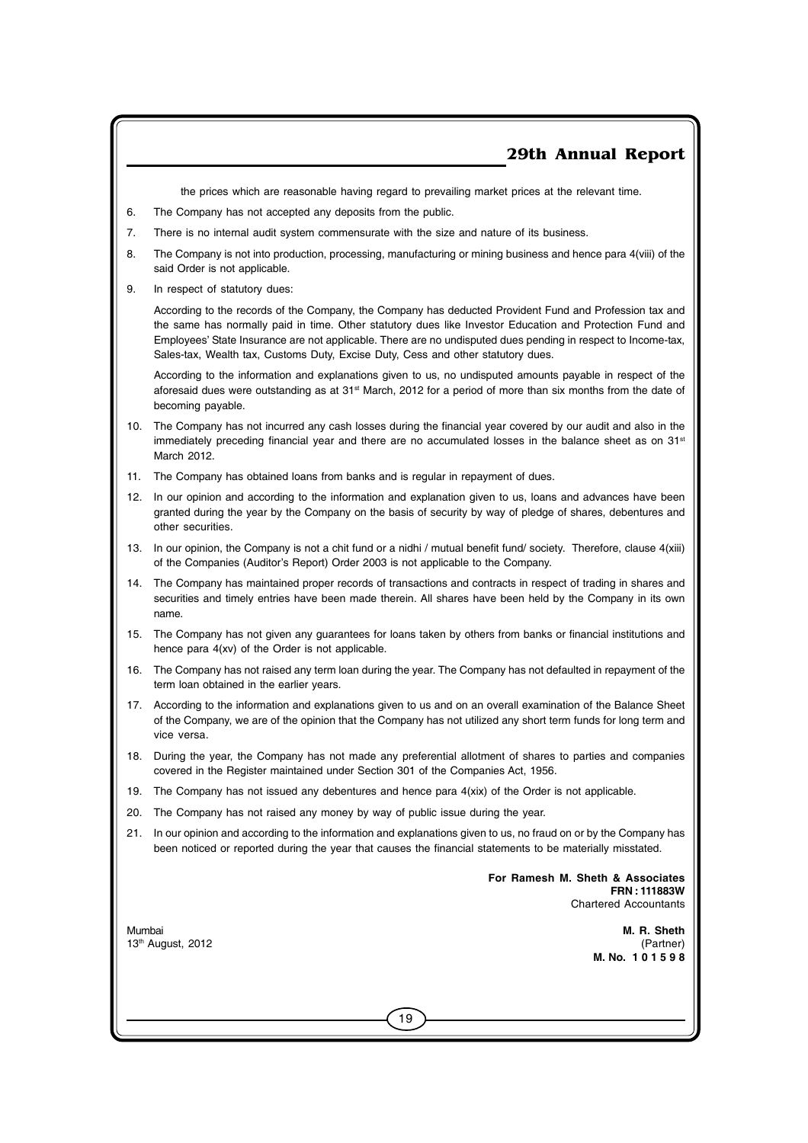the prices which are reasonable having regard to prevailing market prices at the relevant time.

- 6. The Company has not accepted any deposits from the public.
- 7. There is no internal audit system commensurate with the size and nature of its business.
- 8. The Company is not into production, processing, manufacturing or mining business and hence para 4(viii) of the said Order is not applicable.
- 9. In respect of statutory dues:

According to the records of the Company, the Company has deducted Provident Fund and Profession tax and the same has normally paid in time. Other statutory dues like Investor Education and Protection Fund and Employees' State Insurance are not applicable. There are no undisputed dues pending in respect to Income-tax, Sales-tax, Wealth tax, Customs Duty, Excise Duty, Cess and other statutory dues.

According to the information and explanations given to us, no undisputed amounts payable in respect of the aforesaid dues were outstanding as at 31<sup>st</sup> March, 2012 for a period of more than six months from the date of becoming payable.

- 10. The Company has not incurred any cash losses during the financial year covered by our audit and also in the immediately preceding financial year and there are no accumulated losses in the balance sheet as on 31<sup>st</sup> March 2012.
- 11. The Company has obtained loans from banks and is regular in repayment of dues.
- 12. In our opinion and according to the information and explanation given to us, loans and advances have been granted during the year by the Company on the basis of security by way of pledge of shares, debentures and other securities.
- 13. In our opinion, the Company is not a chit fund or a nidhi / mutual benefit fund/ society. Therefore, clause 4(xiii) of the Companies (Auditor's Report) Order 2003 is not applicable to the Company.
- 14. The Company has maintained proper records of transactions and contracts in respect of trading in shares and securities and timely entries have been made therein. All shares have been held by the Company in its own name.
- 15. The Company has not given any guarantees for loans taken by others from banks or financial institutions and hence para 4(xv) of the Order is not applicable.
- 16. The Company has not raised any term loan during the year. The Company has not defaulted in repayment of the term loan obtained in the earlier years.
- 17. According to the information and explanations given to us and on an overall examination of the Balance Sheet of the Company, we are of the opinion that the Company has not utilized any short term funds for long term and vice versa.
- 18. During the year, the Company has not made any preferential allotment of shares to parties and companies covered in the Register maintained under Section 301 of the Companies Act, 1956.
- 19. The Company has not issued any debentures and hence para 4(xix) of the Order is not applicable.
- 20. The Company has not raised any money by way of public issue during the year.
- 21. In our opinion and according to the information and explanations given to us, no fraud on or by the Company has been noticed or reported during the year that causes the financial statements to be materially misstated.

19

**For Ramesh M. Sheth & Associates FRN : 111883W** Chartered Accountants

Mumbai **M. R. Sheth** 13<sup>th</sup> August, 2012 (Partner) **M. No. 1 0 1 5 9 8**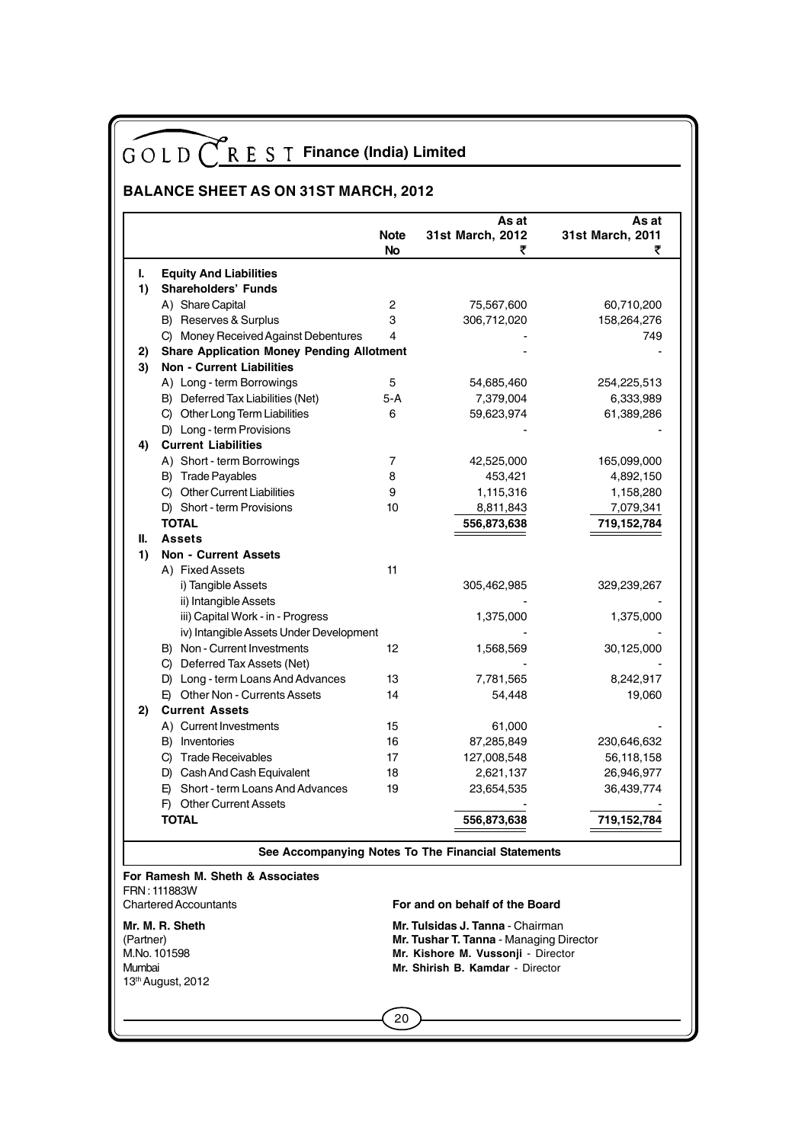## **BALANCE SHEET AS ON 31ST MARCH, 2012**

|           |                                                             | <b>Note</b><br><b>No</b> | As at<br>31st March, 2012<br>₹                     | As at<br>31st March, 2011<br>₹ |
|-----------|-------------------------------------------------------------|--------------------------|----------------------------------------------------|--------------------------------|
|           |                                                             |                          |                                                    |                                |
| L.<br>1)  | <b>Equity And Liabilities</b><br><b>Shareholders' Funds</b> |                          |                                                    |                                |
|           |                                                             |                          | 75,567,600                                         |                                |
|           | A) Share Capital                                            | 2<br>3                   |                                                    | 60,710,200                     |
|           | B) Reserves & Surplus                                       | 4                        | 306,712,020                                        | 158,264,276                    |
|           | C) Money Received Against Debentures                        |                          |                                                    | 749                            |
| 2)        | <b>Share Application Money Pending Allotment</b>            |                          |                                                    |                                |
| 3)        | <b>Non - Current Liabilities</b>                            |                          |                                                    |                                |
|           | A) Long - term Borrowings                                   | 5                        | 54,685,460                                         | 254,225,513                    |
|           | B) Deferred Tax Liabilities (Net)                           | 5-A                      | 7,379,004                                          | 6,333,989                      |
|           | C) Other Long Term Liabilities                              | 6                        | 59,623,974                                         | 61,389,286                     |
|           | D) Long - term Provisions                                   |                          |                                                    |                                |
| 4)        | <b>Current Liabilities</b>                                  |                          |                                                    |                                |
|           | A) Short - term Borrowings                                  | 7                        | 42,525,000                                         | 165,099,000                    |
|           | B) Trade Payables                                           | 8                        | 453,421                                            | 4,892,150                      |
|           | C) Other Current Liabilities                                | 9                        | 1,115,316                                          | 1,158,280                      |
|           | D) Short - term Provisions                                  | 10                       | 8,811,843                                          | 7,079,341                      |
|           | <b>TOTAL</b>                                                |                          | 556,873,638                                        | 719,152,784                    |
| Ш.        | <b>Assets</b>                                               |                          |                                                    |                                |
| 1)        | <b>Non - Current Assets</b>                                 |                          |                                                    |                                |
|           | A) Fixed Assets                                             | 11                       |                                                    |                                |
|           | i) Tangible Assets                                          |                          | 305,462,985                                        | 329,239,267                    |
|           | ii) Intangible Assets                                       |                          |                                                    |                                |
|           | iii) Capital Work - in - Progress                           |                          | 1,375,000                                          | 1,375,000                      |
|           | iv) Intangible Assets Under Development                     |                          |                                                    |                                |
|           | B) Non - Current Investments                                | 12                       | 1,568,569                                          | 30,125,000                     |
|           | C) Deferred Tax Assets (Net)                                |                          |                                                    |                                |
|           | D) Long - term Loans And Advances                           | 13                       | 7,781,565                                          | 8,242,917                      |
|           | E) Other Non - Currents Assets                              | 14                       | 54,448                                             | 19,060                         |
|           | <b>Current Assets</b>                                       |                          |                                                    |                                |
| 2)        |                                                             |                          |                                                    |                                |
|           | A) Current Investments                                      | 15                       | 61,000                                             |                                |
|           | B) Inventories                                              | 16                       | 87,285,849                                         | 230,646,632                    |
|           | C) Trade Receivables                                        | 17                       | 127,008,548                                        | 56,118,158                     |
|           | D) Cash And Cash Equivalent                                 | 18                       | 2,621,137                                          | 26,946,977                     |
|           | Short - term Loans And Advances<br>E)                       | 19                       | 23,654,535                                         | 36,439,774                     |
|           | F) Other Current Assets                                     |                          |                                                    |                                |
|           | TOTAL                                                       |                          | 556,873,638                                        | 719,152,784                    |
|           |                                                             |                          |                                                    |                                |
|           |                                                             |                          | See Accompanying Notes To The Financial Statements |                                |
|           | For Ramesh M. Sheth & Associates<br>FRN: 111883W            |                          |                                                    |                                |
|           | <b>Chartered Accountants</b>                                |                          | For and on behalf of the Board                     |                                |
|           | Mr. M. R. Sheth                                             |                          | <b>Mr. Tulsidas J. Tanna - Chairman</b>            |                                |
| (Partner) |                                                             |                          | Mr. Tushar T. Tanna - Managing Director            |                                |
|           | M.No. 101598                                                |                          | Mr. Kishore M. Vussonji - Director                 |                                |
| Mumbai    |                                                             |                          | Mr. Shirish B. Kamdar - Director                   |                                |
|           | 13 <sup>th</sup> August, 2012                               |                          |                                                    |                                |
|           |                                                             |                          |                                                    |                                |
|           |                                                             | 20                       |                                                    |                                |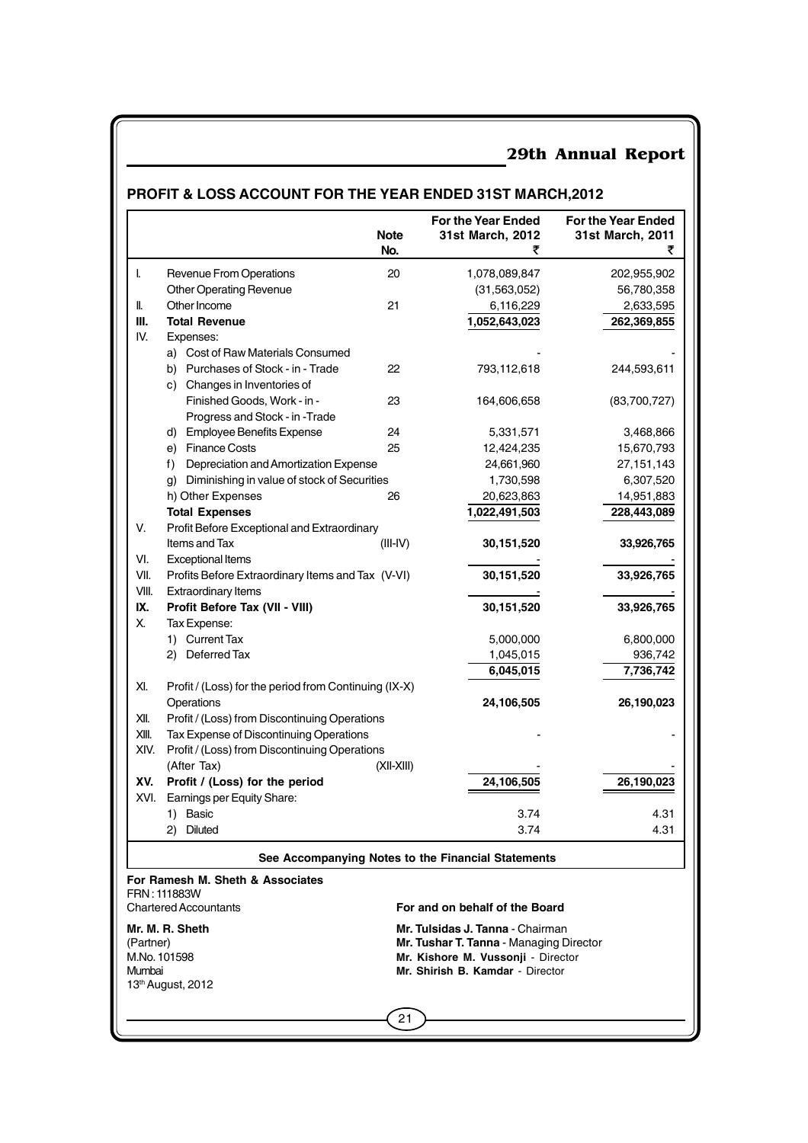## **PROFIT & LOSS ACCOUNT FOR THE YEAR ENDED 31ST MARCH,2012**

|           |                                                       | <b>Note</b><br>No. | For the Year Ended<br>31st March, 2012             | For the Year Ended<br>31st March, 2011<br>₹ |
|-----------|-------------------------------------------------------|--------------------|----------------------------------------------------|---------------------------------------------|
| L         | Revenue From Operations                               | 20                 | 1,078,089,847                                      | 202,955,902                                 |
|           | Other Operating Revenue                               |                    | (31, 563, 052)                                     | 56,780,358                                  |
| II.       | Other Income                                          | 21                 | 6,116,229                                          | 2,633,595                                   |
| Ш.        | <b>Total Revenue</b>                                  |                    | 1,052,643,023                                      | 262,369,855                                 |
| IV.       | Expenses:                                             |                    |                                                    |                                             |
|           | a) Cost of Raw Materials Consumed                     |                    |                                                    |                                             |
|           | b) Purchases of Stock - in - Trade                    | 22                 | 793,112,618                                        | 244,593,611                                 |
|           | c) Changes in Inventories of                          |                    |                                                    |                                             |
|           | Finished Goods, Work - in -                           | 23                 | 164,606,658                                        | (83,700,727)                                |
|           | Progress and Stock - in -Trade                        |                    |                                                    |                                             |
|           | d) Employee Benefits Expense                          | 24                 | 5,331,571                                          | 3,468,866                                   |
|           | e) Finance Costs                                      | 25                 | 12,424,235                                         | 15,670,793                                  |
|           | f)<br>Depreciation and Amortization Expense           |                    | 24,661,960                                         | 27,151,143                                  |
|           | Diminishing in value of stock of Securities<br>g)     |                    | 1,730,598                                          | 6,307,520                                   |
|           | h) Other Expenses                                     | 26                 | 20,623,863                                         | 14,951,883                                  |
|           | <b>Total Expenses</b>                                 |                    | 1,022,491,503                                      | 228,443,089                                 |
| V.        | Profit Before Exceptional and Extraordinary           |                    |                                                    |                                             |
|           | Items and Tax                                         | $(III-IV)$         | 30,151,520                                         | 33,926,765                                  |
| VI.       | <b>Exceptional Items</b>                              |                    |                                                    |                                             |
| VII.      | Profits Before Extraordinary Items and Tax (V-VI)     |                    | 30,151,520                                         | 33,926,765                                  |
| VIII.     | <b>Extraordinary Items</b>                            |                    |                                                    |                                             |
| IX.       | Profit Before Tax (VII - VIII)                        |                    | 30,151,520                                         | 33,926,765                                  |
| Х.        | Tax Expense:                                          |                    |                                                    |                                             |
|           | 1) Current Tax                                        |                    | 5,000,000                                          | 6,800,000                                   |
|           | 2) Deferred Tax                                       |                    | 1,045,015                                          | 936,742                                     |
|           |                                                       |                    | 6,045,015                                          | 7,736,742                                   |
| XI.       | Profit / (Loss) for the period from Continuing (IX-X) |                    |                                                    |                                             |
|           | Operations                                            |                    | 24,106,505                                         | 26,190,023                                  |
| XII.      | Profit / (Loss) from Discontinuing Operations         |                    |                                                    |                                             |
| XIII.     | Tax Expense of Discontinuing Operations               |                    |                                                    |                                             |
| XIV.      | Profit / (Loss) from Discontinuing Operations         |                    |                                                    |                                             |
|           | (After Tax)                                           | (XII-XIII)         |                                                    |                                             |
| XV.       | Profit / (Loss) for the period                        |                    | 24,106,505                                         | 26,190,023                                  |
| XVI.      | Earnings per Equity Share:                            |                    |                                                    |                                             |
|           | 1) Basic                                              |                    | 3.74                                               | 4.31                                        |
|           | Diluted<br>2)                                         |                    | 3.74                                               | 4.31                                        |
|           |                                                       |                    | See Accompanying Notes to the Financial Statements |                                             |
|           | For Ramesh M. Sheth & Associates                      |                    |                                                    |                                             |
|           | FRN: 111883W<br><b>Chartered Accountants</b>          |                    | For and on behalf of the Board                     |                                             |
|           | Mr. M. R. Sheth                                       |                    | <b>Mr. Tulsidas J. Tanna -</b> Chairman            |                                             |
| (Partner) |                                                       |                    | Mr. Tushar T. Tanna - Managing Director            |                                             |
|           | M.No. 101598                                          |                    | Mr. Kishore M. Vussonji - Director                 |                                             |
| Mumbai    |                                                       |                    | Mr. Shirish B. Kamdar - Director                   |                                             |
|           | 13th August, 2012                                     |                    |                                                    |                                             |
|           |                                                       |                    |                                                    |                                             |
|           |                                                       | 21                 |                                                    |                                             |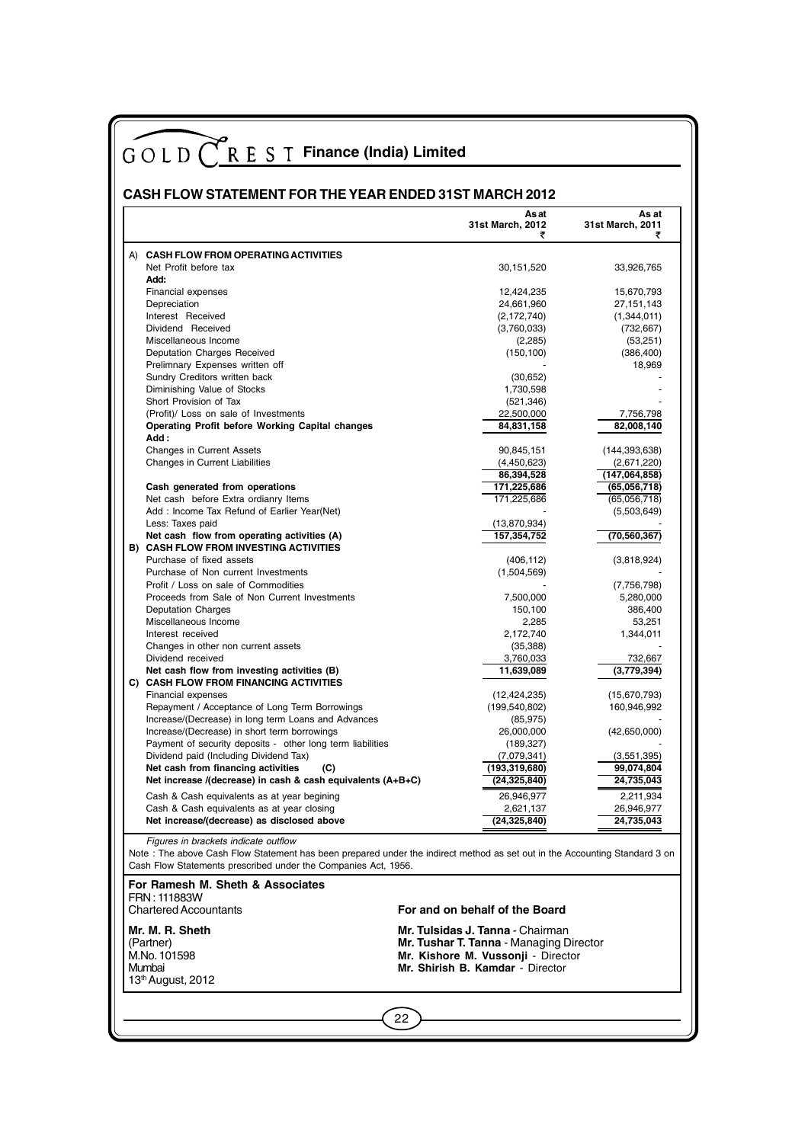| GOLD (REST Finance (India) Limited<br><b>CASH FLOW STATEMENT FOR THE YEAR ENDED 31ST MARCH 2012</b>                                                                                                                                                                                                               |                                                                                                                                                            |                                |
|-------------------------------------------------------------------------------------------------------------------------------------------------------------------------------------------------------------------------------------------------------------------------------------------------------------------|------------------------------------------------------------------------------------------------------------------------------------------------------------|--------------------------------|
|                                                                                                                                                                                                                                                                                                                   | Asat<br>31st March, 2012<br>₹                                                                                                                              | As at<br>31st March, 2011<br>₹ |
| A) CASH FLOW FROM OPERATING ACTIVITIES                                                                                                                                                                                                                                                                            |                                                                                                                                                            |                                |
| Net Profit before tax                                                                                                                                                                                                                                                                                             | 30,151,520                                                                                                                                                 | 33,926,765                     |
| Add:                                                                                                                                                                                                                                                                                                              |                                                                                                                                                            |                                |
| Financial expenses                                                                                                                                                                                                                                                                                                | 12,424,235                                                                                                                                                 | 15,670,793                     |
| Depreciation<br>Interest Received                                                                                                                                                                                                                                                                                 | 24,661,960<br>(2, 172, 740)                                                                                                                                | 27,151,143<br>(1,344,011)      |
| Dividend Received                                                                                                                                                                                                                                                                                                 | (3,760,033)                                                                                                                                                | (732, 667)                     |
| Miscellaneous Income                                                                                                                                                                                                                                                                                              | (2,285)                                                                                                                                                    | (53,251)                       |
| Deputation Charges Received                                                                                                                                                                                                                                                                                       | (150, 100)                                                                                                                                                 | (386, 400)                     |
| Prelimnary Expenses written off                                                                                                                                                                                                                                                                                   |                                                                                                                                                            | 18,969                         |
| Sundry Creditors written back<br>Diminishing Value of Stocks                                                                                                                                                                                                                                                      | (30, 652)<br>1,730,598                                                                                                                                     |                                |
| Short Provision of Tax                                                                                                                                                                                                                                                                                            | (521, 346)                                                                                                                                                 |                                |
| (Profit)/ Loss on sale of Investments                                                                                                                                                                                                                                                                             | 22,500,000                                                                                                                                                 | 7,756,798                      |
| Operating Profit before Working Capital changes                                                                                                                                                                                                                                                                   | 84,831,158                                                                                                                                                 | 82,008,140                     |
| Add:                                                                                                                                                                                                                                                                                                              |                                                                                                                                                            |                                |
| <b>Changes in Current Assets</b>                                                                                                                                                                                                                                                                                  | 90,845,151                                                                                                                                                 | (144, 393, 638)                |
| Changes in Current Liabilities                                                                                                                                                                                                                                                                                    | (4,450,623)<br>86,394,528                                                                                                                                  | (2,671,220)<br>(147,064,858)   |
| Cash generated from operations                                                                                                                                                                                                                                                                                    | 171,225,686                                                                                                                                                | (65,056,718)                   |
| Net cash before Extra ordianry Items                                                                                                                                                                                                                                                                              | 171,225,686                                                                                                                                                | (65,056,718)                   |
| Add: Income Tax Refund of Earlier Year(Net)                                                                                                                                                                                                                                                                       |                                                                                                                                                            | (5,503,649)                    |
| Less: Taxes paid                                                                                                                                                                                                                                                                                                  | (13,870,934)                                                                                                                                               |                                |
| Net cash flow from operating activities (A)<br><b>B) CASH FLOW FROM INVESTING ACTIVITIES</b>                                                                                                                                                                                                                      | 157,354,752                                                                                                                                                | (70, 560, 367)                 |
| Purchase of fixed assets                                                                                                                                                                                                                                                                                          | (406, 112)                                                                                                                                                 | (3,818,924)                    |
| Purchase of Non current Investments                                                                                                                                                                                                                                                                               | (1,504,569)                                                                                                                                                |                                |
| Profit / Loss on sale of Commodities                                                                                                                                                                                                                                                                              |                                                                                                                                                            | (7,756,798)                    |
| Proceeds from Sale of Non Current Investments                                                                                                                                                                                                                                                                     | 7,500,000                                                                                                                                                  | 5,280,000                      |
| <b>Deputation Charges</b>                                                                                                                                                                                                                                                                                         | 150,100                                                                                                                                                    | 386,400                        |
| Miscellaneous Income<br>Interest received                                                                                                                                                                                                                                                                         | 2,285<br>2,172,740                                                                                                                                         | 53,251<br>1,344,011            |
| Changes in other non current assets                                                                                                                                                                                                                                                                               | (35, 388)                                                                                                                                                  |                                |
| Dividend received                                                                                                                                                                                                                                                                                                 | 3,760,033                                                                                                                                                  | 732,667                        |
| Net cash flow from investing activities (B)                                                                                                                                                                                                                                                                       | 11,639,089                                                                                                                                                 | (3,779,394)                    |
| C) CASH FLOW FROM FINANCING ACTIVITIES                                                                                                                                                                                                                                                                            |                                                                                                                                                            |                                |
| Financial expenses<br>Repayment / Acceptance of Long Term Borrowings                                                                                                                                                                                                                                              | (12, 424, 235)<br>(199,540,802)                                                                                                                            | (15,670,793)<br>160,946,992    |
| Increase/(Decrease) in long term Loans and Advances                                                                                                                                                                                                                                                               | (85, 975)                                                                                                                                                  |                                |
| Increase/(Decrease) in short term borrowings                                                                                                                                                                                                                                                                      | 26,000,000                                                                                                                                                 | (42, 650, 000)                 |
| Payment of security deposits - other long term liabilities                                                                                                                                                                                                                                                        | (189, 327)                                                                                                                                                 |                                |
| Dividend paid (Including Dividend Tax)                                                                                                                                                                                                                                                                            | (7,079,341)                                                                                                                                                | (3,551,395)                    |
| Net cash from financing activities<br>(C)<br>Net increase /(decrease) in cash & cash equivalents (A+B+C)                                                                                                                                                                                                          | (193,319,680)<br>(24, 325, 840)                                                                                                                            | 99,074,804<br>24,735,043       |
|                                                                                                                                                                                                                                                                                                                   |                                                                                                                                                            |                                |
| Cash & Cash equivalents as at year begining<br>Cash & Cash equivalents as at year closing                                                                                                                                                                                                                         | 26,946,977<br>2,621,137                                                                                                                                    | 2,211,934<br>26,946,977        |
| Net increase/(decrease) as disclosed above                                                                                                                                                                                                                                                                        | (24, 325, 840)                                                                                                                                             | 24,735,043                     |
| Figures in brackets indicate outflow<br>Note: The above Cash Flow Statement has been prepared under the indirect method as set out in the Accounting Standard 3 on<br>Cash Flow Statements prescribed under the Companies Act, 1956.<br>For Ramesh M. Sheth & Associates<br>FRN: 111883W<br>Chartered Accountants | For and on behalf of the Board                                                                                                                             |                                |
| Mr. M. R. Sheth<br>(Partner)<br>M.No. 101598<br>Mumbai                                                                                                                                                                                                                                                            | <b>Mr. Tulsidas J. Tanna - Chairman</b><br>Mr. Tushar T. Tanna - Managing Director<br>Mr. Kishore M. Vussonji - Director<br>Mr. Shirish B. Kamdar Director |                                |
| 13th August, 2012                                                                                                                                                                                                                                                                                                 |                                                                                                                                                            |                                |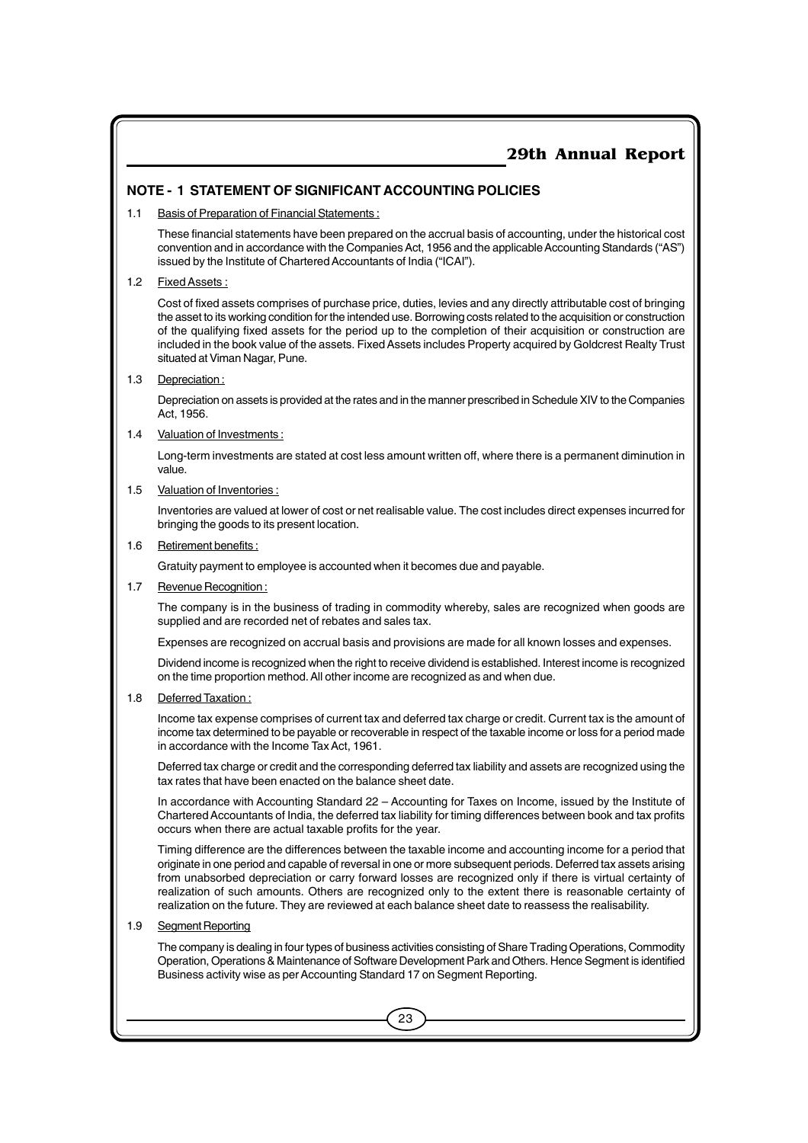#### **NOTE - 1 STATEMENT OF SIGNIFICANT ACCOUNTING POLICIES**

1.1 Basis of Preparation of Financial Statements :

These financial statements have been prepared on the accrual basis of accounting, under the historical cost convention and in accordance with the Companies Act, 1956 and the applicable Accounting Standards ("AS") issued by the Institute of Chartered Accountants of India ("ICAI").

#### 1.2 Fixed Assets :

Cost of fixed assets comprises of purchase price, duties, levies and any directly attributable cost of bringing the asset to its working condition for the intended use. Borrowing costs related to the acquisition or construction of the qualifying fixed assets for the period up to the completion of their acquisition or construction are included in the book value of the assets. Fixed Assets includes Property acquired by Goldcrest Realty Trust situated at Viman Nagar, Pune.

1.3 Depreciation:

Depreciation on assets is provided at the rates and in the manner prescribed in Schedule XIV to the Companies Act, 1956.

#### 1.4 Valuation of Investments :

Long-term investments are stated at cost less amount written off, where there is a permanent diminution in value.

#### 1.5 Valuation of Inventories :

Inventories are valued at lower of cost or net realisable value. The cost includes direct expenses incurred for bringing the goods to its present location.

#### 1.6 Retirement benefits :

Gratuity payment to employee is accounted when it becomes due and payable.

#### 1.7 Revenue Recognition :

The company is in the business of trading in commodity whereby, sales are recognized when goods are supplied and are recorded net of rebates and sales tax.

Expenses are recognized on accrual basis and provisions are made for all known losses and expenses.

Dividend income is recognized when the right to receive dividend is established. Interest income is recognized on the time proportion method. All other income are recognized as and when due.

#### 1.8 Deferred Taxation :

Income tax expense comprises of current tax and deferred tax charge or credit. Current tax is the amount of income tax determined to be payable or recoverable in respect of the taxable income or loss for a period made in accordance with the Income Tax Act, 1961.

Deferred tax charge or credit and the corresponding deferred tax liability and assets are recognized using the tax rates that have been enacted on the balance sheet date.

In accordance with Accounting Standard 22 – Accounting for Taxes on Income, issued by the Institute of Chartered Accountants of India, the deferred tax liability for timing differences between book and tax profits occurs when there are actual taxable profits for the year.

Timing difference are the differences between the taxable income and accounting income for a period that originate in one period and capable of reversal in one or more subsequent periods. Deferred tax assets arising from unabsorbed depreciation or carry forward losses are recognized only if there is virtual certainty of realization of such amounts. Others are recognized only to the extent there is reasonable certainty of realization on the future. They are reviewed at each balance sheet date to reassess the realisability.

#### 1.9 Segment Reporting

The company is dealing in four types of business activities consisting of Share Trading Operations, Commodity Operation, Operations & Maintenance of Software Development Park and Others. Hence Segment is identified Business activity wise as per Accounting Standard 17 on Segment Reporting.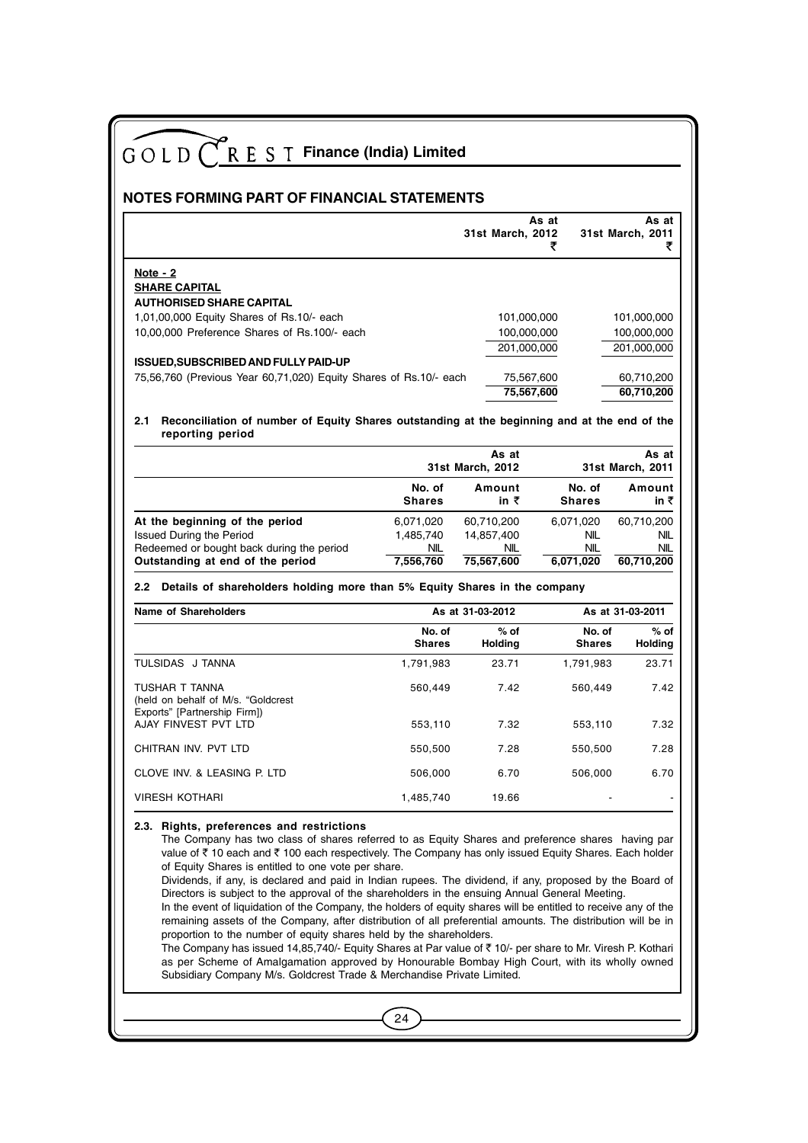| $GOLD$ <sup><math>C</math></sup><br>R E S T Finance (India) Limited                                                     |                         |                           |                         |                                |
|-------------------------------------------------------------------------------------------------------------------------|-------------------------|---------------------------|-------------------------|--------------------------------|
| NOTES FORMING PART OF FINANCIAL STATEMENTS                                                                              |                         |                           |                         |                                |
|                                                                                                                         |                         | 31st March, 2012          | As at<br>₹              | As at<br>31st March, 2011<br>₹ |
| Note - 2                                                                                                                |                         |                           |                         |                                |
| <b>SHARE CAPITAL</b><br><b>AUTHORISED SHARE CAPITAL</b>                                                                 |                         |                           |                         |                                |
| 1,01,00,000 Equity Shares of Rs.10/- each                                                                               |                         | 101,000,000               |                         | 101,000,000                    |
| 10.00.000 Preference Shares of Rs.100/- each                                                                            |                         | 100,000,000               |                         | 100,000,000                    |
|                                                                                                                         |                         | 201,000,000               |                         | 201,000,000                    |
| <b>ISSUED, SUBSCRIBED AND FULLY PAID-UP</b>                                                                             |                         |                           |                         |                                |
| 75,56,760 (Previous Year 60,71,020) Equity Shares of Rs.10/- each                                                       |                         | 75,567,600                |                         | 60,710,200                     |
|                                                                                                                         |                         | 75,567,600                |                         | 60,710,200                     |
| Reconciliation of number of Equity Shares outstanding at the beginning and at the end of the<br>2.1<br>reporting period |                         | As at<br>31st March, 2012 |                         | As at<br>31st March, 2011      |
|                                                                                                                         | No. of<br>Shares        | Amount<br>in ₹            | No. of<br><b>Shares</b> | Amount<br>in ₹                 |
| At the beginning of the period                                                                                          | 6,071,020               | 60,710,200                | 6.071.020               | 60,710,200                     |
| <b>Issued During the Period</b>                                                                                         | 1,485,740               | 14,857,400                | NIL.                    | NIL                            |
| Redeemed or bought back during the period<br>Outstanding at end of the period                                           | NIL<br>7,556,760        | NIL<br>75,567,600         | <b>NIL</b><br>6.071.020 | <b>NIL</b><br>60,710,200       |
| Details of shareholders holding more than 5% Equity Shares in the company<br>2.2                                        |                         |                           |                         |                                |
| <b>Name of Shareholders</b>                                                                                             |                         | As at 31-03-2012          |                         | As at 31-03-2011               |
|                                                                                                                         | No. of<br><b>Shares</b> | $%$ of<br><b>Holding</b>  | No. of<br><b>Shares</b> | $%$ of<br><b>Holding</b>       |

|                                                      | .<br><b>Shares</b> | ,,,,,<br>Holdina | .<br><b>Shares</b> | ,,,,,<br>Holding |
|------------------------------------------------------|--------------------|------------------|--------------------|------------------|
| TULSIDAS J TANNA                                     | 1.791.983          | 23.71            | 1.791.983          | 23.71            |
| TUSHAR T TANNA<br>(held on behalf of M/s. "Goldcrest | 560.449            | 7.42             | 560.449            | 7.42             |
| Exports" [Partnership Firm])<br>AJAY FINVEST PVT LTD | 553.110            | 7.32             | 553.110            | 7.32             |

## CHITRAN INV. PVT LTD 550,500 7.28 550,500 7.28 CLOVE INV. & LEASING P. LTD 506,000 6.70 506,000 6.70 VIRESH KOTHARI 1,485,740 19.66

#### **2.3. Rights, preferences and restrictions**

The Company has two class of shares referred to as Equity Shares and preference shares having par value of  $\bar{z}$  10 each and  $\bar{z}$  100 each respectively. The Company has only issued Equity Shares. Each holder of Equity Shares is entitled to one vote per share.

Dividends, if any, is declared and paid in Indian rupees. The dividend, if any, proposed by the Board of Directors is subject to the approval of the shareholders in the ensuing Annual General Meeting.

In the event of liquidation of the Company, the holders of equity shares will be entitled to receive any of the remaining assets of the Company, after distribution of all preferential amounts. The distribution will be in proportion to the number of equity shares held by the shareholders.

The Company has issued 14,85,740/- Equity Shares at Par value of ` 10/- per share to Mr. Viresh P. Kothari as per Scheme of Amalgamation approved by Honourable Bombay High Court, with its wholly owned Subsidiary Company M/s. Goldcrest Trade & Merchandise Private Limited.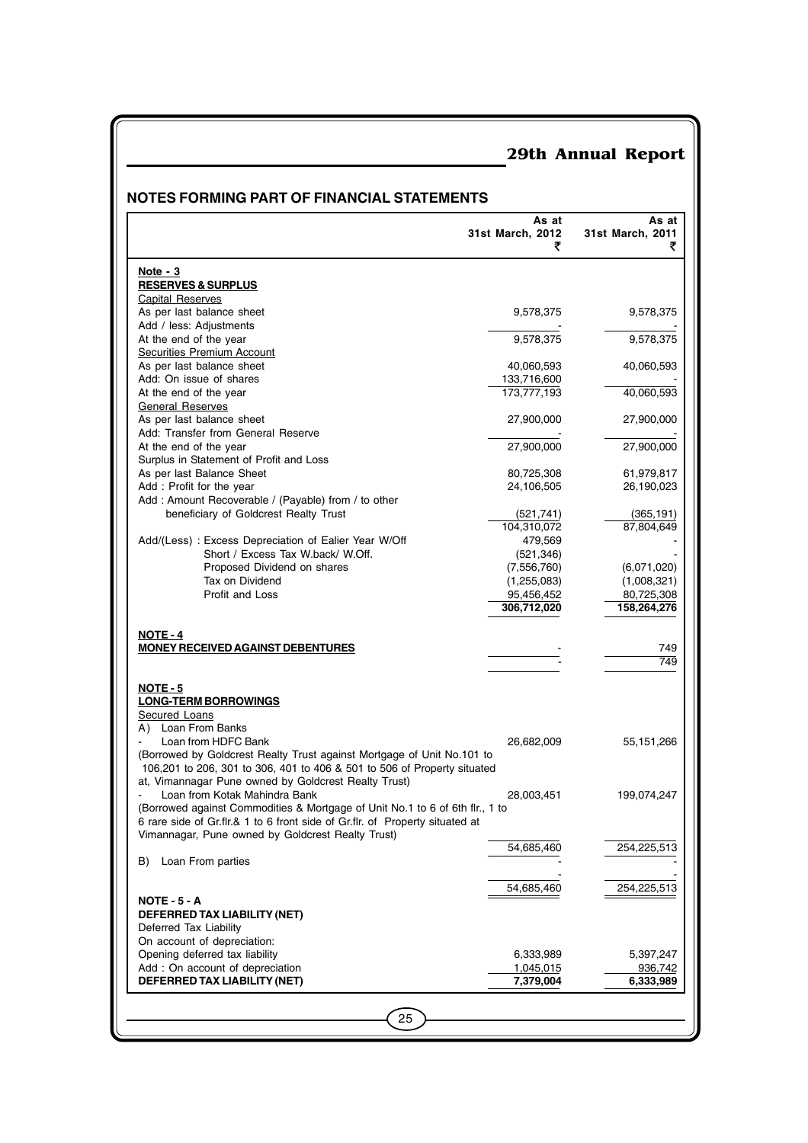### **NOTES FORMING PART OF FINANCIAL STATEMENTS**

|                                                                              | As at<br>31st March, 2012<br>₹ | As at<br>31st March, 2011<br>₹ |
|------------------------------------------------------------------------------|--------------------------------|--------------------------------|
| Note - 3                                                                     |                                |                                |
| <b>RESERVES &amp; SURPLUS</b>                                                |                                |                                |
| Capital Reserves                                                             |                                |                                |
| As per last balance sheet                                                    | 9,578,375                      | 9,578,375                      |
| Add / less: Adjustments                                                      |                                |                                |
| At the end of the year                                                       | 9,578,375                      | 9,578,375                      |
| Securities Premium Account                                                   |                                |                                |
| As per last balance sheet                                                    | 40,060,593                     | 40,060,593                     |
| Add: On issue of shares                                                      | 133,716,600                    |                                |
| At the end of the year                                                       | 173,777,193                    | 40,060,593                     |
| <b>General Reserves</b>                                                      |                                |                                |
| As per last balance sheet                                                    | 27,900,000                     | 27,900,000                     |
| Add: Transfer from General Reserve                                           |                                |                                |
| At the end of the year                                                       | 27,900,000                     | 27,900,000                     |
| Surplus in Statement of Profit and Loss                                      |                                |                                |
| As per last Balance Sheet                                                    | 80,725,308                     | 61,979,817                     |
| Add: Profit for the year                                                     | 24,106,505                     | 26,190,023                     |
| Add: Amount Recoverable / (Payable) from / to other                          |                                |                                |
| beneficiary of Goldcrest Realty Trust                                        | (521, 741)<br>104,310,072      | (365, 191)<br>87,804,649       |
| Add/(Less): Excess Depreciation of Ealier Year W/Off                         | 479,569                        |                                |
| Short / Excess Tax W.back/ W.Off.                                            | (521, 346)                     |                                |
| Proposed Dividend on shares                                                  | (7,556,760)                    | (6,071,020)                    |
| Tax on Dividend                                                              | (1,255,083)                    | (1,008,321)                    |
| Profit and Loss                                                              | 95,456,452                     | 80,725,308                     |
|                                                                              | 306,712,020                    | 158,264,276                    |
| <b>NOTE - 4</b><br><b>MONEY RECEIVED AGAINST DEBENTURES</b>                  |                                | 749<br>749                     |
|                                                                              |                                |                                |
| <b>NOTE - 5</b>                                                              |                                |                                |
| <b>LONG-TERM BORROWINGS</b><br><b>Secured Loans</b>                          |                                |                                |
| A) Loan From Banks                                                           |                                |                                |
| Loan from HDFC Bank                                                          | 26,682,009                     | 55,151,266                     |
| (Borrowed by Goldcrest Realty Trust against Mortgage of Unit No.101 to       |                                |                                |
| 106,201 to 206, 301 to 306, 401 to 406 & 501 to 506 of Property situated     |                                |                                |
| at, Vimannagar Pune owned by Goldcrest Realty Trust)                         |                                |                                |
| Loan from Kotak Mahindra Bank                                                | 28,003,451                     | 199,074,247                    |
| (Borrowed against Commodities & Mortgage of Unit No.1 to 6 of 6th flr., 1 to |                                |                                |
| 6 rare side of Gr.flr.& 1 to 6 front side of Gr.flr. of Property situated at |                                |                                |
| Vimannagar, Pune owned by Goldcrest Realty Trust)                            |                                |                                |
|                                                                              | 54,685,460                     | 254,225,513                    |
| B)<br>Loan From parties                                                      |                                |                                |
|                                                                              |                                |                                |
|                                                                              | 54,685,460                     | 254,225,513                    |
| <b>NOTE - 5 - A</b>                                                          |                                |                                |
| DEFERRED TAX LIABILITY (NET)<br>Deferred Tax Liability                       |                                |                                |
| On account of depreciation:                                                  |                                |                                |
| Opening deferred tax liability                                               | 6,333,989                      | 5,397,247                      |
| Add : On account of depreciation                                             | 1,045,015                      | 936,742                        |
| DEFERRED TAX LIABILITY (NET)                                                 | 7,379,004                      | 6,333,989                      |
|                                                                              |                                |                                |
|                                                                              |                                |                                |
| 25                                                                           |                                |                                |
|                                                                              |                                |                                |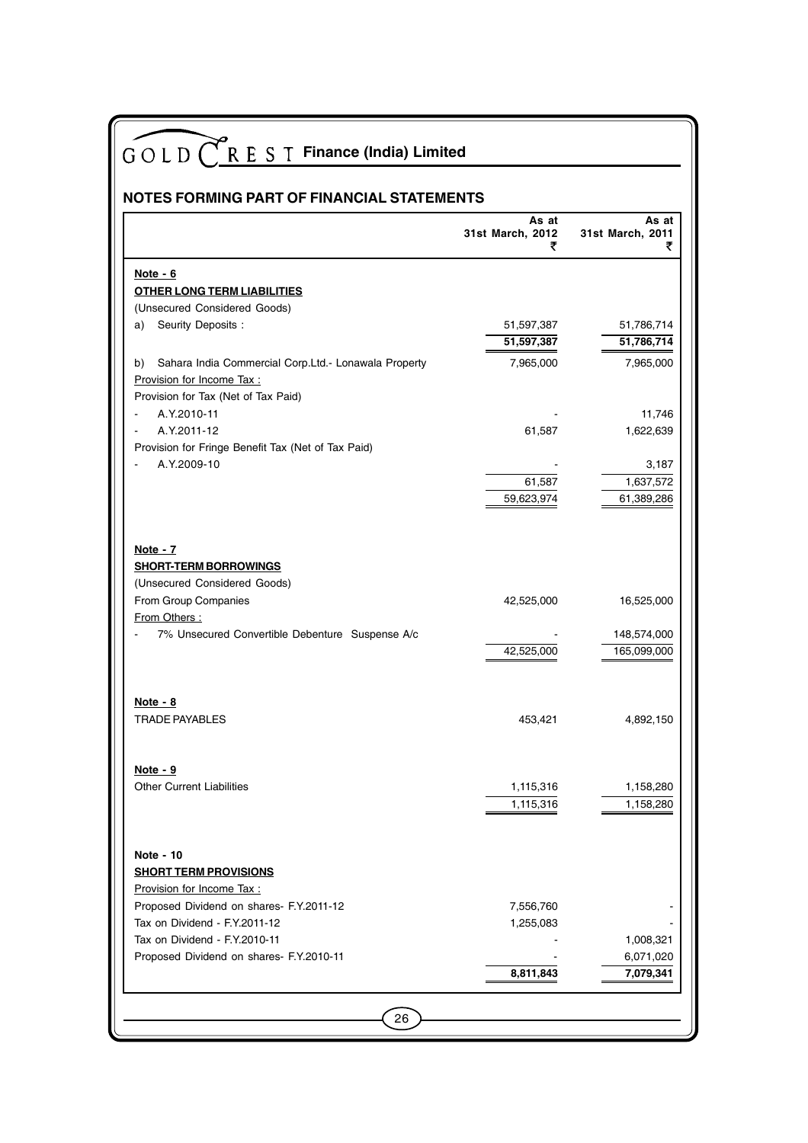| <b>NOTES FORMING PART OF FINANCIAL STATEMENTS</b>                                                                   | GOLD CREST Finance (India) Limited |                                |
|---------------------------------------------------------------------------------------------------------------------|------------------------------------|--------------------------------|
|                                                                                                                     | As at<br>31st March, 2012<br>₹     | As at<br>31st March, 2011<br>₹ |
| Note $-6$                                                                                                           |                                    |                                |
| <b>OTHER LONG TERM LIABILITIES</b>                                                                                  |                                    |                                |
| (Unsecured Considered Goods)                                                                                        |                                    |                                |
| Seurity Deposits:<br>a)                                                                                             | 51,597,387<br>51,597,387           | 51,786,714<br>51,786,714       |
| Sahara India Commercial Corp.Ltd.- Lonawala Property<br>b)                                                          | 7,965,000                          | 7,965,000                      |
| Provision for Income Tax:                                                                                           |                                    |                                |
| Provision for Tax (Net of Tax Paid)                                                                                 |                                    |                                |
| A.Y.2010-11                                                                                                         |                                    | 11,746                         |
| A.Y.2011-12                                                                                                         | 61,587                             | 1,622,639                      |
| Provision for Fringe Benefit Tax (Net of Tax Paid)                                                                  |                                    |                                |
| A.Y.2009-10                                                                                                         |                                    | 3,187                          |
|                                                                                                                     | 61,587                             | 1,637,572                      |
|                                                                                                                     | 59,623,974                         | 61,389,286                     |
| Note - 7<br><b>SHORT-TERM BORROWINGS</b>                                                                            |                                    |                                |
| (Unsecured Considered Goods)                                                                                        |                                    |                                |
| From Group Companies                                                                                                | 42,525,000                         | 16,525,000                     |
| From Others:                                                                                                        |                                    |                                |
| 7% Unsecured Convertible Debenture Suspense A/c                                                                     | 42,525,000                         | 148,574,000<br>165,099,000     |
| <u>Note - 8</u>                                                                                                     |                                    |                                |
| TRADE PAYABLES                                                                                                      | 453,421                            | 4,892,150                      |
| Note $-9$                                                                                                           |                                    |                                |
| <b>Other Current Liabilities</b>                                                                                    | 1,115,316<br>1,115,316             | 1,158,280<br>1,158,280         |
| Note - 10<br><b>SHORT TERM PROVISIONS</b><br>Provision for Income Tax :<br>Proposed Dividend on shares- F.Y.2011-12 | 7,556,760                          |                                |
| Tax on Dividend - F.Y.2011-12                                                                                       | 1,255,083                          |                                |
| Tax on Dividend - F.Y.2010-11                                                                                       |                                    | 1,008,321                      |
| Proposed Dividend on shares- F.Y.2010-11                                                                            |                                    | 6,071,020                      |
|                                                                                                                     | 8,811,843                          | 7,079,341                      |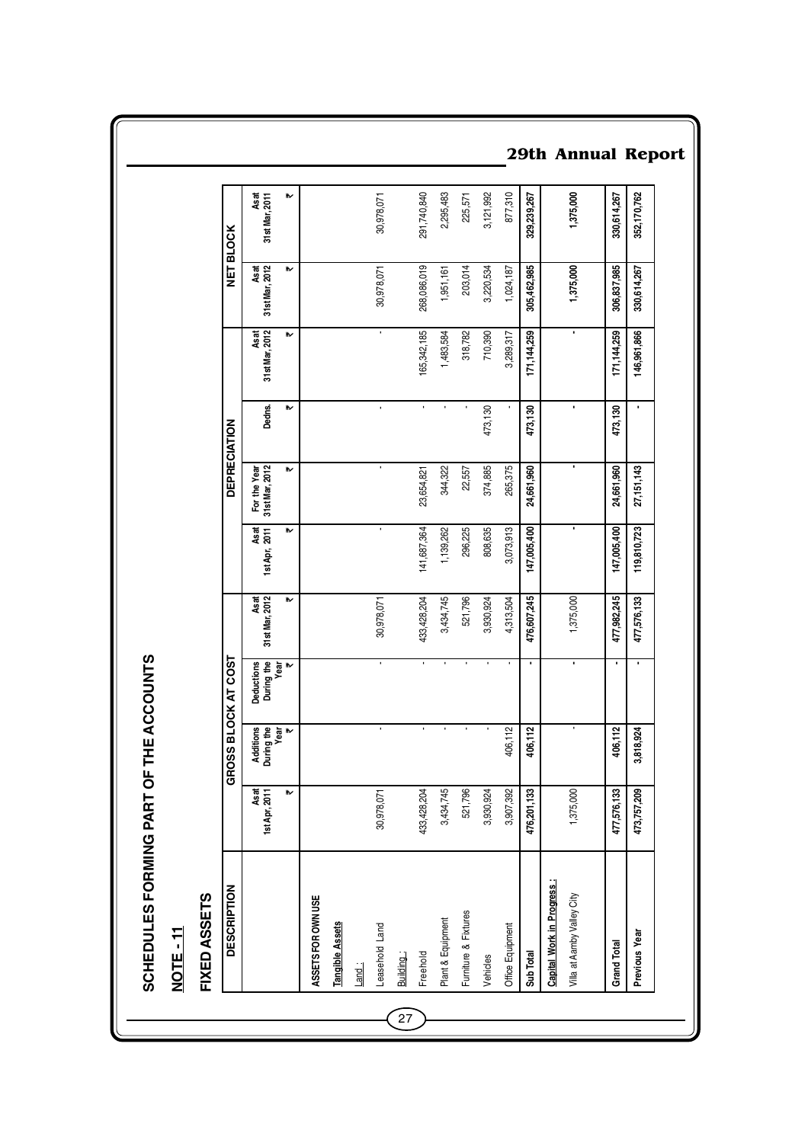| <b>DESCRIPTION</b>         |                       | GROSS                                   | <b>BLOCK AT COST</b>             |                        |                       |                                | <b>DEPRECIATION</b> |                        |                        | <b>NET BLOCK</b>         |
|----------------------------|-----------------------|-----------------------------------------|----------------------------------|------------------------|-----------------------|--------------------------------|---------------------|------------------------|------------------------|--------------------------|
|                            | Asat<br>1st Apr, 2011 | Additions<br>During the<br>Year<br>Year | Deductions<br>During the<br>Year | Asat<br>31st Mar, 2012 | Asat<br>1st Apr, 2011 | 31st Mar, 2012<br>For the Year | Dedns.              | Asat<br>31st Mar, 2012 | Asat<br>31st Mar, 2012 | As at<br>31 st Mar, 2011 |
|                            | ₩                     |                                         | ₩                                | ⋫                      | ₩                     | ₩                              | ₩                   | ₩                      | ₩                      | ₩                        |
| ASSETS FOR OWN USE         |                       |                                         |                                  |                        |                       |                                |                     |                        |                        |                          |
| <b>Tangible Assets</b>     |                       |                                         |                                  |                        |                       |                                |                     |                        |                        |                          |
| Land:                      |                       |                                         |                                  |                        |                       |                                |                     |                        |                        |                          |
| Leasehold Land             | 30,978,071            |                                         | ٠                                | 30,978,071             |                       | ٠                              | $\blacksquare$      | ٠                      | 30,978,071             | 30,978,071               |
| Building:                  |                       |                                         |                                  |                        |                       |                                |                     |                        |                        |                          |
| Freehold                   | 433, 428, 204         | ï                                       | $\blacksquare$                   | 433,428,204            | 141,687,364           | 23,654,821                     | $\blacksquare$      | 165,342,185            | 268,086,019            | 291,740,840              |
| Plant & Equipment          | 3,434,745             |                                         |                                  | 3,434,745              | 1,139,262             | 344,322                        |                     | 1,483,584              | 1,951,161              | 2,295,483                |
| Furniture & Fixtures       | 521,796               |                                         |                                  | 521,796                | 296,225               | 22,557                         |                     | 318,782                | 203,014                | 225,571                  |
| Vehicles                   | 3,930,924             |                                         |                                  | 3,930,924              | 808,635               | 374,885                        | 473,130             | 710,390                | 3,220,534              | 3,121,992                |
| Office Equipment           | 3,907,392             | 406,112                                 |                                  | 4,313,504              | 3,073,913             | 265,375                        |                     | 3,289,317              | 1,024,187              | 877,310                  |
| Sub Total                  | 476,201,133           | 406,112                                 | ٠                                | 476,607,245            | 147,005,400           | 24,661,960                     | 473,130             | 171, 144, 259          | 305,462,985            | 329,239,267              |
| Capital Work in Progress:  |                       |                                         |                                  |                        |                       |                                |                     |                        |                        |                          |
| Villa at Aamby Valley City | 1,375,000             |                                         |                                  | 1,375,000              |                       |                                | ı,                  | ٠                      | 1,375,000              | 1,375,000                |
| <b>Grand Total</b>         | 477,576,133           | 406,112                                 | ٠                                | 477,982,245            | 147,005,400           | 24,661,960                     | 473,130             | 171, 144, 259          | 306,837,985            | 330,614,267              |
| Previous Year              | 473,757,209           | 3,818,924                               |                                  | 477,576,133            | 119,810,723           | 27,151,143                     |                     | 146,961,866            | 330,614,267            | 352,170,762              |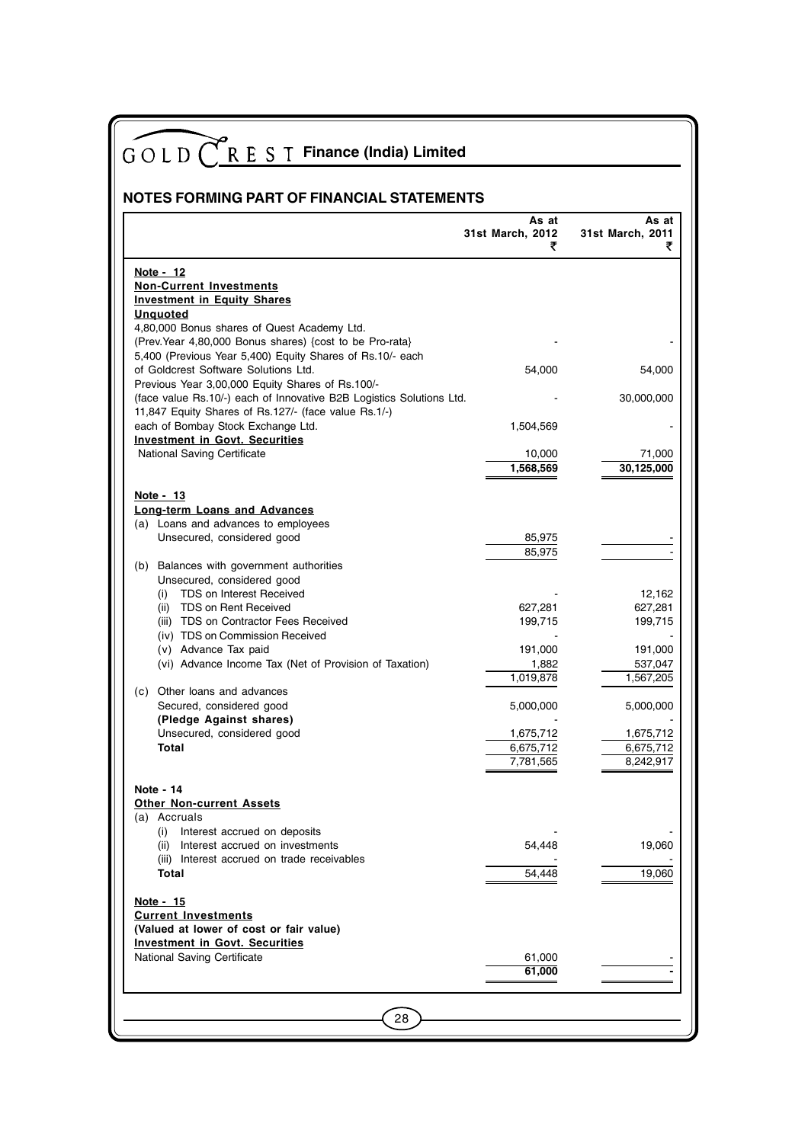| NOTES FORMING PART OF FINANCIAL STATEMENTS                                               |                                |                                |
|------------------------------------------------------------------------------------------|--------------------------------|--------------------------------|
|                                                                                          | As at<br>31st March, 2012<br>₹ | As at<br>31st March, 2011<br>₹ |
| Note - 12                                                                                |                                |                                |
| <b>Non-Current Investments</b>                                                           |                                |                                |
| <b>Investment in Equity Shares</b><br><b>Unquoted</b>                                    |                                |                                |
| 4,80,000 Bonus shares of Quest Academy Ltd.                                              |                                |                                |
| (Prev. Year 4,80,000 Bonus shares) {cost to be Pro-rata}                                 |                                |                                |
| 5,400 (Previous Year 5,400) Equity Shares of Rs.10/- each                                |                                |                                |
| of Goldcrest Software Solutions Ltd.<br>Previous Year 3,00,000 Equity Shares of Rs.100/- | 54,000                         | 54,000                         |
| (face value Rs.10/-) each of Innovative B2B Logistics Solutions Ltd.                     |                                | 30,000,000                     |
| 11,847 Equity Shares of Rs.127/- (face value Rs.1/-)                                     |                                |                                |
| each of Bombay Stock Exchange Ltd.                                                       | 1,504,569                      |                                |
| <b>Investment in Govt. Securities</b><br><b>National Saving Certificate</b>              |                                |                                |
|                                                                                          | 10,000<br>1,568,569            | 71,000<br>30,125,000           |
|                                                                                          |                                |                                |
| Note - 13                                                                                |                                |                                |
| Long-term Loans and Advances                                                             |                                |                                |
| (a) Loans and advances to employees<br>Unsecured, considered good                        | 85,975                         |                                |
|                                                                                          | 85,975                         |                                |
| (b) Balances with government authorities                                                 |                                |                                |
| Unsecured, considered good<br>TDS on Interest Received                                   |                                | 12,162                         |
| (i)<br>(ii) TDS on Rent Received                                                         | 627,281                        | 627,281                        |
| (iii) TDS on Contractor Fees Received                                                    | 199,715                        | 199,715                        |
| (iv) TDS on Commission Received                                                          |                                |                                |
| (v) Advance Tax paid<br>(vi) Advance Income Tax (Net of Provision of Taxation)           | 191,000                        | 191,000                        |
|                                                                                          | 1,882<br>1,019,878             | 537,047<br>1,567,205           |
| Other loans and advances<br>(c)                                                          |                                |                                |
| Secured, considered good                                                                 | 5,000,000                      | 5,000,000                      |
| (Pledge Against shares)<br>Unsecured, considered good                                    | 1,675,712                      | 1,675,712                      |
| Total                                                                                    | 6,675,712                      | 6,675,712                      |
|                                                                                          | 7,781,565                      | 8,242,917                      |
|                                                                                          |                                |                                |
| Note - 14<br><b>Other Non-current Assets</b>                                             |                                |                                |
| (a) Accruals                                                                             |                                |                                |
| (i) Interest accrued on deposits                                                         |                                |                                |
| (ii) Interest accrued on investments                                                     | 54,448                         | 19,060                         |
| (iii) Interest accrued on trade receivables<br>Total                                     | 54,448                         | 19,060                         |
|                                                                                          |                                |                                |
| <u>Note - 15</u>                                                                         |                                |                                |
| <b>Current Investments</b>                                                               |                                |                                |
| (Valued at lower of cost or fair value)<br><b>Investment in Govt. Securities</b>         |                                |                                |
| National Saving Certificate                                                              | 61,000                         |                                |
|                                                                                          | 61,000                         |                                |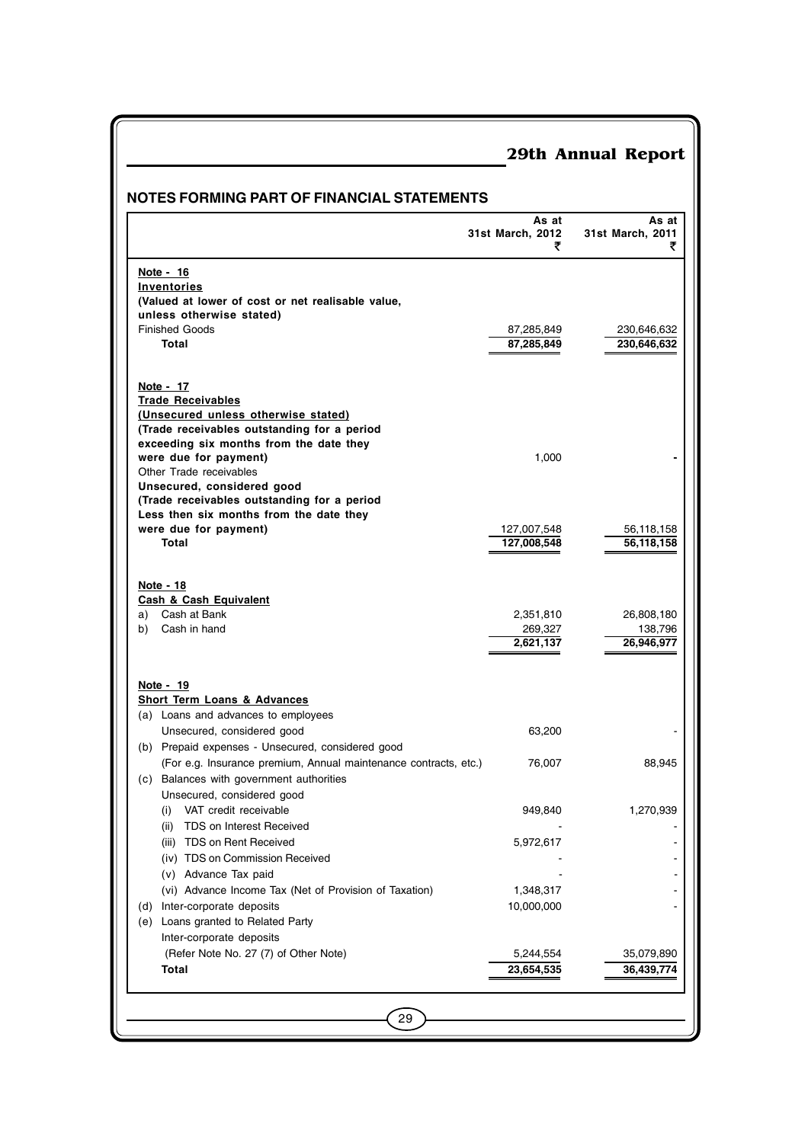|                                                                                    | <b>NOTES FORMING PART OF FINANCIAL STATEMENTS</b><br>As at | As at                      |
|------------------------------------------------------------------------------------|------------------------------------------------------------|----------------------------|
|                                                                                    | 31st March, 2012<br>₹                                      | 31st March, 2011<br>₹      |
| Note - 16                                                                          |                                                            |                            |
| Inventories                                                                        |                                                            |                            |
| (Valued at lower of cost or net realisable value,                                  |                                                            |                            |
| unless otherwise stated)                                                           |                                                            |                            |
| <b>Finished Goods</b><br>Total                                                     | 87,285,849<br>87,285,849                                   | 230,646,632<br>230,646,632 |
|                                                                                    |                                                            |                            |
| Note - 17                                                                          |                                                            |                            |
| <b>Trade Receivables</b>                                                           |                                                            |                            |
| (Unsecured unless otherwise stated)<br>(Trade receivables outstanding for a period |                                                            |                            |
| exceeding six months from the date they                                            |                                                            |                            |
| were due for payment)                                                              | 1,000                                                      |                            |
| Other Trade receivables                                                            |                                                            |                            |
| Unsecured, considered good                                                         |                                                            |                            |
| (Trade receivables outstanding for a period                                        |                                                            |                            |
| Less then six months from the date they                                            |                                                            |                            |
| were due for payment)<br>Total                                                     | 127,007,548<br>127,008,548                                 | 56,118,158<br>56,118,158   |
|                                                                                    |                                                            |                            |
| Note - 18                                                                          |                                                            |                            |
| <b>Cash &amp; Cash Equivalent</b>                                                  |                                                            |                            |
| Cash at Bank<br>a)                                                                 | 2,351,810                                                  | 26,808,180                 |
| Cash in hand<br>b)                                                                 | 269,327                                                    | 138,796                    |
|                                                                                    | 2,621,137                                                  | 26,946,977                 |
| Note - 19                                                                          |                                                            |                            |
| <b>Short Term Loans &amp; Advances</b>                                             |                                                            |                            |
| (a) Loans and advances to employees                                                |                                                            |                            |
| Unsecured, considered good                                                         | 63,200                                                     |                            |
| (b) Prepaid expenses - Unsecured, considered good                                  |                                                            |                            |
| (For e.g. Insurance premium, Annual maintenance contracts, etc.)                   | 76,007                                                     | 88,945                     |
| (c) Balances with government authorities                                           |                                                            |                            |
| Unsecured, considered good                                                         |                                                            |                            |
| VAT credit receivable<br>(i)                                                       | 949,840                                                    | 1,270,939                  |
| TDS on Interest Received<br>(ii)                                                   |                                                            |                            |
| (iii) TDS on Rent Received<br>(iv) TDS on Commission Received                      | 5,972,617                                                  |                            |
| (v) Advance Tax paid                                                               |                                                            |                            |
| (vi) Advance Income Tax (Net of Provision of Taxation)                             | 1,348,317                                                  |                            |
| (d) Inter-corporate deposits                                                       | 10,000,000                                                 |                            |
| (e) Loans granted to Related Party                                                 |                                                            |                            |
| Inter-corporate deposits                                                           |                                                            |                            |
| (Refer Note No. 27 (7) of Other Note)                                              | 5,244,554                                                  | 35,079,890                 |
| Total                                                                              | 23,654,535                                                 | 36,439,774                 |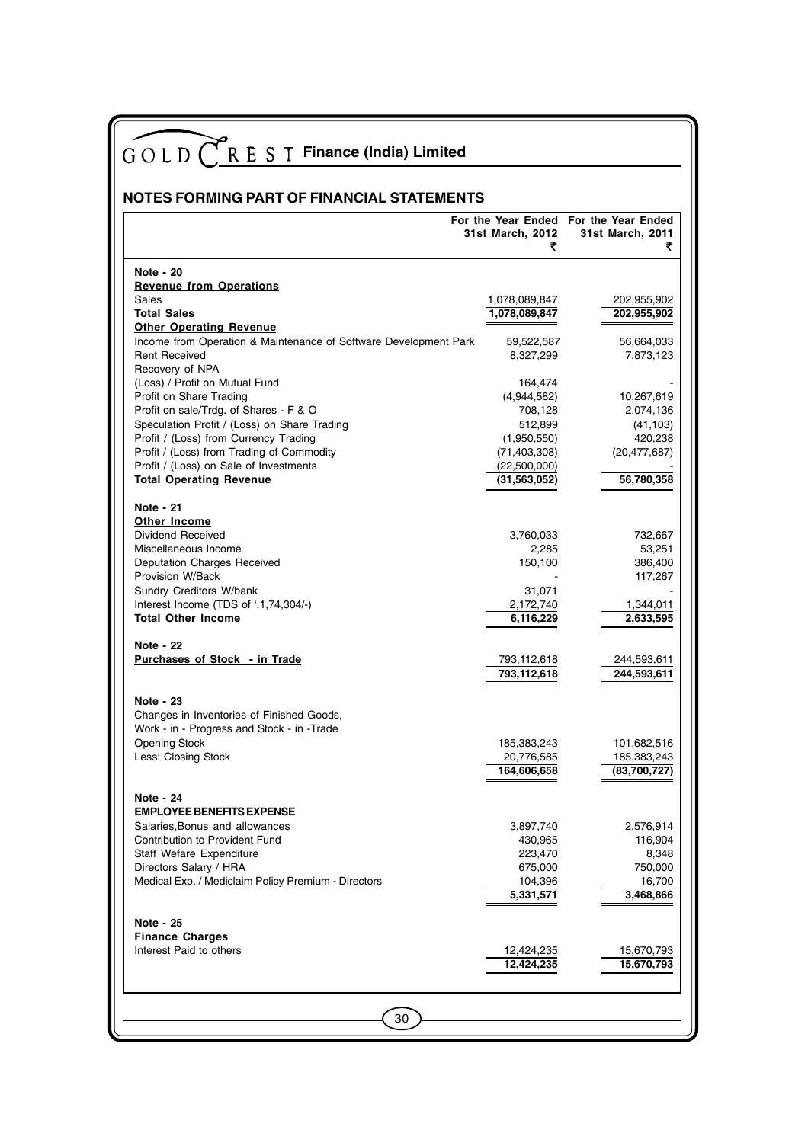| NOTES FORMING PART OF FINANCIAL STATEMENTS                                             |                            |                                                           |  |  |
|----------------------------------------------------------------------------------------|----------------------------|-----------------------------------------------------------|--|--|
|                                                                                        | 31st March, 2012           | For the Year Ended For the Year Ended<br>31st March, 2011 |  |  |
|                                                                                        | ₹                          |                                                           |  |  |
| <b>Note - 20</b>                                                                       |                            |                                                           |  |  |
| <b>Revenue from Operations</b>                                                         |                            |                                                           |  |  |
| Sales                                                                                  | 1,078,089,847              | 202,955,902                                               |  |  |
| <b>Total Sales</b><br><b>Other Operating Revenue</b>                                   | 1,078,089,847              | 202,955,902                                               |  |  |
| Income from Operation & Maintenance of Software Development Park                       | 59,522,587                 | 56,664,033                                                |  |  |
| <b>Rent Received</b>                                                                   | 8,327,299                  | 7,873,123                                                 |  |  |
| Recovery of NPA                                                                        |                            |                                                           |  |  |
| (Loss) / Profit on Mutual Fund                                                         | 164,474                    |                                                           |  |  |
| Profit on Share Trading                                                                | (4,944,582)                | 10,267,619                                                |  |  |
| Profit on sale/Trdg. of Shares - F & O<br>Speculation Profit / (Loss) on Share Trading | 708,128<br>512,899         | 2,074,136<br>(41, 103)                                    |  |  |
| Profit / (Loss) from Currency Trading                                                  | (1,950,550)                | 420,238                                                   |  |  |
| Profit / (Loss) from Trading of Commodity                                              | (71,403,308)               | (20, 477, 687)                                            |  |  |
| Profit / (Loss) on Sale of Investments                                                 | (22,500,000)               |                                                           |  |  |
| <b>Total Operating Revenue</b>                                                         | (31, 563, 052)             | 56,780,358                                                |  |  |
| Note - 21                                                                              |                            |                                                           |  |  |
| <b>Other Income</b>                                                                    |                            |                                                           |  |  |
| Dividend Received                                                                      | 3,760,033                  | 732,667                                                   |  |  |
| Miscellaneous Income                                                                   | 2,285                      | 53,251                                                    |  |  |
| Deputation Charges Received                                                            | 150,100                    | 386,400                                                   |  |  |
| Provision W/Back                                                                       |                            | 117,267                                                   |  |  |
| Sundry Creditors W/bank                                                                | 31,071                     |                                                           |  |  |
| Interest Income (TDS of '.1,74,304/-)<br><b>Total Other Income</b>                     | 2,172,740<br>6,116,229     | 1,344,011<br>2,633,595                                    |  |  |
|                                                                                        |                            |                                                           |  |  |
| Note - 22                                                                              |                            |                                                           |  |  |
| Purchases of Stock - in Trade                                                          | 793,112,618<br>793,112,618 | 244,593,611<br>244,593,611                                |  |  |
|                                                                                        |                            |                                                           |  |  |
| Note - 23                                                                              |                            |                                                           |  |  |
| Changes in Inventories of Finished Goods,                                              |                            |                                                           |  |  |
| Work - in - Progress and Stock - in -Trade                                             |                            |                                                           |  |  |
| <b>Opening Stock</b>                                                                   | 185,383,243                | 101,682,516                                               |  |  |
| Less: Closing Stock                                                                    | 20,776,585<br>164,606,658  | 185,383,243<br>(83,700,727)                               |  |  |
|                                                                                        |                            |                                                           |  |  |
| Note - 24                                                                              |                            |                                                           |  |  |
| <b>EMPLOYEE BENEFITS EXPENSE</b>                                                       |                            |                                                           |  |  |
| Salaries, Bonus and allowances                                                         | 3,897,740                  | 2,576,914                                                 |  |  |
| Contribution to Provident Fund<br>Staff Wefare Expenditure                             | 430,965<br>223,470         | 116,904<br>8,348                                          |  |  |
| Directors Salary / HRA                                                                 | 675,000                    | 750,000                                                   |  |  |
| Medical Exp. / Mediclaim Policy Premium - Directors                                    | 104,396                    | 16,700                                                    |  |  |
|                                                                                        | 5,331,571                  | 3,468,866                                                 |  |  |
|                                                                                        |                            |                                                           |  |  |
| Note - 25                                                                              |                            |                                                           |  |  |
| <b>Finance Charges</b><br>Interest Paid to others                                      | 12,424,235                 | 15,670,793                                                |  |  |
|                                                                                        | 12,424,235                 | 15,670,793                                                |  |  |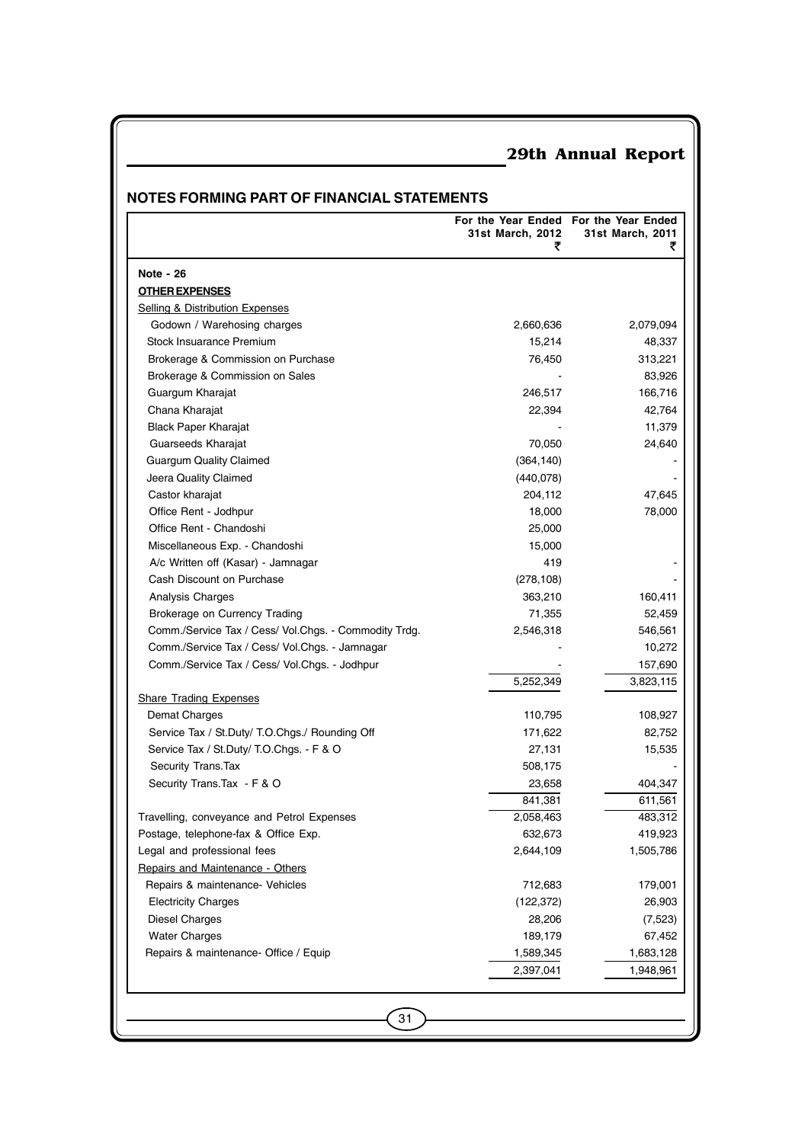### **NOTES FORMING PART OF FINANCIAL STATEMENTS**

| Note - 26<br><b>OTHER EXPENSES</b><br><b>Selling &amp; Distribution Expenses</b><br>Godown / Warehosing charges<br>Stock Insuarance Premium<br>Brokerage & Commission on Purchase<br>Brokerage & Commission on Sales<br>Guargum Kharajat<br>Chana Kharajat<br><b>Black Paper Kharajat</b><br>Guarseeds Kharajat<br><b>Guargum Quality Claimed</b><br>Jeera Quality Claimed<br>Castor kharajat<br>Office Rent - Jodhpur<br>Office Rent - Chandoshi<br>Miscellaneous Exp. - Chandoshi | 2,660,636<br>15,214<br>76,450<br>246,517<br>22,394<br>70,050<br>(364, 140)<br>(440,078)<br>204,112<br>18,000<br>25,000 | 2,079,094<br>48,337<br>313,221<br>83,926<br>166,716<br>42,764<br>11,379<br>24,640<br>47,645<br>78,000 |
|-------------------------------------------------------------------------------------------------------------------------------------------------------------------------------------------------------------------------------------------------------------------------------------------------------------------------------------------------------------------------------------------------------------------------------------------------------------------------------------|------------------------------------------------------------------------------------------------------------------------|-------------------------------------------------------------------------------------------------------|
|                                                                                                                                                                                                                                                                                                                                                                                                                                                                                     |                                                                                                                        |                                                                                                       |
|                                                                                                                                                                                                                                                                                                                                                                                                                                                                                     |                                                                                                                        |                                                                                                       |
|                                                                                                                                                                                                                                                                                                                                                                                                                                                                                     |                                                                                                                        |                                                                                                       |
|                                                                                                                                                                                                                                                                                                                                                                                                                                                                                     |                                                                                                                        |                                                                                                       |
|                                                                                                                                                                                                                                                                                                                                                                                                                                                                                     |                                                                                                                        |                                                                                                       |
|                                                                                                                                                                                                                                                                                                                                                                                                                                                                                     |                                                                                                                        |                                                                                                       |
|                                                                                                                                                                                                                                                                                                                                                                                                                                                                                     |                                                                                                                        |                                                                                                       |
|                                                                                                                                                                                                                                                                                                                                                                                                                                                                                     |                                                                                                                        |                                                                                                       |
|                                                                                                                                                                                                                                                                                                                                                                                                                                                                                     |                                                                                                                        |                                                                                                       |
|                                                                                                                                                                                                                                                                                                                                                                                                                                                                                     |                                                                                                                        |                                                                                                       |
|                                                                                                                                                                                                                                                                                                                                                                                                                                                                                     |                                                                                                                        |                                                                                                       |
|                                                                                                                                                                                                                                                                                                                                                                                                                                                                                     |                                                                                                                        |                                                                                                       |
|                                                                                                                                                                                                                                                                                                                                                                                                                                                                                     |                                                                                                                        |                                                                                                       |
|                                                                                                                                                                                                                                                                                                                                                                                                                                                                                     |                                                                                                                        |                                                                                                       |
|                                                                                                                                                                                                                                                                                                                                                                                                                                                                                     |                                                                                                                        |                                                                                                       |
|                                                                                                                                                                                                                                                                                                                                                                                                                                                                                     |                                                                                                                        |                                                                                                       |
|                                                                                                                                                                                                                                                                                                                                                                                                                                                                                     | 15,000                                                                                                                 |                                                                                                       |
| A/c Written off (Kasar) - Jamnagar                                                                                                                                                                                                                                                                                                                                                                                                                                                  | 419                                                                                                                    |                                                                                                       |
| Cash Discount on Purchase                                                                                                                                                                                                                                                                                                                                                                                                                                                           | (278, 108)                                                                                                             |                                                                                                       |
| Analysis Charges                                                                                                                                                                                                                                                                                                                                                                                                                                                                    | 363,210                                                                                                                | 160,411                                                                                               |
| Brokerage on Currency Trading                                                                                                                                                                                                                                                                                                                                                                                                                                                       | 71,355                                                                                                                 | 52,459                                                                                                |
| Comm./Service Tax / Cess/ Vol.Chgs. - Commodity Trdg.                                                                                                                                                                                                                                                                                                                                                                                                                               | 2,546,318                                                                                                              | 546,561                                                                                               |
| Comm./Service Tax / Cess/ Vol.Chgs. - Jamnagar                                                                                                                                                                                                                                                                                                                                                                                                                                      |                                                                                                                        | 10,272                                                                                                |
| Comm./Service Tax / Cess/ Vol.Chgs. - Jodhpur                                                                                                                                                                                                                                                                                                                                                                                                                                       |                                                                                                                        | 157,690                                                                                               |
|                                                                                                                                                                                                                                                                                                                                                                                                                                                                                     | 5,252,349                                                                                                              | 3,823,115                                                                                             |
| <b>Share Trading Expenses</b>                                                                                                                                                                                                                                                                                                                                                                                                                                                       |                                                                                                                        |                                                                                                       |
| Demat Charges                                                                                                                                                                                                                                                                                                                                                                                                                                                                       | 110,795                                                                                                                | 108,927                                                                                               |
| Service Tax / St.Duty/ T.O.Chgs./ Rounding Off                                                                                                                                                                                                                                                                                                                                                                                                                                      | 171,622                                                                                                                | 82,752                                                                                                |
| Service Tax / St.Duty/ T.O.Chgs. F & O                                                                                                                                                                                                                                                                                                                                                                                                                                              | 27,131                                                                                                                 | 15,535                                                                                                |
| Security Trans. Tax                                                                                                                                                                                                                                                                                                                                                                                                                                                                 | 508,175                                                                                                                |                                                                                                       |
| Security Trans. Tax - F & O                                                                                                                                                                                                                                                                                                                                                                                                                                                         | 23,658                                                                                                                 | 404,347                                                                                               |
|                                                                                                                                                                                                                                                                                                                                                                                                                                                                                     | 841,381                                                                                                                | 611,561                                                                                               |
| Travelling, conveyance and Petrol Expenses                                                                                                                                                                                                                                                                                                                                                                                                                                          | 2,058,463                                                                                                              | 483,312                                                                                               |
| Postage, telephone-fax & Office Exp.                                                                                                                                                                                                                                                                                                                                                                                                                                                | 632,673                                                                                                                | 419,923                                                                                               |
| Legal and professional fees                                                                                                                                                                                                                                                                                                                                                                                                                                                         | 2,644,109                                                                                                              | 1,505,786                                                                                             |
| Repairs and Maintenance - Others                                                                                                                                                                                                                                                                                                                                                                                                                                                    |                                                                                                                        |                                                                                                       |
| Repairs & maintenance- Vehicles                                                                                                                                                                                                                                                                                                                                                                                                                                                     | 712,683                                                                                                                | 179,001                                                                                               |
| <b>Electricity Charges</b>                                                                                                                                                                                                                                                                                                                                                                                                                                                          | (122, 372)                                                                                                             | 26,903                                                                                                |
| <b>Diesel Charges</b>                                                                                                                                                                                                                                                                                                                                                                                                                                                               | 28,206                                                                                                                 | (7,523)                                                                                               |
| <b>Water Charges</b>                                                                                                                                                                                                                                                                                                                                                                                                                                                                | 189,179                                                                                                                | 67,452                                                                                                |
| Repairs & maintenance- Office / Equip                                                                                                                                                                                                                                                                                                                                                                                                                                               | 1,589,345                                                                                                              | 1,683,128                                                                                             |
|                                                                                                                                                                                                                                                                                                                                                                                                                                                                                     | 2,397,041                                                                                                              | 1,948,961                                                                                             |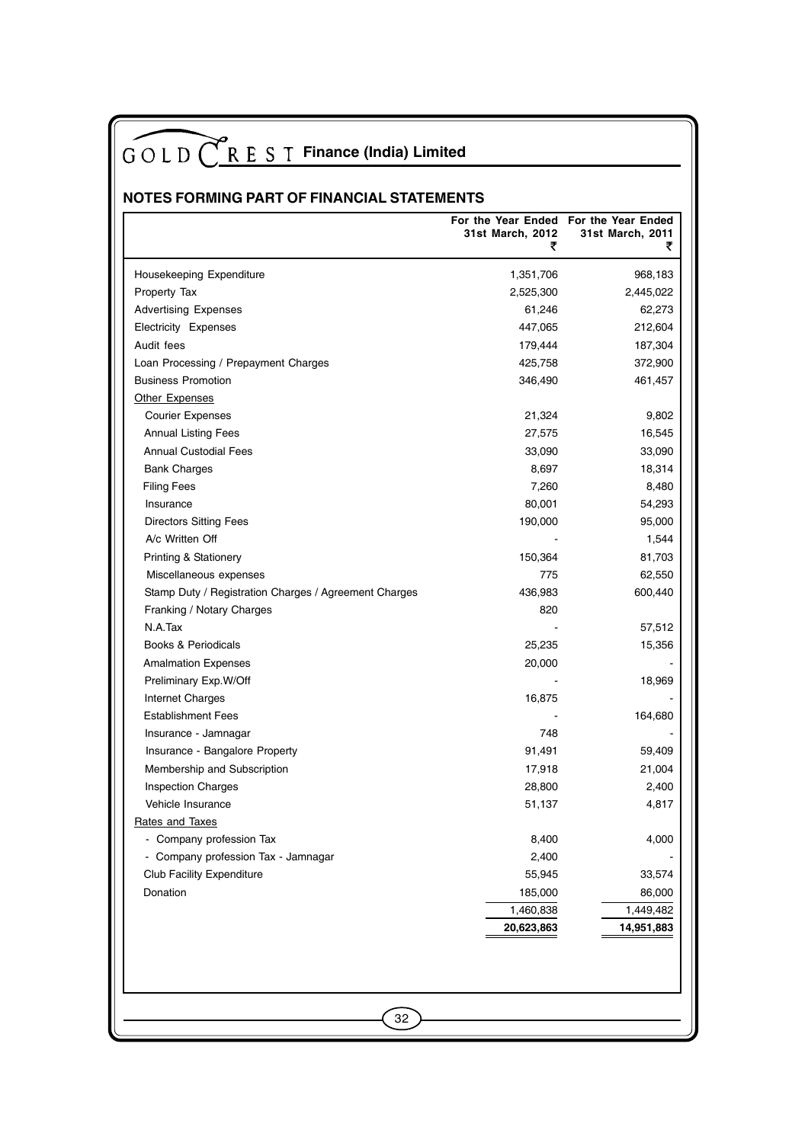## **NOTES FORMING PART OF FINANCIAL STATEMENTS**

|                                                       | For the Year Ended For the Year Ended<br>31st March, 2012<br>₹ | 31st March, 2011<br>₹ |
|-------------------------------------------------------|----------------------------------------------------------------|-----------------------|
| Housekeeping Expenditure                              | 1,351,706                                                      | 968,183               |
| Property Tax                                          | 2,525,300                                                      | 2,445,022             |
| <b>Advertising Expenses</b>                           | 61,246                                                         | 62,273                |
| Electricity Expenses                                  | 447,065                                                        | 212,604               |
| Audit fees                                            | 179,444                                                        | 187,304               |
| Loan Processing / Prepayment Charges                  | 425,758                                                        | 372,900               |
| <b>Business Promotion</b>                             | 346,490                                                        | 461,457               |
| Other Expenses                                        |                                                                |                       |
| <b>Courier Expenses</b>                               | 21,324                                                         | 9,802                 |
| <b>Annual Listing Fees</b>                            | 27,575                                                         | 16,545                |
| <b>Annual Custodial Fees</b>                          | 33,090                                                         | 33,090                |
| <b>Bank Charges</b>                                   | 8,697                                                          | 18,314                |
| <b>Filing Fees</b>                                    | 7,260                                                          | 8,480                 |
| Insurance                                             | 80,001                                                         | 54,293                |
| <b>Directors Sitting Fees</b>                         | 190,000                                                        | 95,000                |
| A/c Written Off                                       |                                                                | 1,544                 |
| Printing & Stationery                                 | 150,364                                                        | 81,703                |
| Miscellaneous expenses                                | 775                                                            | 62,550                |
| Stamp Duty / Registration Charges / Agreement Charges | 436,983                                                        | 600,440               |
| Franking / Notary Charges                             | 820                                                            |                       |
| N.A.Tax                                               |                                                                | 57,512                |
| Books & Periodicals                                   | 25,235                                                         | 15,356                |
| <b>Amalmation Expenses</b>                            | 20,000                                                         |                       |
| Preliminary Exp.W/Off                                 |                                                                | 18,969                |
| Internet Charges                                      | 16,875                                                         |                       |
| <b>Establishment Fees</b>                             |                                                                | 164,680               |
| Insurance - Jamnagar                                  | 748                                                            |                       |
| Insurance - Bangalore Property                        | 91,491                                                         | 59,409                |
| Membership and Subscription                           | 17,918                                                         | 21,004                |
| Inspection Charges                                    | 28,800                                                         | 2,400                 |
| Vehicle Insurance                                     | 51,137                                                         | 4,817                 |
| Rates and Taxes                                       |                                                                |                       |
| - Company profession Tax                              | 8,400                                                          | 4,000                 |
| - Company profession Tax - Jamnagar                   | 2,400                                                          |                       |
| <b>Club Facility Expenditure</b>                      | 55,945                                                         | 33,574                |
| Donation                                              | 185,000                                                        | 86,000                |
|                                                       | 1,460,838                                                      | 1,449,482             |
|                                                       | 20,623,863                                                     | 14,951,883            |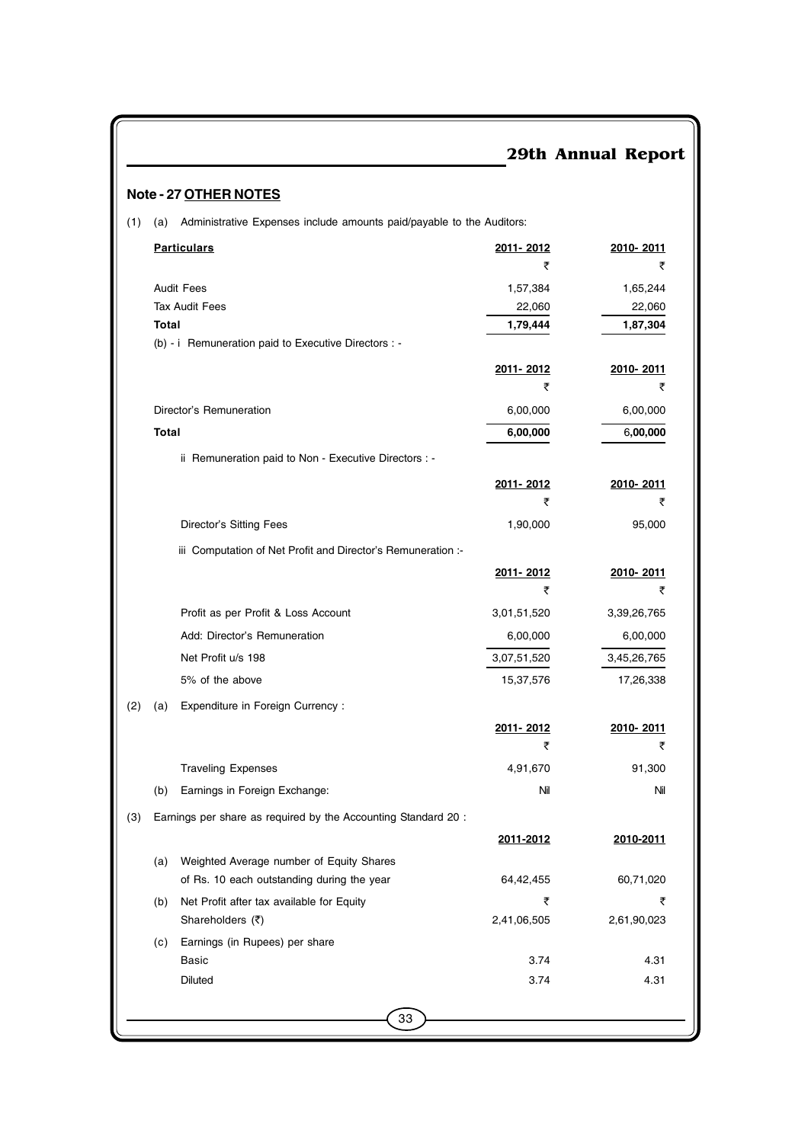| <b>e - 27 OTHER NOTES</b>                                                    |             |             |
|------------------------------------------------------------------------------|-------------|-------------|
| Administrative Expenses include amounts paid/payable to the Auditors:<br>(a) |             |             |
| <b>Particulars</b>                                                           | 2011-2012   | 2010-2011   |
|                                                                              | ₹           | ₹           |
| <b>Audit Fees</b>                                                            | 1,57,384    | 1,65,244    |
| <b>Tax Audit Fees</b>                                                        | 22,060      | 22,060      |
| <b>Total</b>                                                                 | 1,79,444    | 1,87,304    |
| (b) - i Remuneration paid to Executive Directors : -                         |             |             |
|                                                                              | 2011-2012   | 2010-2011   |
|                                                                              | ₹           | ₹           |
| Director's Remuneration                                                      | 6,00,000    | 6,00,000    |
| <b>Total</b>                                                                 | 6,00,000    | 6,00,000    |
| ii Remuneration paid to Non - Executive Directors : -                        |             |             |
|                                                                              | 2011-2012   | 2010-2011   |
|                                                                              | ₹           | ₹           |
| Director's Sitting Fees                                                      | 1,90,000    | 95,000      |
| iii Computation of Net Profit and Director's Remuneration :                  |             |             |
|                                                                              | 2011-2012   | 2010-2011   |
|                                                                              | ₹           | ₹           |
| Profit as per Profit & Loss Account                                          | 3,01,51,520 | 3,39,26,765 |
| Add: Director's Remuneration                                                 | 6,00,000    | 6,00,000    |
| Net Profit u/s 198                                                           | 3,07,51,520 | 3,45,26,765 |
| 5% of the above                                                              | 15,37,576   | 17,26,338   |

**2011- 2012 2010- 2011**

र र

## **Note - 27 OTHER N**

(1) (a) Administrative

(2) (a) Expenditure in Foreign Currency : Traveling Expenses 81,300 (b) Earnings in Foreign Exchange: Nil Nil

|     |                                            | 2011-2012   | 2010-2011   |
|-----|--------------------------------------------|-------------|-------------|
| (a) | Weighted Average number of Equity Shares   |             |             |
|     | of Rs. 10 each outstanding during the year | 64.42.455   | 60,71,020   |
| (b) | Net Profit after tax available for Equity  | ₹           | ₹           |
|     | Shareholders (₹)                           | 2,41,06,505 | 2,61,90,023 |
| (c) | Earnings (in Rupees) per share             |             |             |
|     | Basic                                      | 3.74        | 4.31        |
|     | Diluted                                    | 3.74        | 4.31        |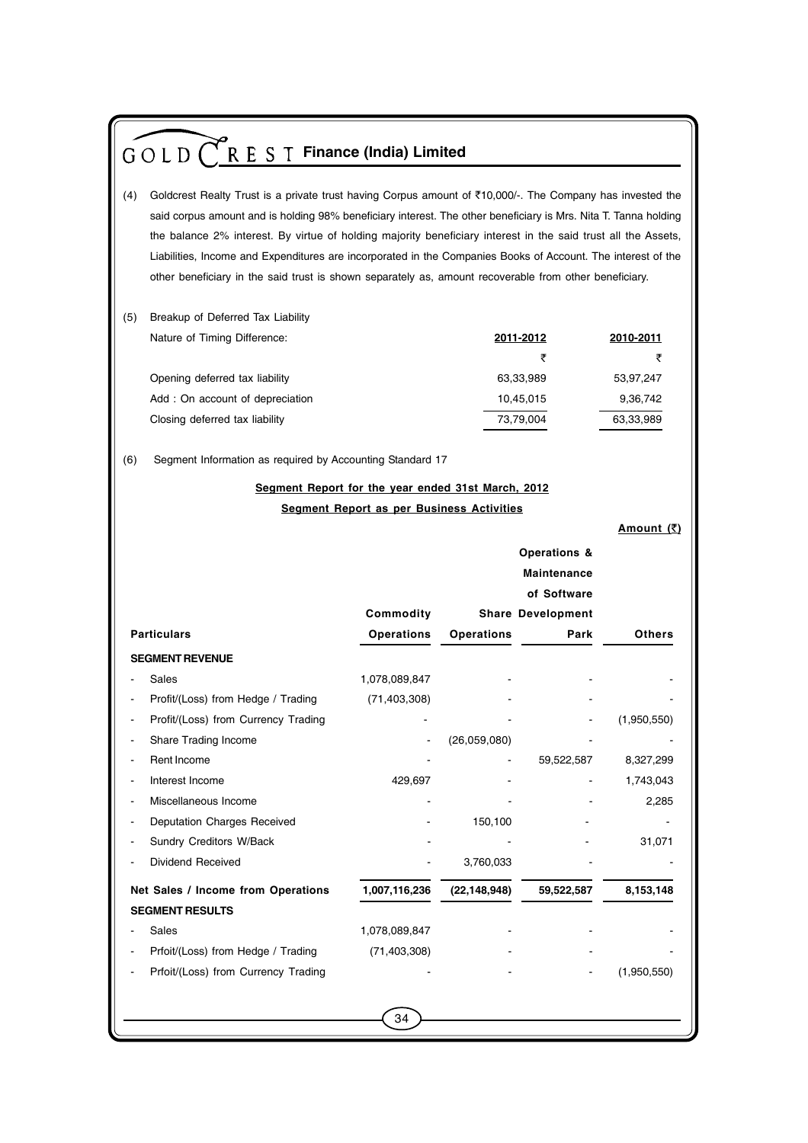| $G \circ L D$ $C$ R E S T Finance (India) Limited                                                                                                                                                                                   |                                           |                |                          |                                        |  |
|-------------------------------------------------------------------------------------------------------------------------------------------------------------------------------------------------------------------------------------|-------------------------------------------|----------------|--------------------------|----------------------------------------|--|
| (4)<br>Goldcrest Realty Trust is a private trust having Corpus amount of ₹10,000/-. The Company has invested the<br>said corpus amount and is holding 98% beneficiary interest. The other beneficiary is Mrs. Nita T. Tanna holding |                                           |                |                          |                                        |  |
|                                                                                                                                                                                                                                     |                                           |                |                          |                                        |  |
| the balance 2% interest. By virtue of holding majority beneficiary interest in the said trust all the Assets,<br>Liabilities, Income and Expenditures are incorporated in the Companies Books of Account. The interest of the       |                                           |                |                          |                                        |  |
| other beneficiary in the said trust is shown separately as, amount recoverable from other beneficiary.                                                                                                                              |                                           |                |                          |                                        |  |
|                                                                                                                                                                                                                                     |                                           |                |                          |                                        |  |
| (5)<br>Breakup of Deferred Tax Liability                                                                                                                                                                                            |                                           |                |                          |                                        |  |
| Nature of Timing Difference:                                                                                                                                                                                                        |                                           |                | 2011-2012                | 2010-2011                              |  |
|                                                                                                                                                                                                                                     |                                           |                | ₹                        | ₹                                      |  |
| Opening deferred tax liability                                                                                                                                                                                                      |                                           |                | 63,33,989                | 53,97,247                              |  |
| Add: On account of depreciation                                                                                                                                                                                                     |                                           |                | 10,45,015                | 9,36,742                               |  |
| Closing deferred tax liability                                                                                                                                                                                                      |                                           |                | 73,79,004                | 63,33,989                              |  |
|                                                                                                                                                                                                                                     |                                           |                |                          |                                        |  |
| Segment Information as required by Accounting Standard 17<br>(6)                                                                                                                                                                    |                                           |                |                          |                                        |  |
|                                                                                                                                                                                                                                     |                                           |                |                          |                                        |  |
| Segment Report for the year ended 31st March, 2012                                                                                                                                                                                  |                                           |                |                          |                                        |  |
|                                                                                                                                                                                                                                     | Segment Report as per Business Activities |                |                          |                                        |  |
|                                                                                                                                                                                                                                     |                                           |                |                          | Amount $(\overline{\underline{\tau}})$ |  |
|                                                                                                                                                                                                                                     |                                           |                |                          |                                        |  |
|                                                                                                                                                                                                                                     |                                           |                | <b>Maintenance</b>       |                                        |  |
|                                                                                                                                                                                                                                     |                                           |                | of Software              |                                        |  |
|                                                                                                                                                                                                                                     | Commodity                                 |                | <b>Share Development</b> |                                        |  |
| <b>Particulars</b>                                                                                                                                                                                                                  | <b>Operations</b>                         | Operations     | Park                     | Others                                 |  |
| <b>SEGMENT REVENUE</b>                                                                                                                                                                                                              |                                           |                |                          |                                        |  |
| Sales                                                                                                                                                                                                                               | 1,078,089,847                             |                |                          |                                        |  |
| Profit/(Loss) from Hedge / Trading                                                                                                                                                                                                  | (71, 403, 308)                            |                |                          |                                        |  |
| Profit/(Loss) from Currency Trading                                                                                                                                                                                                 |                                           |                |                          | (1,950,550)                            |  |
| Share Trading Income                                                                                                                                                                                                                |                                           | (26,059,080)   |                          |                                        |  |
| Rent Income                                                                                                                                                                                                                         |                                           |                | 59,522,587               | 8,327,299                              |  |
| Interest Income                                                                                                                                                                                                                     | 429,697                                   |                |                          | 1,743,043                              |  |
| Miscellaneous Income                                                                                                                                                                                                                |                                           |                |                          | 2,285                                  |  |
| Deputation Charges Received                                                                                                                                                                                                         |                                           | 150,100        |                          |                                        |  |
| Sundry Creditors W/Back                                                                                                                                                                                                             |                                           |                |                          | 31,071                                 |  |
| Dividend Received                                                                                                                                                                                                                   |                                           | 3,760,033      |                          |                                        |  |
| Net Sales / Income from Operations                                                                                                                                                                                                  | 1,007,116,236                             | (22, 148, 948) | 59,522,587               | 8,153,148                              |  |
|                                                                                                                                                                                                                                     |                                           |                |                          |                                        |  |
|                                                                                                                                                                                                                                     |                                           |                |                          |                                        |  |
| <b>SEGMENT RESULTS</b>                                                                                                                                                                                                              |                                           |                |                          |                                        |  |
| Sales                                                                                                                                                                                                                               | 1,078,089,847                             |                |                          |                                        |  |
| Prfoit/(Loss) from Hedge / Trading<br>Prfoit/(Loss) from Currency Trading                                                                                                                                                           | (71, 403, 308)                            |                |                          | (1,950,550)                            |  |
|                                                                                                                                                                                                                                     |                                           |                |                          |                                        |  |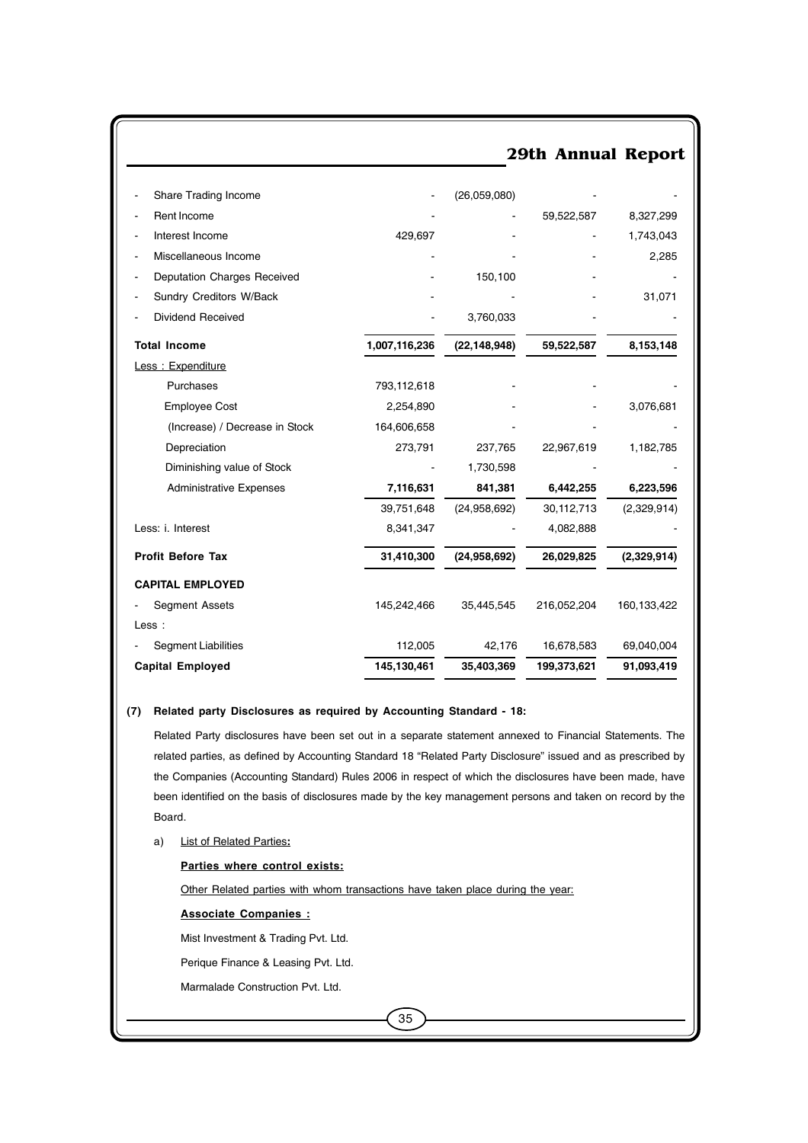|                                |               |                | 29th Annual Report |             |
|--------------------------------|---------------|----------------|--------------------|-------------|
|                                |               |                |                    |             |
| Share Trading Income           |               | (26,059,080)   |                    |             |
| Rent Income                    |               |                | 59,522,587         | 8,327,299   |
| Interest Income                | 429,697       |                |                    | 1,743,043   |
| Miscellaneous Income           |               |                |                    | 2,285       |
| Deputation Charges Received    |               | 150,100        |                    |             |
| Sundry Creditors W/Back        |               |                |                    | 31,071      |
| Dividend Received              |               | 3,760,033      |                    |             |
| <b>Total Income</b>            | 1,007,116,236 | (22, 148, 948) | 59,522,587         | 8,153,148   |
| Less: Expenditure              |               |                |                    |             |
| Purchases                      | 793,112,618   |                |                    |             |
| <b>Employee Cost</b>           | 2,254,890     |                |                    | 3,076,681   |
| (Increase) / Decrease in Stock | 164,606,658   |                |                    |             |
| Depreciation                   | 273,791       | 237,765        | 22,967,619         | 1,182,785   |
| Diminishing value of Stock     |               | 1,730,598      |                    |             |
| <b>Administrative Expenses</b> | 7,116,631     | 841,381        | 6,442,255          | 6,223,596   |
|                                | 39,751,648    | (24,958,692)   | 30,112,713         | (2,329,914) |
| Less: i. Interest              | 8,341,347     |                | 4,082,888          |             |
| <b>Profit Before Tax</b>       | 31,410,300    | (24,958,692)   | 26,029,825         | (2,329,914) |
| <b>CAPITAL EMPLOYED</b>        |               |                |                    |             |
| Segment Assets                 | 145,242,466   | 35,445,545     | 216,052,204        | 160,133,422 |
| Less :                         |               |                |                    |             |
| <b>Segment Liabilities</b>     | 112,005       | 42,176         | 16,678,583         | 69,040,004  |
| <b>Capital Employed</b>        | 145,130,461   | 35,403,369     | 199,373,621        | 91,093,419  |

#### **(7) Related party Disclosures as required by Accounting Standard - 18:**

Related Party disclosures have been set out in a separate statement annexed to Financial Statements. The related parties, as defined by Accounting Standard 18 "Related Party Disclosure" issued and as prescribed by the Companies (Accounting Standard) Rules 2006 in respect of which the disclosures have been made, have been identified on the basis of disclosures made by the key management persons and taken on record by the Board.

a) List of Related Parties**:**

#### **Parties where control exists:**

Other Related parties with whom transactions have taken place during the year:

**Associate Companies :**

Mist Investment & Trading Pvt. Ltd.

Perique Finance & Leasing Pvt. Ltd.

Marmalade Construction Pvt. Ltd.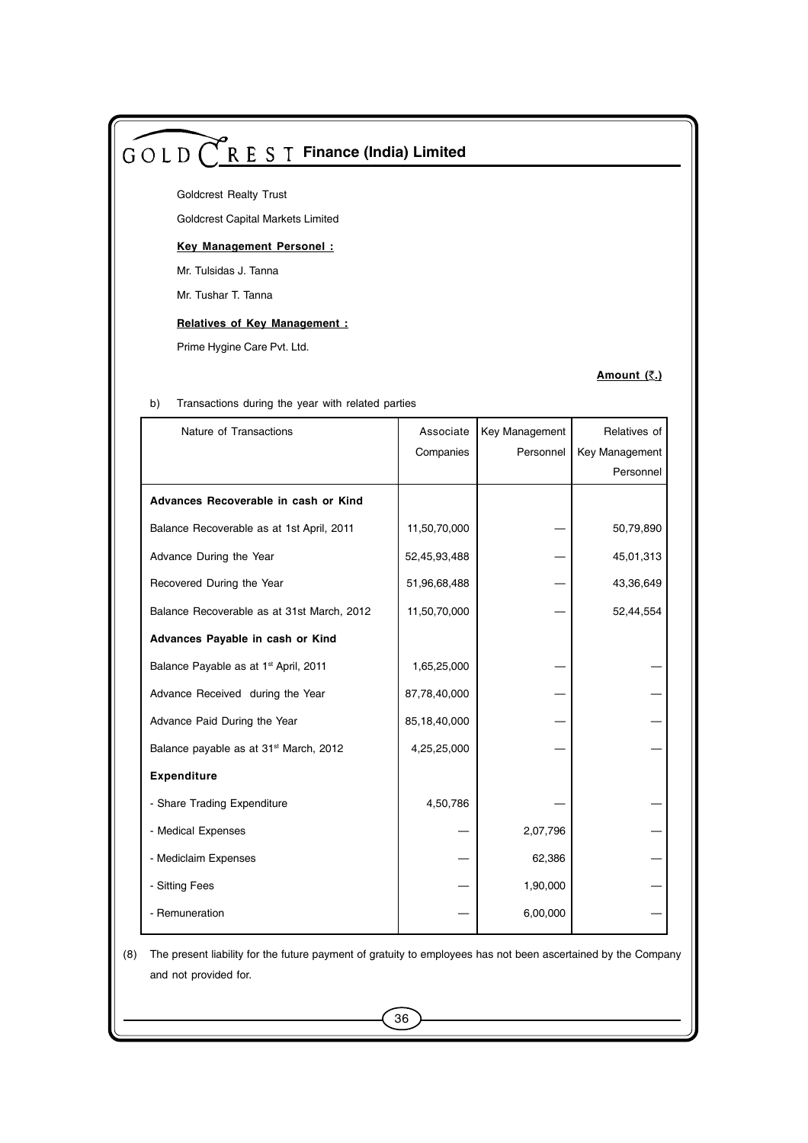Goldcrest Realty Trust

Goldcrest Capital Markets Limited

#### **Key Management Personel :**

Mr. Tulsidas J. Tanna

Mr. Tushar T. Tanna

#### **Relatives of Key Management :**

Prime Hygine Care Pvt. Ltd.

#### **Amount (**`**.)**

| Nature of Transactions                             | Associate    | Key Management | Relatives of   |
|----------------------------------------------------|--------------|----------------|----------------|
|                                                    | Companies    | Personnel      | Key Management |
|                                                    |              |                | Personnel      |
| Advances Recoverable in cash or Kind               |              |                |                |
| Balance Recoverable as at 1st April, 2011          | 11,50,70,000 |                | 50,79,890      |
| Advance During the Year                            | 52,45,93,488 |                | 45,01,313      |
| Recovered During the Year                          | 51,96,68,488 |                | 43,36,649      |
| Balance Recoverable as at 31st March, 2012         | 11,50,70,000 |                | 52,44,554      |
| Advances Payable in cash or Kind                   |              |                |                |
| Balance Payable as at 1 <sup>st</sup> April, 2011  | 1,65,25,000  |                |                |
| Advance Received during the Year                   | 87,78,40,000 |                |                |
| Advance Paid During the Year                       | 85,18,40,000 |                |                |
| Balance payable as at 31 <sup>st</sup> March, 2012 | 4,25,25,000  |                |                |
| Expenditure                                        |              |                |                |
| - Share Trading Expenditure                        | 4,50,786     |                |                |
| - Medical Expenses                                 |              | 2,07,796       |                |
| - Mediclaim Expenses                               |              | 62,386         |                |
| - Sitting Fees                                     |              | 1,90,000       |                |
| - Remuneration                                     |              | 6,00,000       |                |

b) Transactions during the year with related parties

(8) The present liability for the future payment of gratuity to employees has not been ascertained by the Company and not provided for.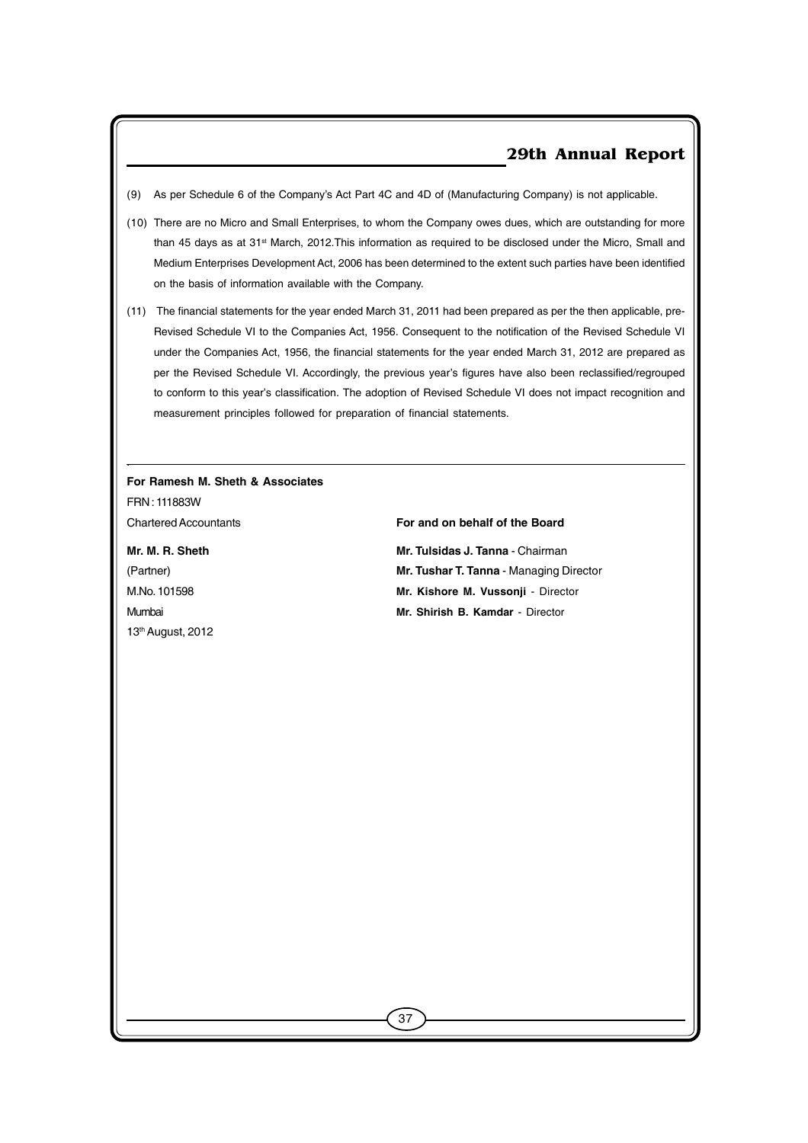- (9) As per Schedule 6 of the Company's Act Part 4C and 4D of (Manufacturing Company) is not applicable.
- (10) There are no Micro and Small Enterprises, to whom the Company owes dues, which are outstanding for more than 45 days as at 31<sup>st</sup> March, 2012. This information as required to be disclosed under the Micro, Small and Medium Enterprises Development Act, 2006 has been determined to the extent such parties have been identified on the basis of information available with the Company.
- (11) The financial statements for the year ended March 31, 2011 had been prepared as per the then applicable, pre-Revised Schedule VI to the Companies Act, 1956. Consequent to the notification of the Revised Schedule VI under the Companies Act, 1956, the financial statements for the year ended March 31, 2012 are prepared as per the Revised Schedule VI. Accordingly, the previous year's figures have also been reclassified/regrouped to conform to this year's classification. The adoption of Revised Schedule VI does not impact recognition and measurement principles followed for preparation of financial statements.

37

## **For Ramesh M. Sheth & Associates**

FRN : 111883W

.

13th August, 2012

#### Chartered Accountants **For and on behalf of the Board**

**Mr. M. R. Sheth Mr. Tulsidas J. Tanna - Chairman** (Partner) **Mr. Tushar T. Tanna** - Managing Director M.No. 101598 **Mr. Kishore M. Vussonji** - Director Mumbai **Mr. Shirish B. Kamdar** - Director